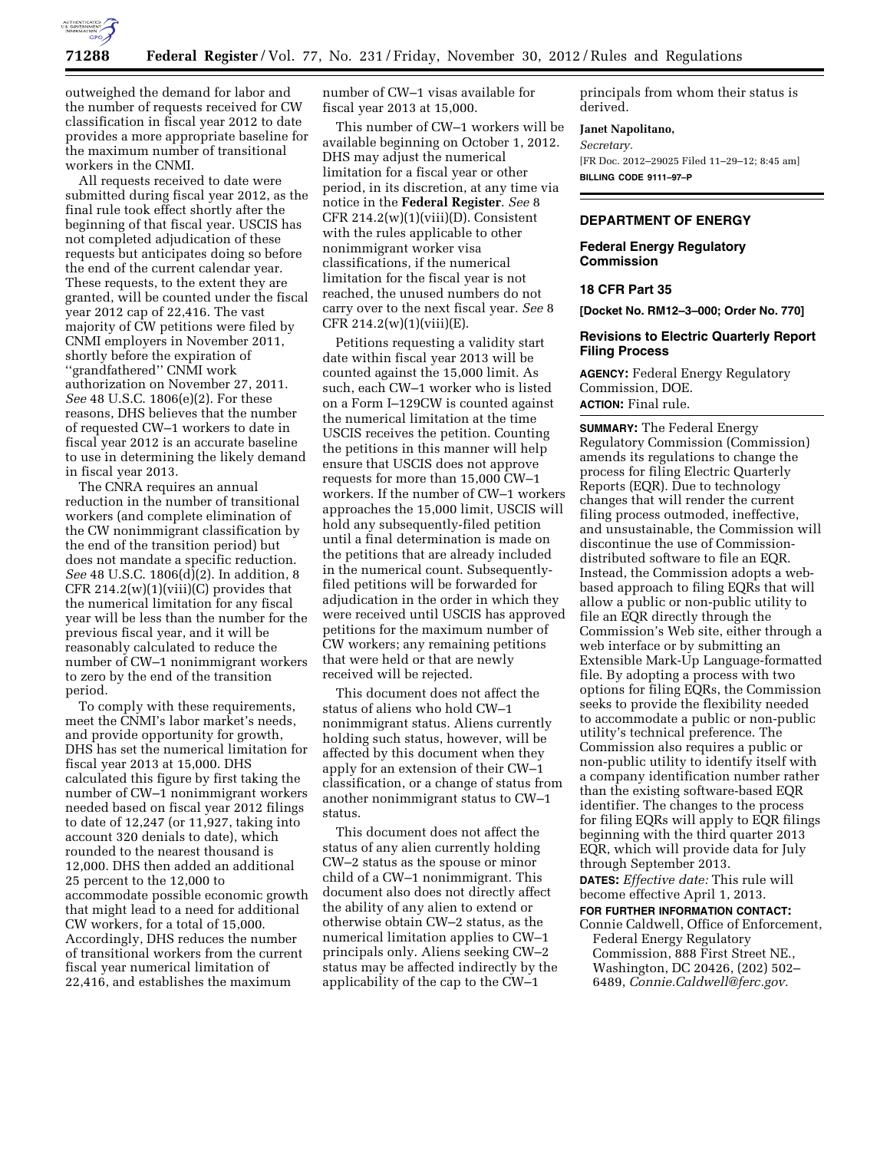

outweighed the demand for labor and the number of requests received for CW classification in fiscal year 2012 to date provides a more appropriate baseline for the maximum number of transitional workers in the CNMI.

All requests received to date were submitted during fiscal year 2012, as the final rule took effect shortly after the beginning of that fiscal year. USCIS has not completed adjudication of these requests but anticipates doing so before the end of the current calendar year. These requests, to the extent they are granted, will be counted under the fiscal year 2012 cap of 22,416. The vast majority of CW petitions were filed by CNMI employers in November 2011, shortly before the expiration of ''grandfathered'' CNMI work authorization on November 27, 2011. *See* 48 U.S.C. 1806(e)(2). For these reasons, DHS believes that the number of requested CW–1 workers to date in fiscal year 2012 is an accurate baseline to use in determining the likely demand in fiscal year 2013.

The CNRA requires an annual reduction in the number of transitional workers (and complete elimination of the CW nonimmigrant classification by the end of the transition period) but does not mandate a specific reduction. *See* 48 U.S.C. 1806(d)(2). In addition, 8 CFR  $214.2(w)(1)(viii)(C)$  provides that the numerical limitation for any fiscal year will be less than the number for the previous fiscal year, and it will be reasonably calculated to reduce the number of CW–1 nonimmigrant workers to zero by the end of the transition period.

To comply with these requirements, meet the CNMI's labor market's needs, and provide opportunity for growth, DHS has set the numerical limitation for fiscal year 2013 at 15,000. DHS calculated this figure by first taking the number of CW–1 nonimmigrant workers needed based on fiscal year 2012 filings to date of 12,247 (or 11,927, taking into account 320 denials to date), which rounded to the nearest thousand is 12,000. DHS then added an additional 25 percent to the 12,000 to accommodate possible economic growth that might lead to a need for additional CW workers, for a total of 15,000. Accordingly, DHS reduces the number of transitional workers from the current fiscal year numerical limitation of 22,416, and establishes the maximum

number of CW–1 visas available for fiscal year 2013 at 15,000.

This number of CW–1 workers will be available beginning on October 1, 2012. DHS may adjust the numerical limitation for a fiscal year or other period, in its discretion, at any time via notice in the **Federal Register**. *See* 8 CFR  $214.2(w)(1)(viii)(D)$ . Consistent with the rules applicable to other nonimmigrant worker visa classifications, if the numerical limitation for the fiscal year is not reached, the unused numbers do not carry over to the next fiscal year. *See* 8 CFR 214.2(w)(1)(viii)(E).

Petitions requesting a validity start date within fiscal year 2013 will be counted against the 15,000 limit. As such, each CW–1 worker who is listed on a Form I–129CW is counted against the numerical limitation at the time USCIS receives the petition. Counting the petitions in this manner will help ensure that USCIS does not approve requests for more than 15,000 CW–1 workers. If the number of CW–1 workers approaches the 15,000 limit, USCIS will hold any subsequently-filed petition until a final determination is made on the petitions that are already included in the numerical count. Subsequentlyfiled petitions will be forwarded for adjudication in the order in which they were received until USCIS has approved petitions for the maximum number of CW workers; any remaining petitions that were held or that are newly received will be rejected.

This document does not affect the status of aliens who hold CW–1 nonimmigrant status. Aliens currently holding such status, however, will be affected by this document when they apply for an extension of their CW–1 classification, or a change of status from another nonimmigrant status to CW–1 status.

This document does not affect the status of any alien currently holding CW–2 status as the spouse or minor child of a CW–1 nonimmigrant. This document also does not directly affect the ability of any alien to extend or otherwise obtain CW–2 status, as the numerical limitation applies to CW–1 principals only. Aliens seeking CW–2 status may be affected indirectly by the applicability of the cap to the CW–1

principals from whom their status is derived.

#### **Janet Napolitano,**

*Secretary.*  [FR Doc. 2012–29025 Filed 11–29–12; 8:45 am] **BILLING CODE 9111–97–P** 

## **DEPARTMENT OF ENERGY**

**Federal Energy Regulatory Commission** 

# **18 CFR Part 35**

**[Docket No. RM12–3–000; Order No. 770]** 

## **Revisions to Electric Quarterly Report Filing Process**

**AGENCY:** Federal Energy Regulatory Commission, DOE. **ACTION:** Final rule.

**SUMMARY:** The Federal Energy Regulatory Commission (Commission) amends its regulations to change the process for filing Electric Quarterly Reports (EQR). Due to technology changes that will render the current filing process outmoded, ineffective, and unsustainable, the Commission will discontinue the use of Commissiondistributed software to file an EQR. Instead, the Commission adopts a webbased approach to filing EQRs that will allow a public or non-public utility to file an EQR directly through the Commission's Web site, either through a web interface or by submitting an Extensible Mark-Up Language-formatted file. By adopting a process with two options for filing EQRs, the Commission seeks to provide the flexibility needed to accommodate a public or non-public utility's technical preference. The Commission also requires a public or non-public utility to identify itself with a company identification number rather than the existing software-based EQR identifier. The changes to the process for filing EQRs will apply to EQR filings beginning with the third quarter 2013 EQR, which will provide data for July through September 2013. **DATES:** *Effective date:* This rule will become effective April 1, 2013.

**FOR FURTHER INFORMATION CONTACT:** 

Connie Caldwell, Office of Enforcement, Federal Energy Regulatory Commission, 888 First Street NE., Washington, DC 20426, (202) 502– 6489, *[Connie.Caldwell@ferc.gov.](mailto:Connie.Caldwell@ferc.gov)*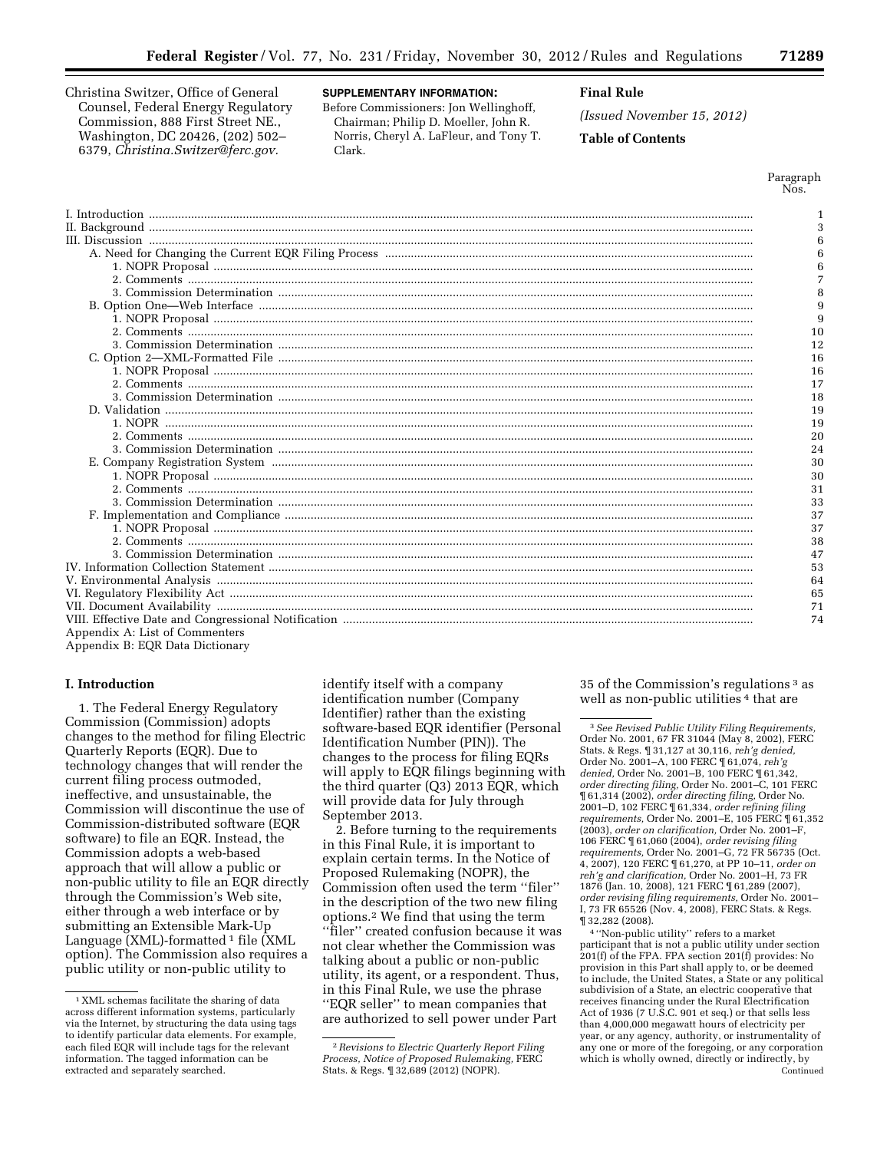Christina Switzer, Office of General Counsel, Federal Energy Regulatory Commission, 888 First Street NE., Washington, DC 20426, (202) 502– 6379, *[Christina.Switzer@ferc.gov.](mailto:Christina.Switzer@ferc.gov)* 

# **SUPPLEMENTARY INFORMATION:**

Before Commissioners: Jon Wellinghoff, Chairman; Philip D. Moeller, John R. Norris, Cheryl A. LaFleur, and Tony T. Clark.

# **Final Rule**

*(Issued November 15, 2012)* 

## **Table of Contents**

Paragraph Nos.

|                                | 3  |
|--------------------------------|----|
|                                | 6  |
|                                | 6  |
|                                | 6  |
|                                | 7  |
|                                | 8  |
|                                | 9  |
|                                | 9  |
|                                | 10 |
|                                | 12 |
|                                | 16 |
|                                | 16 |
|                                | 17 |
|                                | 18 |
|                                | 19 |
|                                | 19 |
|                                | 20 |
|                                | 24 |
|                                | 30 |
|                                | 30 |
|                                | 31 |
|                                | 33 |
|                                | 37 |
|                                | 37 |
|                                | 38 |
|                                | 47 |
|                                | 53 |
|                                | 64 |
|                                | 65 |
|                                | 71 |
|                                | 74 |
| Appendix A: List of Commenters |    |

Appendix B: EQR Data Dictionary

#### **I. Introduction**

1. The Federal Energy Regulatory Commission (Commission) adopts changes to the method for filing Electric Quarterly Reports (EQR). Due to technology changes that will render the current filing process outmoded, ineffective, and unsustainable, the Commission will discontinue the use of Commission-distributed software (EQR software) to file an EQR. Instead, the Commission adopts a web-based approach that will allow a public or non-public utility to file an EQR directly through the Commission's Web site, either through a web interface or by submitting an Extensible Mark-Up Language  $(XML)$ -formatted  $^1$  file  $(XML)$ option). The Commission also requires a public utility or non-public utility to

identify itself with a company identification number (Company Identifier) rather than the existing software-based EQR identifier (Personal Identification Number (PIN)). The changes to the process for filing EQRs will apply to EQR filings beginning with the third quarter (Q3) 2013 EQR, which will provide data for July through September 2013.

2. Before turning to the requirements in this Final Rule, it is important to explain certain terms. In the Notice of Proposed Rulemaking (NOPR), the Commission often used the term ''filer'' in the description of the two new filing options.2 We find that using the term ''filer'' created confusion because it was not clear whether the Commission was talking about a public or non-public utility, its agent, or a respondent. Thus, in this Final Rule, we use the phrase ''EQR seller'' to mean companies that are authorized to sell power under Part

35 of the Commission's regulations 3 as well as non-public utilities<sup>4</sup> that are

3*See Revised Public Utility Filing Requirements,*  Order No. 2001, 67 FR 31044 (May 8, 2002), FERC Stats. & Regs. ¶ 31,127 at 30,116, *reh'g denied,*  Order No. 2001–A, 100 FERC ¶ 61,074, *reh'g denied,* Order No. 2001–B, 100 FERC ¶ 61,342, *order directing filing,* Order No. 2001–C, 101 FERC ¶ 61,314 (2002), *order directing filing,* Order No. 2001–D, 102 FERC ¶ 61,334, *order refining filing requirements,* Order No. 2001–E, 105 FERC ¶ 61,352 (2003), *order on clarification,* Order No. 2001–F, 106 FERC ¶ 61,060 (2004), *order revising filing requirements,* Order No. 2001–G, 72 FR 56735 (Oct. 4, 2007), 120 FERC ¶ 61,270, at PP 10–11, *order on reh'g and clarification,* Order No. 2001–H, 73 FR 1876 (Jan. 10, 2008), 121 FERC ¶ 61,289 (2007), *order revising filing requirements,* Order No. 2001– I, 73 FR 65526 (Nov. 4, 2008), FERC Stats. & Regs. ¶ 32,282 (2008).

4 ''Non-public utility'' refers to a market participant that is not a public utility under section 201(f) of the FPA. FPA section 201(f) provides: No provision in this Part shall apply to, or be deemed to include, the United States, a State or any political subdivision of a State, an electric cooperative that receives financing under the Rural Electrification Act of 1936 (7 U.S.C. 901 et seq.) or that sells less than 4,000,000 megawatt hours of electricity per year, or any agency, authority, or instrumentality of any one or more of the foregoing, or any corporation which is wholly owned, directly or indirectly, by Continued

<sup>1</sup> XML schemas facilitate the sharing of data across different information systems, particularly via the Internet, by structuring the data using tags to identify particular data elements. For example, each filed EQR will include tags for the relevant information. The tagged information can be extracted and separately searched.

<sup>2</sup>*Revisions to Electric Quarterly Report Filing Process, Notice of Proposed Rulemaking,* FERC Stats. & Regs. ¶ 32,689 (2012) (NOPR).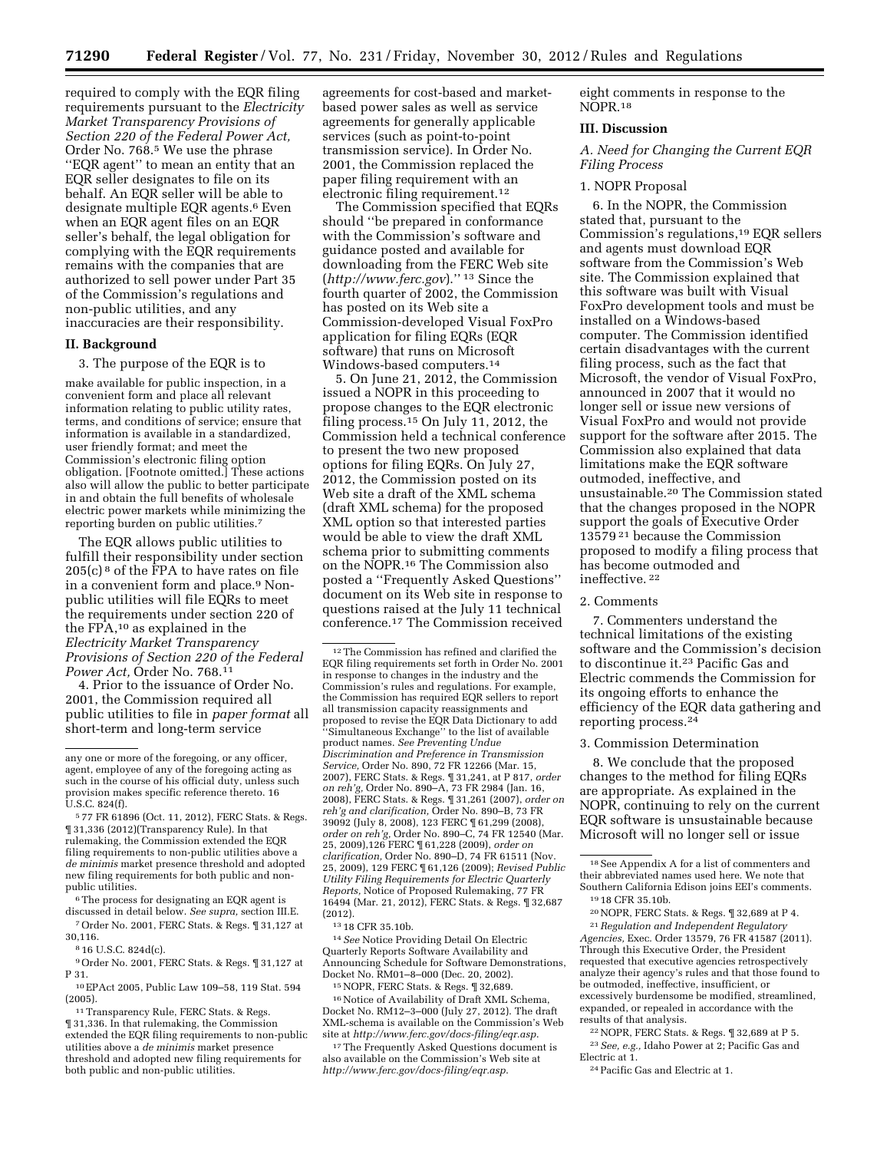required to comply with the EQR filing requirements pursuant to the *Electricity Market Transparency Provisions of Section 220 of the Federal Power Act,*  Order No. 768.5 We use the phrase ''EQR agent'' to mean an entity that an EQR seller designates to file on its behalf. An EQR seller will be able to designate multiple EQR agents.<sup>6</sup> Even when an EQR agent files on an EQR seller's behalf, the legal obligation for complying with the EQR requirements remains with the companies that are authorized to sell power under Part 35 of the Commission's regulations and non-public utilities, and any inaccuracies are their responsibility.

#### **II. Background**

3. The purpose of the EQR is to

make available for public inspection, in a convenient form and place all relevant information relating to public utility rates, terms, and conditions of service; ensure that information is available in a standardized, user friendly format; and meet the Commission's electronic filing option obligation. [Footnote omitted.] These actions also will allow the public to better participate in and obtain the full benefits of wholesale electric power markets while minimizing the reporting burden on public utilities.7

The EQR allows public utilities to fulfill their responsibility under section  $205(c)$ <sup>8</sup> of the FPA to have rates on file in a convenient form and place.9 Nonpublic utilities will file EQRs to meet the requirements under section 220 of the FPA,10 as explained in the *Electricity Market Transparency Provisions of Section 220 of the Federal Power Act,* Order No. 768.11

4. Prior to the issuance of Order No. 2001, the Commission required all public utilities to file in *paper format* all short-term and long-term service

5 77 FR 61896 (Oct. 11, 2012), FERC Stats. & Regs. ¶ 31,336 (2012)(Transparency Rule). In that rulemaking, the Commission extended the EQR filing requirements to non-public utilities above a *de minimis* market presence threshold and adopted new filing requirements for both public and nonpublic utilities.

6The process for designating an EQR agent is discussed in detail below. *See supra,* section III.E.

7Order No. 2001, FERC Stats. & Regs. ¶ 31,127 at 30,116.

8 16 U.S.C. 824d(c).

9Order No. 2001, FERC Stats. & Regs. ¶ 31,127 at P 31.

10EPAct 2005, Public Law 109–58, 119 Stat. 594 (2005).

<sup>11</sup> Transparency Rule, FERC Stats. & Regs. ¶ 31,336. In that rulemaking, the Commission extended the EQR filing requirements to non-public utilities above a *de minimis* market presence threshold and adopted new filing requirements for both public and non-public utilities.

agreements for cost-based and marketbased power sales as well as service agreements for generally applicable services (such as point-to-point transmission service). In Order No. 2001, the Commission replaced the paper filing requirement with an electronic filing requirement.12

The Commission specified that EQRs should ''be prepared in conformance with the Commission's software and guidance posted and available for downloading from the FERC Web site (*<http://www.ferc.gov>*).'' 13 Since the fourth quarter of 2002, the Commission has posted on its Web site a Commission-developed Visual FoxPro application for filing EQRs (EQR software) that runs on Microsoft Windows-based computers.14

5. On June 21, 2012, the Commission issued a NOPR in this proceeding to propose changes to the EQR electronic filing process.15 On July 11, 2012, the Commission held a technical conference to present the two new proposed options for filing EQRs. On July 27, 2012, the Commission posted on its Web site a draft of the XML schema (draft XML schema) for the proposed XML option so that interested parties would be able to view the draft XML schema prior to submitting comments on the NOPR.16 The Commission also posted a ''Frequently Asked Questions'' document on its Web site in response to questions raised at the July 11 technical conference.17 The Commission received

12The Commission has refined and clarified the EQR filing requirements set forth in Order No. 2001 in response to changes in the industry and the Commission's rules and regulations. For example, the Commission has required EQR sellers to report all transmission capacity reassignments and proposed to revise the EQR Data Dictionary to add ''Simultaneous Exchange'' to the list of available product names. *See Preventing Undue Discrimination and Preference in Transmission Service,* Order No. 890, 72 FR 12266 (Mar. 15, 2007), FERC Stats. & Regs. ¶ 31,241, at P 817, *order on reh'g,* Order No. 890–A, 73 FR 2984 (Jan. 16, 2008), FERC Stats. & Regs. ¶ 31,261 (2007), *order on reh'g and clarification,* Order No. 890–B, 73 FR 39092 (July 8, 2008), 123 FERC ¶ 61,299 (2008), *order on reh'g,* Order No. 890–C, 74 FR 12540 (Mar. 25, 2009),126 FERC ¶ 61,228 (2009), *order on clarification,* Order No. 890–D, 74 FR 61511 (Nov. 25, 2009), 129 FERC ¶ 61,126 (2009); *Revised Public Utility Filing Requirements for Electric Quarterly Reports,* Notice of Proposed Rulemaking, 77 FR 16494 (Mar. 21, 2012), FERC Stats. & Regs. ¶ 32,687 (2012).

13 18 CFR 35.10b.

14*See* Notice Providing Detail On Electric Quarterly Reports Software Availability and Announcing Schedule for Software Demonstrations, Docket No. RM01–8–000 (Dec. 20, 2002).

15NOPR, FERC Stats. & Regs. ¶ 32,689.

16Notice of Availability of Draft XML Schema, Docket No. RM12–3–000 (July 27, 2012). The draft XML-schema is available on the Commission's Web site at *<http://www.ferc.gov/docs-filing/eqr.asp>*.

<sup>17</sup>The Frequently Asked Questions document is also available on the Commission's Web site at *<http://www.ferc.gov/docs-filing/eqr.asp>*.

eight comments in response to the NOPR.18

#### **III. Discussion**

*A. Need for Changing the Current EQR Filing Process* 

#### 1. NOPR Proposal

6. In the NOPR, the Commission stated that, pursuant to the Commission's regulations,19 EQR sellers and agents must download EQR software from the Commission's Web site. The Commission explained that this software was built with Visual FoxPro development tools and must be installed on a Windows-based computer. The Commission identified certain disadvantages with the current filing process, such as the fact that Microsoft, the vendor of Visual FoxPro, announced in 2007 that it would no longer sell or issue new versions of Visual FoxPro and would not provide support for the software after 2015. The Commission also explained that data limitations make the EQR software outmoded, ineffective, and unsustainable.20 The Commission stated that the changes proposed in the NOPR support the goals of Executive Order 13579 21 because the Commission proposed to modify a filing process that has become outmoded and ineffective. 22

#### 2. Comments

7. Commenters understand the technical limitations of the existing software and the Commission's decision to discontinue it.23 Pacific Gas and Electric commends the Commission for its ongoing efforts to enhance the efficiency of the EQR data gathering and reporting process.24

## 3. Commission Determination

8. We conclude that the proposed changes to the method for filing EQRs are appropriate. As explained in the NOPR, continuing to rely on the current EQR software is unsustainable because Microsoft will no longer sell or issue

21*Regulation and Independent Regulatory Agencies,* Exec. Order 13579, 76 FR 41587 (2011). Through this Executive Order, the President requested that executive agencies retrospectively analyze their agency's rules and that those found to be outmoded, ineffective, insufficient, or excessively burdensome be modified, streamlined, expanded, or repealed in accordance with the results of that analysis.

22NOPR, FERC Stats. & Regs. ¶ 32,689 at P 5. 23*See, e.g.,* Idaho Power at 2; Pacific Gas and Electric at 1.

24Pacific Gas and Electric at 1.

any one or more of the foregoing, or any officer, agent, employee of any of the foregoing acting as such in the course of his official duty, unless such provision makes specific reference thereto. 16 U.S.C. 824(f).

<sup>18</sup>See Appendix A for a list of commenters and their abbreviated names used here. We note that Southern California Edison joins EEI's comments. 19 18 CFR 35.10b.

<sup>20</sup>NOPR, FERC Stats. & Regs. ¶ 32,689 at P 4.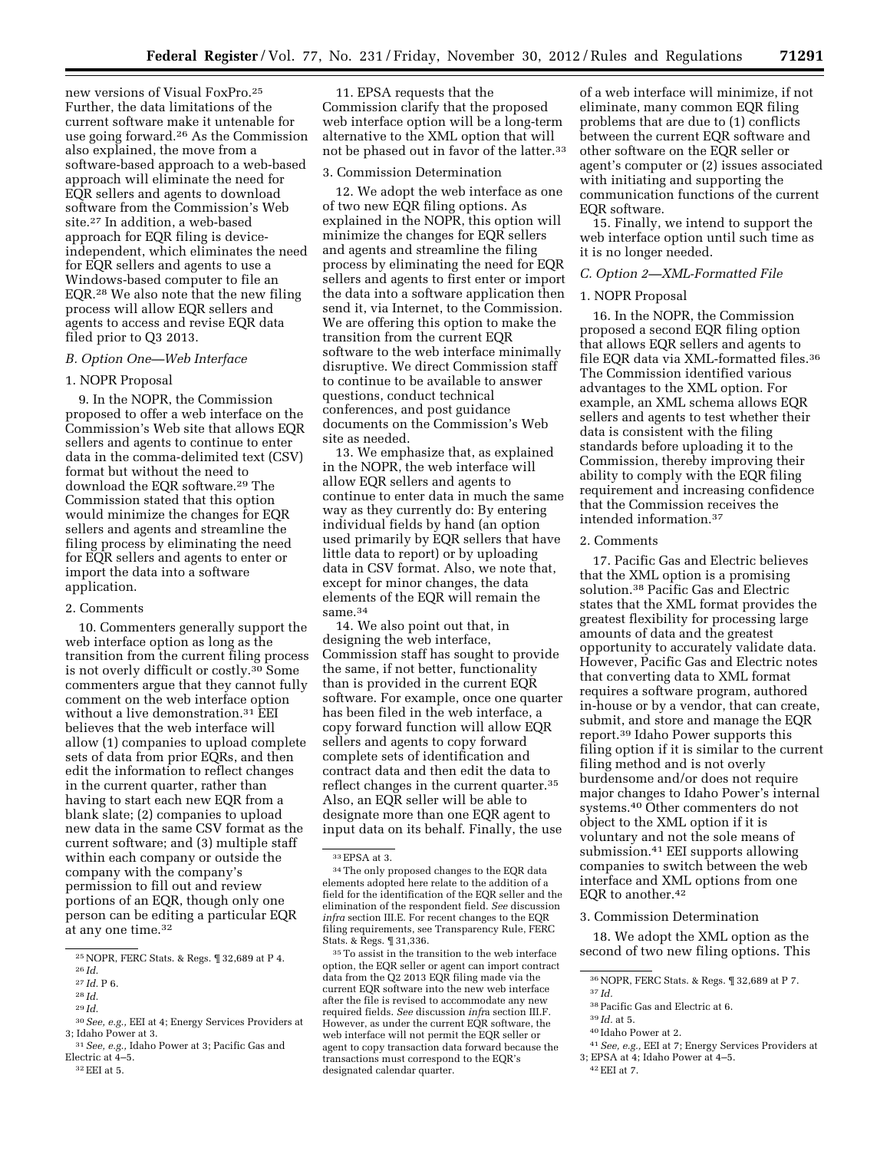new versions of Visual FoxPro.25 Further, the data limitations of the current software make it untenable for use going forward.26 As the Commission also explained, the move from a software-based approach to a web-based approach will eliminate the need for EQR sellers and agents to download software from the Commission's Web site.27 In addition, a web-based approach for EQR filing is deviceindependent, which eliminates the need for EQR sellers and agents to use a Windows-based computer to file an EQR.28 We also note that the new filing process will allow EQR sellers and agents to access and revise EQR data filed prior to Q3 2013.

#### *B. Option One—Web Interface*

# 1. NOPR Proposal

9. In the NOPR, the Commission proposed to offer a web interface on the Commission's Web site that allows EQR sellers and agents to continue to enter data in the comma-delimited text (CSV) format but without the need to download the EQR software.29 The Commission stated that this option would minimize the changes for EQR sellers and agents and streamline the filing process by eliminating the need for EQR sellers and agents to enter or import the data into a software application.

#### 2. Comments

10. Commenters generally support the web interface option as long as the transition from the current filing process is not overly difficult or costly.30 Some commenters argue that they cannot fully comment on the web interface option without a live demonstration.31 EEI believes that the web interface will allow (1) companies to upload complete sets of data from prior EQRs, and then edit the information to reflect changes in the current quarter, rather than having to start each new EQR from a blank slate; (2) companies to upload new data in the same CSV format as the current software; and (3) multiple staff within each company or outside the company with the company's permission to fill out and review portions of an EQR, though only one person can be editing a particular EQR at any one time.32

11. EPSA requests that the Commission clarify that the proposed web interface option will be a long-term alternative to the XML option that will not be phased out in favor of the latter.<sup>33</sup>

#### 3. Commission Determination

12. We adopt the web interface as one of two new EQR filing options. As explained in the NOPR, this option will minimize the changes for EQR sellers and agents and streamline the filing process by eliminating the need for EQR sellers and agents to first enter or import the data into a software application then send it, via Internet, to the Commission. We are offering this option to make the transition from the current EQR software to the web interface minimally disruptive. We direct Commission staff to continue to be available to answer questions, conduct technical conferences, and post guidance documents on the Commission's Web site as needed.

13. We emphasize that, as explained in the NOPR, the web interface will allow EQR sellers and agents to continue to enter data in much the same way as they currently do: By entering individual fields by hand (an option used primarily by EQR sellers that have little data to report) or by uploading data in CSV format. Also, we note that, except for minor changes, the data elements of the EQR will remain the same.<sup>34</sup>

14. We also point out that, in designing the web interface, Commission staff has sought to provide the same, if not better, functionality than is provided in the current EQR software. For example, once one quarter has been filed in the web interface, a copy forward function will allow EQR sellers and agents to copy forward complete sets of identification and contract data and then edit the data to reflect changes in the current quarter.<sup>35</sup> Also, an EQR seller will be able to designate more than one EQR agent to input data on its behalf. Finally, the use

35To assist in the transition to the web interface option, the EQR seller or agent can import contract data from the Q2 2013 EQR filing made via the current EQR software into the new web interface after the file is revised to accommodate any new required fields. *See* discussion *infr*a section III.F. However, as under the current EQR software, the web interface will not permit the EQR seller or agent to copy transaction data forward because the transactions must correspond to the EQR's designated calendar quarter.

of a web interface will minimize, if not eliminate, many common EQR filing problems that are due to (1) conflicts between the current EQR software and other software on the EQR seller or agent's computer or (2) issues associated with initiating and supporting the communication functions of the current EQR software.

15. Finally, we intend to support the web interface option until such time as it is no longer needed.

#### *C. Option 2—XML-Formatted File*

## 1. NOPR Proposal

16. In the NOPR, the Commission proposed a second EQR filing option that allows EQR sellers and agents to file EQR data via XML-formatted files.36 The Commission identified various advantages to the XML option. For example, an XML schema allows EQR sellers and agents to test whether their data is consistent with the filing standards before uploading it to the Commission, thereby improving their ability to comply with the EQR filing requirement and increasing confidence that the Commission receives the intended information.37

## 2. Comments

17. Pacific Gas and Electric believes that the XML option is a promising solution.38 Pacific Gas and Electric states that the XML format provides the greatest flexibility for processing large amounts of data and the greatest opportunity to accurately validate data. However, Pacific Gas and Electric notes that converting data to XML format requires a software program, authored in-house or by a vendor, that can create, submit, and store and manage the EQR report.39 Idaho Power supports this filing option if it is similar to the current filing method and is not overly burdensome and/or does not require major changes to Idaho Power's internal systems.40 Other commenters do not object to the XML option if it is voluntary and not the sole means of submission.41 EEI supports allowing companies to switch between the web interface and XML options from one EQR to another.42

#### 3. Commission Determination

18. We adopt the XML option as the second of two new filing options. This

- 38Pacific Gas and Electric at 6.
- 39 *Id.* at 5.
- 40 Idaho Power at 2.
- 41*See, e.g.,* EEI at 7; Energy Services Providers at 3; EPSA at 4; Idaho Power at 4–5.
- 42EEI at 7.

<sup>25</sup>NOPR, FERC Stats. & Regs. ¶ 32,689 at P 4. 26 *Id.* 

<sup>27</sup> *Id.* P 6. 28 *Id.* 

<sup>29</sup> *Id.* 

<sup>30</sup>*See, e.g.,* EEI at 4; Energy Services Providers at

<sup>&</sup>lt;sup>31</sup> *See, e.g.,* Idaho Power at 3; Pacific Gas and Electric at 4–5.

 $32$  EEI at 5.

<sup>33</sup>EPSA at 3.

<sup>34</sup>The only proposed changes to the EQR data elements adopted here relate to the addition of a field for the identification of the EQR seller and the elimination of the respondent field. *See* discussion *infra* section III.E. For recent changes to the EQR filing requirements, see Transparency Rule, FERC Stats. & Regs. ¶ 31,336.

<sup>36</sup>NOPR, FERC Stats. & Regs. ¶ 32,689 at P 7.

<sup>37</sup> *Id.*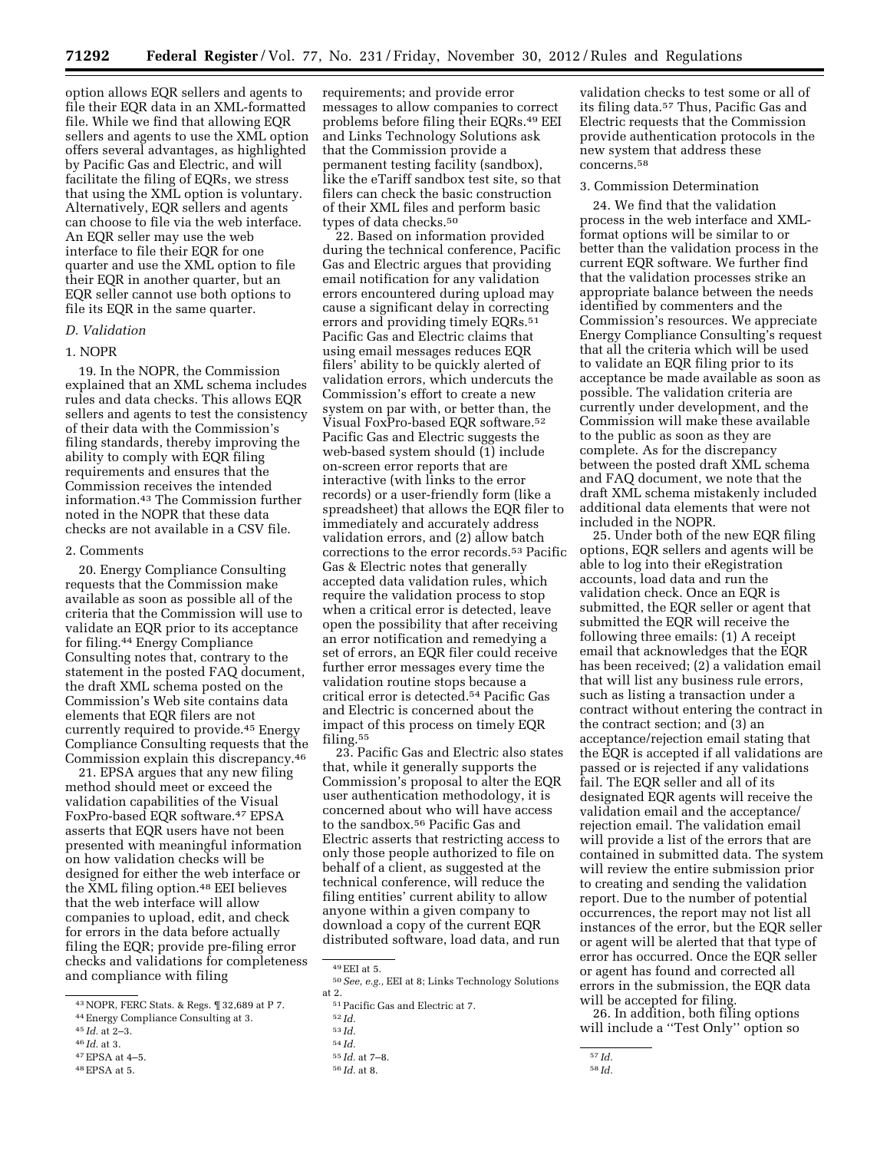option allows EQR sellers and agents to file their EQR data in an XML-formatted file. While we find that allowing EQR sellers and agents to use the XML option offers several advantages, as highlighted by Pacific Gas and Electric, and will facilitate the filing of EQRs, we stress that using the XML option is voluntary. Alternatively, EQR sellers and agents can choose to file via the web interface. An EQR seller may use the web interface to file their EQR for one quarter and use the XML option to file their EQR in another quarter, but an EQR seller cannot use both options to file its EQR in the same quarter.

#### *D. Validation*

# 1. NOPR

19. In the NOPR, the Commission explained that an XML schema includes rules and data checks. This allows EQR sellers and agents to test the consistency of their data with the Commission's filing standards, thereby improving the ability to comply with EQR filing requirements and ensures that the Commission receives the intended information.43 The Commission further noted in the NOPR that these data checks are not available in a CSV file.

# 2. Comments

20. Energy Compliance Consulting requests that the Commission make available as soon as possible all of the criteria that the Commission will use to validate an EQR prior to its acceptance for filing.44 Energy Compliance Consulting notes that, contrary to the statement in the posted FAQ document, the draft XML schema posted on the Commission's Web site contains data elements that EQR filers are not currently required to provide.45 Energy Compliance Consulting requests that the Commission explain this discrepancy.46

21. EPSA argues that any new filing method should meet or exceed the validation capabilities of the Visual FoxPro-based EQR software.47 EPSA asserts that EQR users have not been presented with meaningful information on how validation checks will be designed for either the web interface or the XML filing option.<sup>48</sup> EEI believes that the web interface will allow companies to upload, edit, and check for errors in the data before actually filing the EQR; provide pre-filing error checks and validations for completeness and compliance with filing

- 45 *Id.* at 2–3.
- 46 *Id.* at 3.
- 47EPSA at 4–5.
- 48EPSA at 5.

requirements; and provide error messages to allow companies to correct problems before filing their EQRs.49 EEI and Links Technology Solutions ask that the Commission provide a permanent testing facility (sandbox), like the eTariff sandbox test site, so that filers can check the basic construction of their XML files and perform basic types of data checks.50

22. Based on information provided during the technical conference, Pacific Gas and Electric argues that providing email notification for any validation errors encountered during upload may cause a significant delay in correcting errors and providing timely EQRs.<sup>51</sup> Pacific Gas and Electric claims that using email messages reduces EQR filers' ability to be quickly alerted of validation errors, which undercuts the Commission's effort to create a new system on par with, or better than, the Visual FoxPro-based EQR software.52 Pacific Gas and Electric suggests the web-based system should (1) include on-screen error reports that are interactive (with links to the error records) or a user-friendly form (like a spreadsheet) that allows the EQR filer to immediately and accurately address validation errors, and (2) allow batch corrections to the error records.<sup>53</sup> Pacific Gas & Electric notes that generally accepted data validation rules, which require the validation process to stop when a critical error is detected, leave open the possibility that after receiving an error notification and remedying a set of errors, an EQR filer could receive further error messages every time the validation routine stops because a critical error is detected.54 Pacific Gas and Electric is concerned about the impact of this process on timely EQR filing.55

23. Pacific Gas and Electric also states that, while it generally supports the Commission's proposal to alter the EQR user authentication methodology, it is concerned about who will have access to the sandbox.56 Pacific Gas and Electric asserts that restricting access to only those people authorized to file on behalf of a client, as suggested at the technical conference, will reduce the filing entities' current ability to allow anyone within a given company to download a copy of the current EQR distributed software, load data, and run

validation checks to test some or all of its filing data.57 Thus, Pacific Gas and Electric requests that the Commission provide authentication protocols in the new system that address these concerns.58

#### 3. Commission Determination

24. We find that the validation process in the web interface and XMLformat options will be similar to or better than the validation process in the current EQR software. We further find that the validation processes strike an appropriate balance between the needs identified by commenters and the Commission's resources. We appreciate Energy Compliance Consulting's request that all the criteria which will be used to validate an EQR filing prior to its acceptance be made available as soon as possible. The validation criteria are currently under development, and the Commission will make these available to the public as soon as they are complete. As for the discrepancy between the posted draft XML schema and FAQ document, we note that the draft XML schema mistakenly included additional data elements that were not included in the NOPR.

25. Under both of the new EQR filing options, EQR sellers and agents will be able to log into their eRegistration accounts, load data and run the validation check. Once an EQR is submitted, the EQR seller or agent that submitted the EQR will receive the following three emails: (1) A receipt email that acknowledges that the EQR has been received; (2) a validation email that will list any business rule errors, such as listing a transaction under a contract without entering the contract in the contract section; and (3) an acceptance/rejection email stating that the EQR is accepted if all validations are passed or is rejected if any validations fail. The EQR seller and all of its designated EQR agents will receive the validation email and the acceptance/ rejection email. The validation email will provide a list of the errors that are contained in submitted data. The system will review the entire submission prior to creating and sending the validation report. Due to the number of potential occurrences, the report may not list all instances of the error, but the EQR seller or agent will be alerted that that type of error has occurred. Once the EQR seller or agent has found and corrected all errors in the submission, the EQR data will be accepted for filing.

26. In addition, both filing options will include a ''Test Only'' option so

<sup>43</sup>NOPR, FERC Stats. & Regs. ¶ 32,689 at P 7.

<sup>44</sup>Energy Compliance Consulting at 3.

<sup>49</sup>EEI at 5. 50*See, e.g.,* EEI at 8; Links Technology Solutions

 $^{51}\rm{Pacific}$  Gas and Electric at 7.  $^{52}$   $Id.$ 

<sup>53</sup> *Id.* 

<sup>54</sup> *Id.* 

<sup>55</sup> *Id.* at 7–8.

<sup>56</sup> *Id.* at 8.

<sup>57</sup> *Id.* 

<sup>58</sup> *Id.*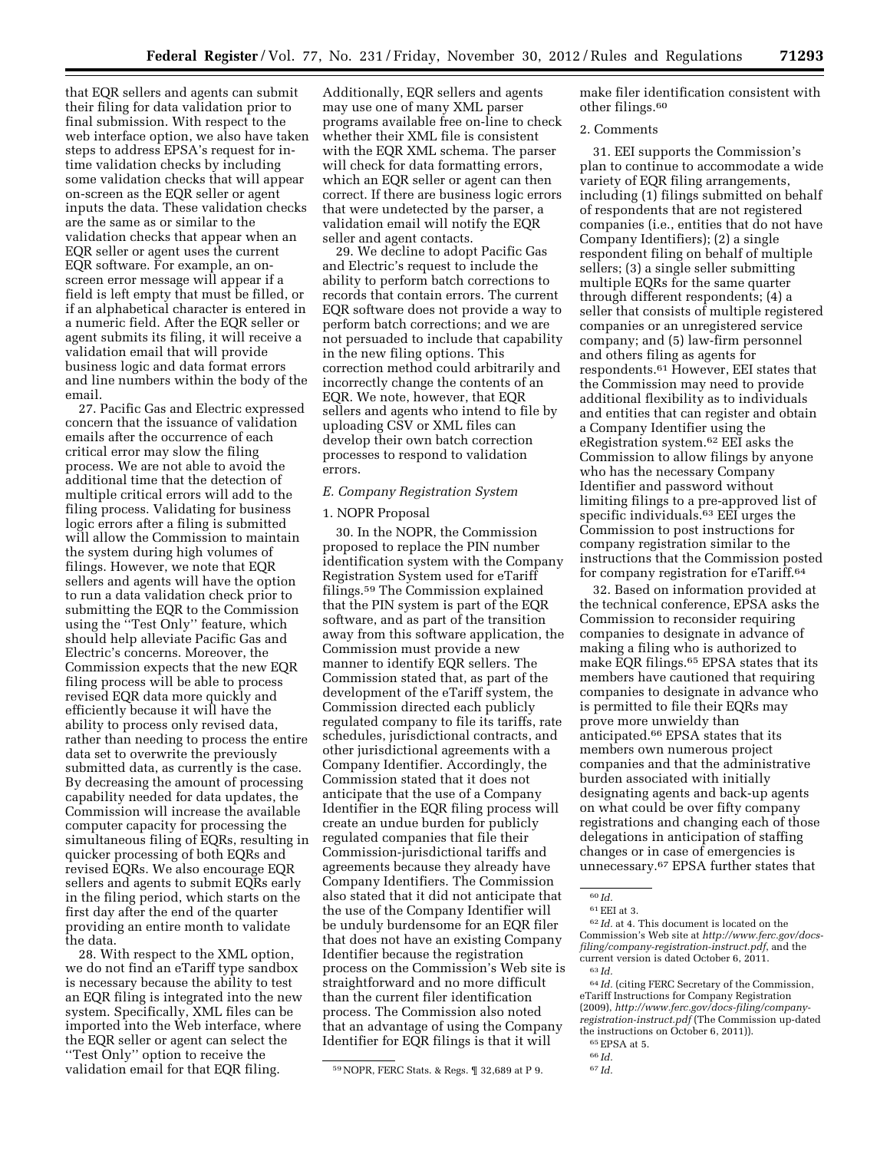that EQR sellers and agents can submit their filing for data validation prior to final submission. With respect to the web interface option, we also have taken steps to address EPSA's request for intime validation checks by including some validation checks that will appear on-screen as the EQR seller or agent inputs the data. These validation checks are the same as or similar to the validation checks that appear when an EQR seller or agent uses the current EQR software. For example, an onscreen error message will appear if a field is left empty that must be filled, or if an alphabetical character is entered in a numeric field. After the EQR seller or agent submits its filing, it will receive a validation email that will provide business logic and data format errors and line numbers within the body of the email.

27. Pacific Gas and Electric expressed concern that the issuance of validation emails after the occurrence of each critical error may slow the filing process. We are not able to avoid the additional time that the detection of multiple critical errors will add to the filing process. Validating for business logic errors after a filing is submitted will allow the Commission to maintain the system during high volumes of filings. However, we note that EQR sellers and agents will have the option to run a data validation check prior to submitting the EQR to the Commission using the ''Test Only'' feature, which should help alleviate Pacific Gas and Electric's concerns. Moreover, the Commission expects that the new EQR filing process will be able to process revised EQR data more quickly and efficiently because it will have the ability to process only revised data, rather than needing to process the entire data set to overwrite the previously submitted data, as currently is the case. By decreasing the amount of processing capability needed for data updates, the Commission will increase the available computer capacity for processing the simultaneous filing of EQRs, resulting in quicker processing of both EQRs and revised EQRs. We also encourage EQR sellers and agents to submit EQRs early in the filing period, which starts on the first day after the end of the quarter providing an entire month to validate the data.

28. With respect to the XML option, we do not find an eTariff type sandbox is necessary because the ability to test an EQR filing is integrated into the new system. Specifically, XML files can be imported into the Web interface, where the EQR seller or agent can select the ''Test Only'' option to receive the validation email for that EQR filing.

Additionally, EQR sellers and agents may use one of many XML parser programs available free on-line to check whether their XML file is consistent with the EQR XML schema. The parser will check for data formatting errors, which an EQR seller or agent can then correct. If there are business logic errors that were undetected by the parser, a validation email will notify the EQR seller and agent contacts.

29. We decline to adopt Pacific Gas and Electric's request to include the ability to perform batch corrections to records that contain errors. The current EQR software does not provide a way to perform batch corrections; and we are not persuaded to include that capability in the new filing options. This correction method could arbitrarily and incorrectly change the contents of an EQR. We note, however, that EQR sellers and agents who intend to file by uploading CSV or XML files can develop their own batch correction processes to respond to validation errors.

## *E. Company Registration System*

#### 1. NOPR Proposal

30. In the NOPR, the Commission proposed to replace the PIN number identification system with the Company Registration System used for eTariff filings.59 The Commission explained that the PIN system is part of the EQR software, and as part of the transition away from this software application, the Commission must provide a new manner to identify EQR sellers. The Commission stated that, as part of the development of the eTariff system, the Commission directed each publicly regulated company to file its tariffs, rate schedules, jurisdictional contracts, and other jurisdictional agreements with a Company Identifier. Accordingly, the Commission stated that it does not anticipate that the use of a Company Identifier in the EQR filing process will create an undue burden for publicly regulated companies that file their Commission-jurisdictional tariffs and agreements because they already have Company Identifiers. The Commission also stated that it did not anticipate that the use of the Company Identifier will be unduly burdensome for an EQR filer that does not have an existing Company Identifier because the registration process on the Commission's Web site is straightforward and no more difficult than the current filer identification process. The Commission also noted that an advantage of using the Company Identifier for EQR filings is that it will

make filer identification consistent with other filings.60

## 2. Comments

31. EEI supports the Commission's plan to continue to accommodate a wide variety of EQR filing arrangements, including (1) filings submitted on behalf of respondents that are not registered companies (i.e., entities that do not have Company Identifiers); (2) a single respondent filing on behalf of multiple sellers; (3) a single seller submitting multiple EQRs for the same quarter through different respondents; (4) a seller that consists of multiple registered companies or an unregistered service company; and (5) law-firm personnel and others filing as agents for respondents.61 However, EEI states that the Commission may need to provide additional flexibility as to individuals and entities that can register and obtain a Company Identifier using the eRegistration system.62 EEI asks the Commission to allow filings by anyone who has the necessary Company Identifier and password without limiting filings to a pre-approved list of specific individuals.63 EEI urges the Commission to post instructions for company registration similar to the instructions that the Commission posted for company registration for eTariff.64

32. Based on information provided at the technical conference, EPSA asks the Commission to reconsider requiring companies to designate in advance of making a filing who is authorized to make EQR filings.65 EPSA states that its members have cautioned that requiring companies to designate in advance who is permitted to file their EQRs may prove more unwieldy than anticipated.66 EPSA states that its members own numerous project companies and that the administrative burden associated with initially designating agents and back-up agents on what could be over fifty company registrations and changing each of those delegations in anticipation of staffing changes or in case of emergencies is unnecessary.67 EPSA further states that

62 *Id.* at 4. This document is located on the Commission's Web site at *[http://www.ferc.gov/docs](http://www.ferc.gov/docs-filing/company-registration-instruct.pdf)[filing/company-registration-instruct.pdf](http://www.ferc.gov/docs-filing/company-registration-instruct.pdf)*, and the current version is dated October 6, 2011. 63 *Id.* 

 $^{64}\,Id.$  (citing FERC Secretary of the Commission, eTariff Instructions for Company Registration (2009), *[http://www.ferc.gov/docs-filing/company](http://www.ferc.gov/docs-filing/company-registration-instruct.pdf)[registration-instruct.pdf](http://www.ferc.gov/docs-filing/company-registration-instruct.pdf)* (The Commission up-dated the instructions on October 6, 2011)).

65EPSA at 5.

<sup>59</sup>NOPR, FERC Stats. & Regs. ¶ 32,689 at P 9.

<sup>60</sup> *Id.* 

<sup>61</sup>EEI at 3.

<sup>66</sup> *Id.*  67 *Id.*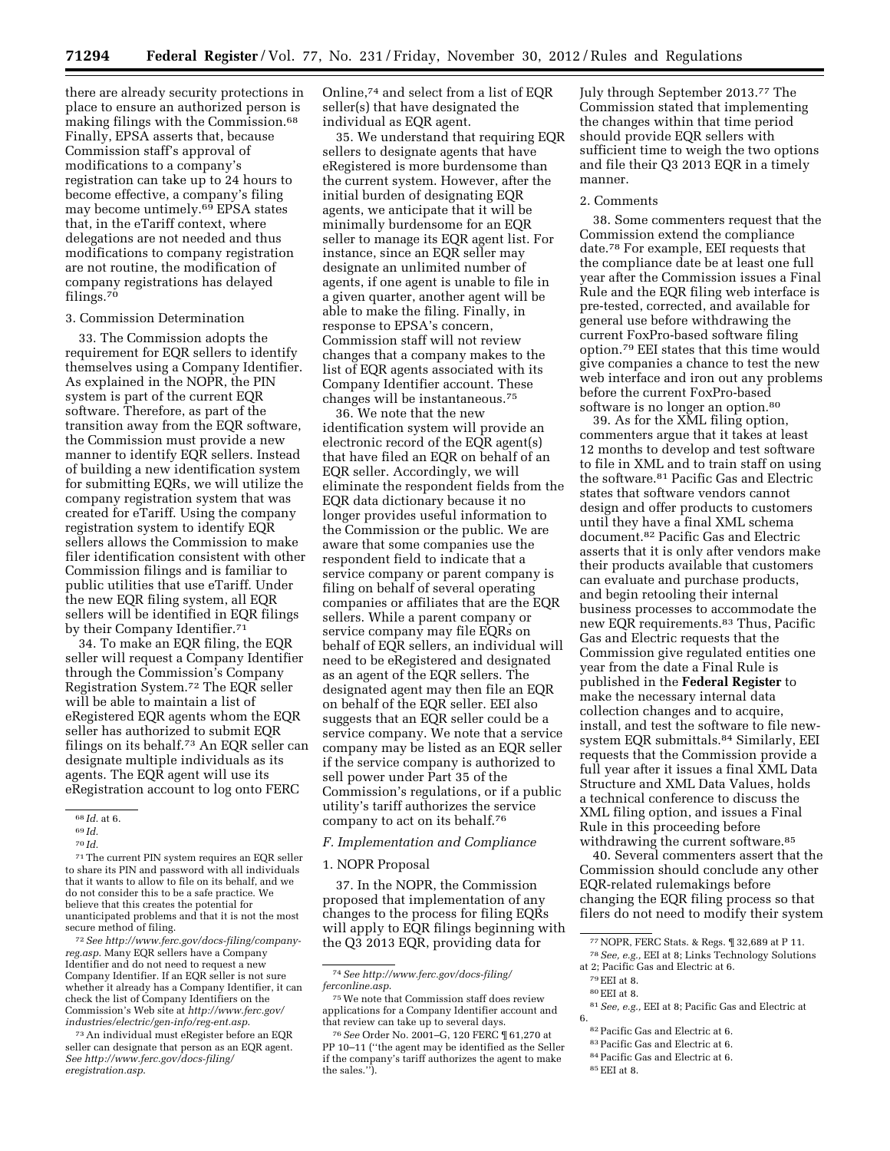there are already security protections in place to ensure an authorized person is making filings with the Commission.68 Finally, EPSA asserts that, because Commission staff's approval of modifications to a company's registration can take up to 24 hours to become effective, a company's filing may become untimely.69 EPSA states that, in the eTariff context, where delegations are not needed and thus modifications to company registration are not routine, the modification of company registrations has delayed filings.70

#### 3. Commission Determination

33. The Commission adopts the requirement for EQR sellers to identify themselves using a Company Identifier. As explained in the NOPR, the PIN system is part of the current EQR software. Therefore, as part of the transition away from the EQR software, the Commission must provide a new manner to identify EQR sellers. Instead of building a new identification system for submitting EQRs, we will utilize the company registration system that was created for eTariff. Using the company registration system to identify EQR sellers allows the Commission to make filer identification consistent with other Commission filings and is familiar to public utilities that use eTariff. Under the new EQR filing system, all EQR sellers will be identified in EQR filings by their Company Identifier.<sup>71</sup>

34. To make an EQR filing, the EQR seller will request a Company Identifier through the Commission's Company Registration System.72 The EQR seller will be able to maintain a list of eRegistered EQR agents whom the EQR seller has authorized to submit EQR filings on its behalf.73 An EQR seller can designate multiple individuals as its agents. The EQR agent will use its eRegistration account to log onto FERC

71The current PIN system requires an EQR seller to share its PIN and password with all individuals that it wants to allow to file on its behalf, and we do not consider this to be a safe practice. We believe that this creates the potential for unanticipated problems and that it is not the most secure method of filing.

72*See [http://www.ferc.gov/docs-filing/company](http://www.ferc.gov/docs-filing/company-reg.asp)[reg.asp](http://www.ferc.gov/docs-filing/company-reg.asp)*. Many EQR sellers have a Company Identifier and do not need to request a new Company Identifier. If an EQR seller is not sure whether it already has a Company Identifier, it can check the list of Company Identifiers on the Commission's Web site at *[http://www.ferc.gov/](http://www.ferc.gov/industries/electric/gen-info/reg-ent.asp)  [industries/electric/gen-info/reg-ent.asp](http://www.ferc.gov/industries/electric/gen-info/reg-ent.asp)*.

73An individual must eRegister before an EQR seller can designate that person as an EQR agent. *See [http://www.ferc.gov/docs-filing/](http://www.ferc.gov/docs-filing/eregistration.asp)  [eregistration.asp](http://www.ferc.gov/docs-filing/eregistration.asp)*.

Online,74 and select from a list of EQR seller(s) that have designated the individual as EQR agent.

35. We understand that requiring EQR sellers to designate agents that have eRegistered is more burdensome than the current system. However, after the initial burden of designating EQR agents, we anticipate that it will be minimally burdensome for an EQR seller to manage its EQR agent list. For instance, since an EQR seller may designate an unlimited number of agents, if one agent is unable to file in a given quarter, another agent will be able to make the filing. Finally, in response to EPSA's concern, Commission staff will not review changes that a company makes to the list of EQR agents associated with its Company Identifier account. These changes will be instantaneous.75

36. We note that the new identification system will provide an electronic record of the EQR agent(s) that have filed an EQR on behalf of an EQR seller. Accordingly, we will eliminate the respondent fields from the EQR data dictionary because it no longer provides useful information to the Commission or the public. We are aware that some companies use the respondent field to indicate that a service company or parent company is filing on behalf of several operating companies or affiliates that are the EQR sellers. While a parent company or service company may file EQRs on behalf of EQR sellers, an individual will need to be eRegistered and designated as an agent of the EQR sellers. The designated agent may then file an EQR on behalf of the EQR seller. EEI also suggests that an EQR seller could be a service company. We note that a service company may be listed as an EQR seller if the service company is authorized to sell power under Part 35 of the Commission's regulations, or if a public utility's tariff authorizes the service company to act on its behalf.76

## *F. Implementation and Compliance*

#### 1. NOPR Proposal

37. In the NOPR, the Commission proposed that implementation of any changes to the process for filing EQRs will apply to EQR filings beginning with the Q3 2013 EQR, providing data for

74*See [http://www.ferc.gov/docs-filing/](http://www.ferc.gov/docs-filing/ferconline.asp) [ferconline.asp](http://www.ferc.gov/docs-filing/ferconline.asp)*.

75We note that Commission staff does review applications for a Company Identifier account and that review can take up to several days.

76*See* Order No. 2001–G, 120 FERC ¶ 61,270 at PP 10–11 (''the agent may be identified as the Seller if the company's tariff authorizes the agent to make the sales.'').

July through September 2013.77 The Commission stated that implementing the changes within that time period should provide EQR sellers with sufficient time to weigh the two options and file their Q3 2013 EQR in a timely manner.

#### 2. Comments

38. Some commenters request that the Commission extend the compliance date.78 For example, EEI requests that the compliance date be at least one full year after the Commission issues a Final Rule and the EQR filing web interface is pre-tested, corrected, and available for general use before withdrawing the current FoxPro-based software filing option.79 EEI states that this time would give companies a chance to test the new web interface and iron out any problems before the current FoxPro-based software is no longer an option.<sup>80</sup>

39. As for the XML filing option, commenters argue that it takes at least 12 months to develop and test software to file in XML and to train staff on using the software.81 Pacific Gas and Electric states that software vendors cannot design and offer products to customers until they have a final XML schema document.82 Pacific Gas and Electric asserts that it is only after vendors make their products available that customers can evaluate and purchase products, and begin retooling their internal business processes to accommodate the new EQR requirements.83 Thus, Pacific Gas and Electric requests that the Commission give regulated entities one year from the date a Final Rule is published in the **Federal Register** to make the necessary internal data collection changes and to acquire, install, and test the software to file newsystem EQR submittals.84 Similarly, EEI requests that the Commission provide a full year after it issues a final XML Data Structure and XML Data Values, holds a technical conference to discuss the XML filing option, and issues a Final Rule in this proceeding before withdrawing the current software.<sup>85</sup>

40. Several commenters assert that the Commission should conclude any other EQR-related rulemakings before changing the EQR filing process so that filers do not need to modify their system

 $\rm{^{80}EEI}$  at 8.

- 82Pacific Gas and Electric at 6.
- 83Pacific Gas and Electric at 6.
- 84Pacific Gas and Electric at 6.
- 85EEI at 8.

<sup>68</sup> *Id.* at 6.

<sup>69</sup> *Id.* 

<sup>70</sup> *Id.* 

<sup>77</sup>NOPR, FERC Stats. & Regs. ¶ 32,689 at P 11.

<sup>78</sup>*See, e.g.,* EEI at 8; Links Technology Solutions at 2; Pacific Gas and Electric at 6.

<sup>79</sup>EEI at 8.

<sup>81</sup>*See, e.g.,* EEI at 8; Pacific Gas and Electric at 6.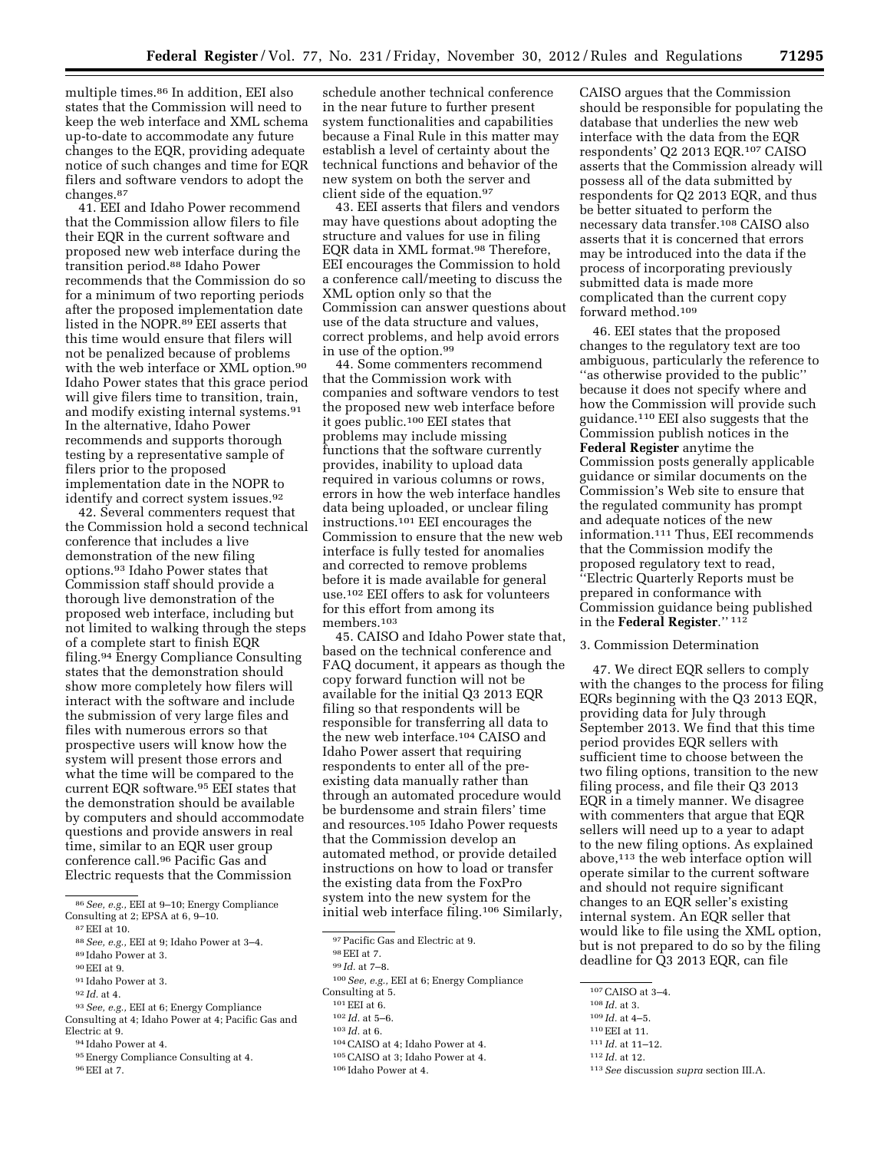multiple times.86 In addition, EEI also states that the Commission will need to keep the web interface and XML schema up-to-date to accommodate any future changes to the EQR, providing adequate notice of such changes and time for EQR filers and software vendors to adopt the changes.87

41. EEI and Idaho Power recommend that the Commission allow filers to file their EQR in the current software and proposed new web interface during the transition period.88 Idaho Power recommends that the Commission do so for a minimum of two reporting periods after the proposed implementation date listed in the NOPR.89 EEI asserts that this time would ensure that filers will not be penalized because of problems with the web interface or XML option.90 Idaho Power states that this grace period will give filers time to transition, train, and modify existing internal systems.91 In the alternative, Idaho Power recommends and supports thorough testing by a representative sample of filers prior to the proposed implementation date in the NOPR to identify and correct system issues.92

42. Several commenters request that the Commission hold a second technical conference that includes a live demonstration of the new filing options.93 Idaho Power states that Commission staff should provide a thorough live demonstration of the proposed web interface, including but not limited to walking through the steps of a complete start to finish EQR filing.94 Energy Compliance Consulting states that the demonstration should show more completely how filers will interact with the software and include the submission of very large files and files with numerous errors so that prospective users will know how the system will present those errors and what the time will be compared to the current EQR software.95 EEI states that the demonstration should be available by computers and should accommodate questions and provide answers in real time, similar to an EQR user group conference call.96 Pacific Gas and Electric requests that the Commission

86*See, e.g.,* EEI at 9–10; Energy Compliance Consulting at 2; EPSA at 6, 9–10.

- 91 Idaho Power at 3.
- 92 *Id.* at 4.
- 93*See, e.g.,* EEI at 6; Energy Compliance Consulting at 4; Idaho Power at 4; Pacific Gas and

Electric at 9. 94 Idaho Power at 4.

- 95Energy Compliance Consulting at 4.
- 96EEI at 7.

schedule another technical conference in the near future to further present system functionalities and capabilities because a Final Rule in this matter may establish a level of certainty about the technical functions and behavior of the new system on both the server and client side of the equation.97

43. EEI asserts that filers and vendors may have questions about adopting the structure and values for use in filing EQR data in XML format.98 Therefore, EEI encourages the Commission to hold a conference call/meeting to discuss the XML option only so that the Commission can answer questions about use of the data structure and values, correct problems, and help avoid errors in use of the option.99

44. Some commenters recommend that the Commission work with companies and software vendors to test the proposed new web interface before it goes public.100 EEI states that problems may include missing functions that the software currently provides, inability to upload data required in various columns or rows, errors in how the web interface handles data being uploaded, or unclear filing instructions.101 EEI encourages the Commission to ensure that the new web interface is fully tested for anomalies and corrected to remove problems before it is made available for general use.102 EEI offers to ask for volunteers for this effort from among its members.103

45. CAISO and Idaho Power state that, based on the technical conference and FAQ document, it appears as though the copy forward function will not be available for the initial Q3 2013 EQR filing so that respondents will be responsible for transferring all data to the new web interface.104 CAISO and Idaho Power assert that requiring respondents to enter all of the preexisting data manually rather than through an automated procedure would be burdensome and strain filers' time and resources.105 Idaho Power requests that the Commission develop an automated method, or provide detailed instructions on how to load or transfer the existing data from the FoxPro system into the new system for the initial web interface filing.106 Similarly,

- 103 *Id.* at 6.
- 104CAISO at 4; Idaho Power at 4.
- 105CAISO at 3; Idaho Power at 4.

CAISO argues that the Commission should be responsible for populating the database that underlies the new web interface with the data from the EQR respondents' Q2 2013 EQR.107 CAISO asserts that the Commission already will possess all of the data submitted by respondents for Q2 2013 EQR, and thus be better situated to perform the necessary data transfer.108 CAISO also asserts that it is concerned that errors may be introduced into the data if the process of incorporating previously submitted data is made more complicated than the current copy forward method.109

46. EEI states that the proposed changes to the regulatory text are too ambiguous, particularly the reference to ''as otherwise provided to the public'' because it does not specify where and how the Commission will provide such guidance.110 EEI also suggests that the Commission publish notices in the **Federal Register** anytime the Commission posts generally applicable guidance or similar documents on the Commission's Web site to ensure that the regulated community has prompt and adequate notices of the new information.111 Thus, EEI recommends that the Commission modify the proposed regulatory text to read, ''Electric Quarterly Reports must be prepared in conformance with Commission guidance being published in the **Federal Register**.'' 112

# 3. Commission Determination

47. We direct EQR sellers to comply with the changes to the process for filing EQRs beginning with the Q3 2013 EQR, providing data for July through September 2013. We find that this time period provides EQR sellers with sufficient time to choose between the two filing options, transition to the new filing process, and file their Q3 2013 EQR in a timely manner. We disagree with commenters that argue that EQR sellers will need up to a year to adapt to the new filing options. As explained above,113 the web interface option will operate similar to the current software and should not require significant changes to an EQR seller's existing internal system. An EQR seller that would like to file using the XML option, but is not prepared to do so by the filing deadline for Q3 2013 EQR, can file

- 110EEI at 11. 111 *Id.* at 11–12.
- 112 *Id.* at 12.

113*See* discussion *supra* section III.A.

 $87$  EEI at 10.

<sup>88</sup>*See, e.g.,* EEI at 9; Idaho Power at 3–4.

<sup>89</sup> Idaho Power at 3.

<sup>90</sup>EEI at 9.

<sup>97</sup>Pacific Gas and Electric at 9.

<sup>98</sup>EEI at 7.

<sup>99</sup> *Id.* at 7–8.

<sup>100</sup>*See, e.g.,* EEI at 6; Energy Compliance

Consulting at 5.

<sup>101</sup>EEI at 6.

<sup>102</sup> *Id.* at 5–6.

<sup>106</sup> Idaho Power at 4.

<sup>107</sup>CAISO at 3–4.

<sup>108</sup> *Id.* at 3.

<sup>109</sup> *Id.* at 4–5.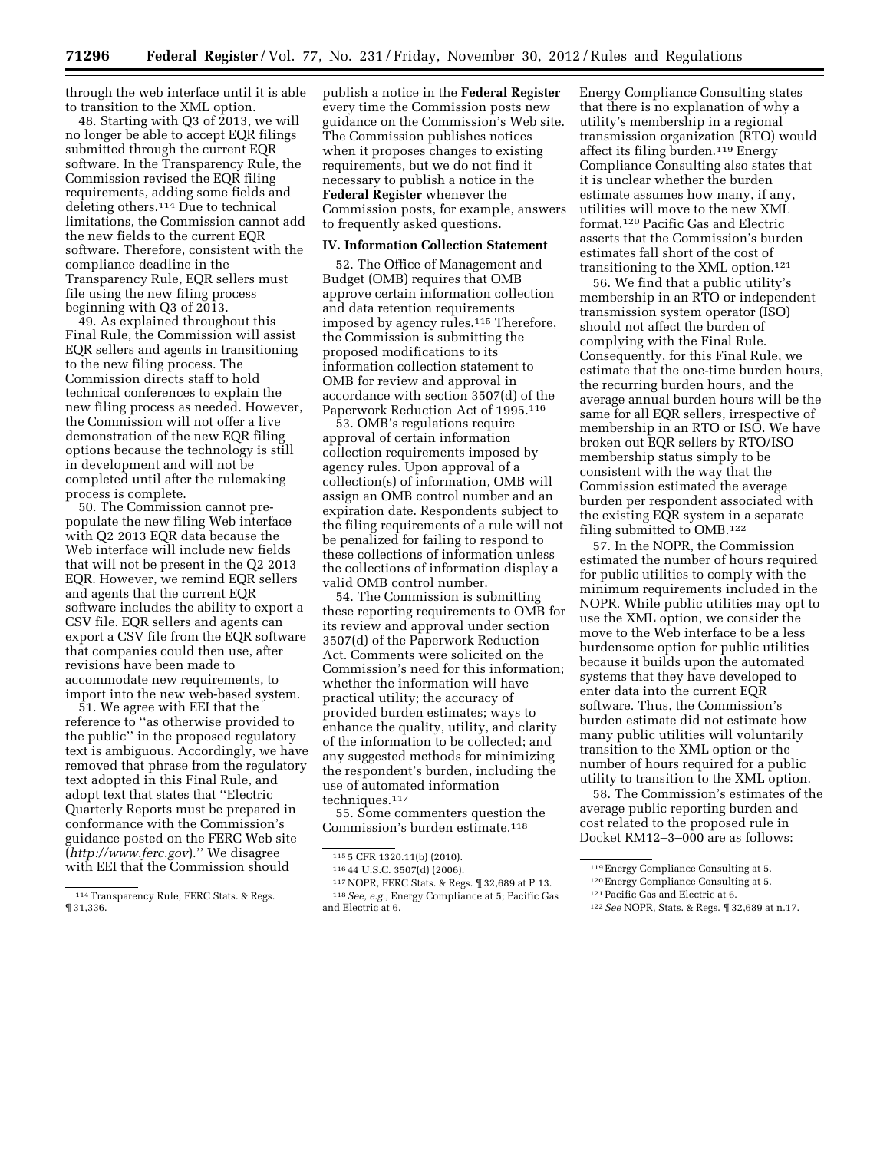through the web interface until it is able to transition to the XML option.

48. Starting with Q3 of 2013, we will no longer be able to accept EQR filings submitted through the current EQR software. In the Transparency Rule, the Commission revised the EQR filing requirements, adding some fields and deleting others.114 Due to technical limitations, the Commission cannot add the new fields to the current EQR software. Therefore, consistent with the compliance deadline in the Transparency Rule, EQR sellers must file using the new filing process beginning with Q3 of 2013.

49. As explained throughout this Final Rule, the Commission will assist EQR sellers and agents in transitioning to the new filing process. The Commission directs staff to hold technical conferences to explain the new filing process as needed. However, the Commission will not offer a live demonstration of the new EQR filing options because the technology is still in development and will not be completed until after the rulemaking process is complete.

50. The Commission cannot prepopulate the new filing Web interface with Q2 2013 EQR data because the Web interface will include new fields that will not be present in the Q2 2013 EQR. However, we remind EQR sellers and agents that the current EQR software includes the ability to export a CSV file. EQR sellers and agents can export a CSV file from the EQR software that companies could then use, after revisions have been made to accommodate new requirements, to import into the new web-based system.

51. We agree with EEI that the reference to ''as otherwise provided to the public'' in the proposed regulatory text is ambiguous. Accordingly, we have removed that phrase from the regulatory text adopted in this Final Rule, and adopt text that states that ''Electric Quarterly Reports must be prepared in conformance with the Commission's guidance posted on the FERC Web site (*<http://www.ferc.gov>*).'' We disagree with EEI that the Commission should

publish a notice in the **Federal Register**  every time the Commission posts new guidance on the Commission's Web site. The Commission publishes notices when it proposes changes to existing requirements, but we do not find it necessary to publish a notice in the **Federal Register** whenever the Commission posts, for example, answers to frequently asked questions.

## **IV. Information Collection Statement**

52. The Office of Management and Budget (OMB) requires that OMB approve certain information collection and data retention requirements imposed by agency rules.115 Therefore, the Commission is submitting the proposed modifications to its information collection statement to OMB for review and approval in accordance with section 3507(d) of the Paperwork Reduction Act of 1995.116

53. OMB's regulations require approval of certain information collection requirements imposed by agency rules. Upon approval of a collection(s) of information, OMB will assign an OMB control number and an expiration date. Respondents subject to the filing requirements of a rule will not be penalized for failing to respond to these collections of information unless the collections of information display a valid OMB control number.

54. The Commission is submitting these reporting requirements to OMB for its review and approval under section 3507(d) of the Paperwork Reduction Act. Comments were solicited on the Commission's need for this information; whether the information will have practical utility; the accuracy of provided burden estimates; ways to enhance the quality, utility, and clarity of the information to be collected; and any suggested methods for minimizing the respondent's burden, including the use of automated information techniques.<sup>117</sup>

55. Some commenters question the Commission's burden estimate.118

Energy Compliance Consulting states that there is no explanation of why a utility's membership in a regional transmission organization (RTO) would affect its filing burden.119 Energy Compliance Consulting also states that it is unclear whether the burden estimate assumes how many, if any, utilities will move to the new XML format.120 Pacific Gas and Electric asserts that the Commission's burden estimates fall short of the cost of transitioning to the XML option.121

56. We find that a public utility's membership in an RTO or independent transmission system operator (ISO) should not affect the burden of complying with the Final Rule. Consequently, for this Final Rule, we estimate that the one-time burden hours, the recurring burden hours, and the average annual burden hours will be the same for all EQR sellers, irrespective of membership in an RTO or ISO. We have broken out EQR sellers by RTO/ISO membership status simply to be consistent with the way that the Commission estimated the average burden per respondent associated with the existing EQR system in a separate filing submitted to OMB.122

57. In the NOPR, the Commission estimated the number of hours required for public utilities to comply with the minimum requirements included in the NOPR. While public utilities may opt to use the XML option, we consider the move to the Web interface to be a less burdensome option for public utilities because it builds upon the automated systems that they have developed to enter data into the current EQR software. Thus, the Commission's burden estimate did not estimate how many public utilities will voluntarily transition to the XML option or the number of hours required for a public utility to transition to the XML option.

58. The Commission's estimates of the average public reporting burden and cost related to the proposed rule in Docket RM12–3–000 are as follows:

<sup>114</sup>Transparency Rule, FERC Stats. & Regs. ¶ 31,336.

<sup>115</sup> 5 CFR 1320.11(b) (2010).

<sup>116</sup> 44 U.S.C. 3507(d) (2006).

<sup>117</sup>NOPR, FERC Stats. & Regs. ¶ 32,689 at P 13. 118*See, e.g.,* Energy Compliance at 5; Pacific Gas and Electric at 6.

<sup>119</sup>Energy Compliance Consulting at 5.

<sup>120</sup>Energy Compliance Consulting at 5. 121Pacific Gas and Electric at 6.

<sup>122</sup>*See* NOPR, Stats. & Regs. ¶ 32,689 at n.17.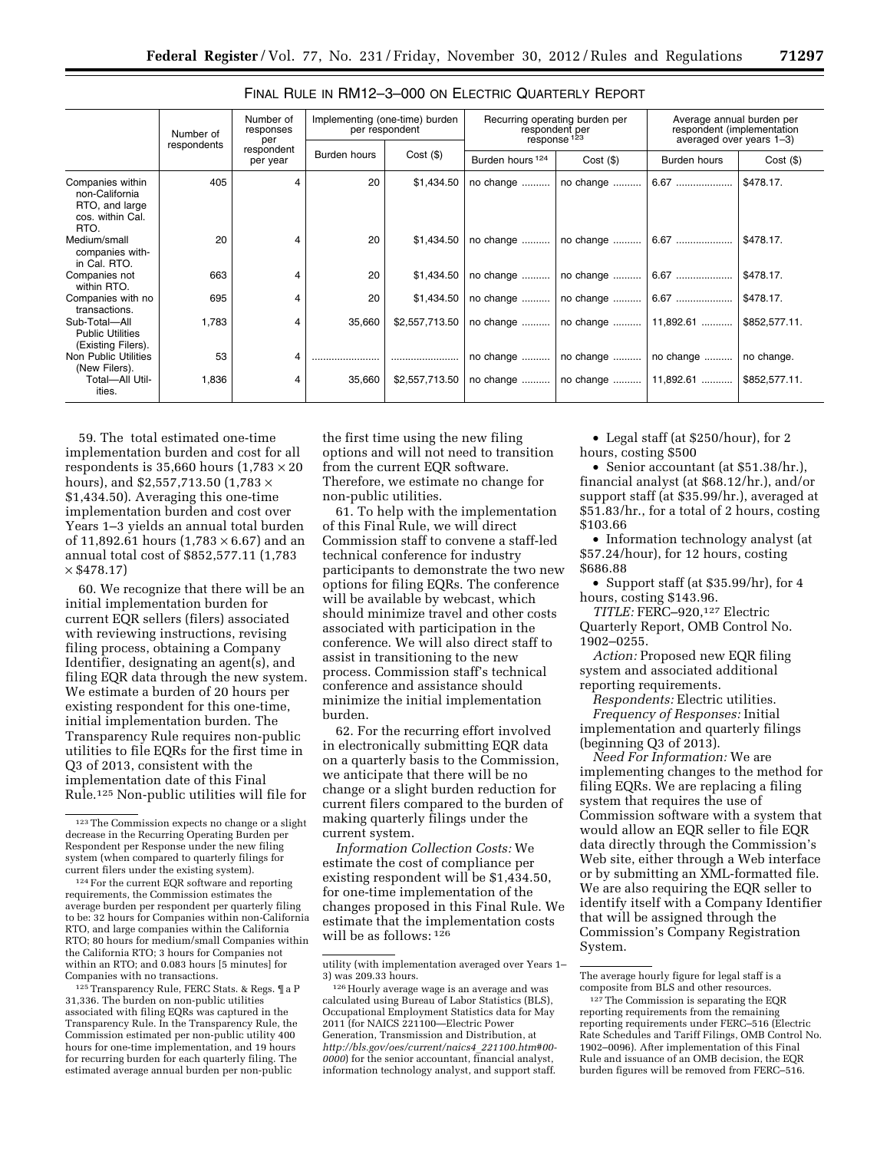|                                                                                  | Number of<br>respondents | Number of<br>responses<br>per | Implementing (one-time) burden<br>Recurring operating burden per<br>per respondent<br>respondent per<br>response <sup>123</sup> |                | Average annual burden per<br>respondent (implementation<br>averaged over years 1-3) |                                     |              |               |
|----------------------------------------------------------------------------------|--------------------------|-------------------------------|---------------------------------------------------------------------------------------------------------------------------------|----------------|-------------------------------------------------------------------------------------|-------------------------------------|--------------|---------------|
|                                                                                  |                          | respondent<br>per year        | Burden hours                                                                                                                    | $Cost($ \$)    | Burden hours <sup>124</sup>                                                         | $Cost($ \$)                         | Burden hours | $Cost($ \$)   |
| Companies within<br>non-California<br>RTO, and large<br>cos. within Cal.<br>RTO. | 405                      | 4                             | 20                                                                                                                              | \$1,434.50     | no change                                                                           | no change                           | 6.67         | \$478.17.     |
| Medium/small<br>companies with-<br>in Cal. RTO.                                  | 20                       | 4                             | 20                                                                                                                              | \$1.434.50     | no change                                                                           | no change                           | 6.67         | \$478.17.     |
| Companies not<br>within RTO.                                                     | 663                      | 4                             | 20                                                                                                                              | \$1,434.50     | no change                                                                           | no change                           | 6.67         | \$478.17.     |
| Companies with no<br>transactions.                                               | 695                      | 4                             | 20                                                                                                                              | \$1.434.50     | no change                                                                           | no change                           | 6.67         | \$478.17.     |
| Sub-Total-All<br><b>Public Utilities</b><br>(Existing Filers).                   | 1,783                    | 4                             | 35,660                                                                                                                          | \$2,557,713.50 | no change                                                                           | no change    11,892.61              |              | \$852,577.11. |
| Non Public Utilities<br>(New Filers).                                            | 53                       | 4                             |                                                                                                                                 |                | no change                                                                           | no change    no change              |              | no change.    |
| Total-All Util-<br>ities.                                                        | 1,836                    | 4                             | 35,660                                                                                                                          | \$2,557,713.50 |                                                                                     | no change    no change    11,892.61 |              | \$852,577.11. |

# FINAL RULE IN RM12–3–000 ON ELECTRIC QUARTERLY REPORT

59. The total estimated one-time implementation burden and cost for all respondents is 35,660 hours  $(1,783 \times 20)$ hours), and \$2,557,713.50 (1,783  $\times$ \$1,434.50). Averaging this one-time implementation burden and cost over Years 1–3 yields an annual total burden of 11,892.61 hours  $(1,783 \times 6.67)$  and an annual total cost of \$852,577.11 (1,783  $\times$  \$478.17)

60. We recognize that there will be an initial implementation burden for current EQR sellers (filers) associated with reviewing instructions, revising filing process, obtaining a Company Identifier, designating an agent(s), and filing EQR data through the new system. We estimate a burden of 20 hours per existing respondent for this one-time, initial implementation burden. The Transparency Rule requires non-public utilities to file EQRs for the first time in Q3 of 2013, consistent with the implementation date of this Final Rule.125 Non-public utilities will file for

124For the current EQR software and reporting requirements, the Commission estimates the average burden per respondent per quarterly filing to be: 32 hours for Companies within non-California RTO, and large companies within the California RTO; 80 hours for medium/small Companies within the California RTO; 3 hours for Companies not within an RTO; and 0.083 hours [5 minutes] for Companies with no transactions.

125Transparency Rule, FERC Stats. & Regs. ¶ a P 31,336. The burden on non-public utilities associated with filing EQRs was captured in the Transparency Rule. In the Transparency Rule, the Commission estimated per non-public utility 400 hours for one-time implementation, and 19 hours for recurring burden for each quarterly filing. The estimated average annual burden per non-public

the first time using the new filing options and will not need to transition from the current EQR software. Therefore, we estimate no change for non-public utilities.

61. To help with the implementation of this Final Rule, we will direct Commission staff to convene a staff-led technical conference for industry participants to demonstrate the two new options for filing EQRs. The conference will be available by webcast, which should minimize travel and other costs associated with participation in the conference. We will also direct staff to assist in transitioning to the new process. Commission staff's technical conference and assistance should minimize the initial implementation burden.

62. For the recurring effort involved in electronically submitting EQR data on a quarterly basis to the Commission, we anticipate that there will be no change or a slight burden reduction for current filers compared to the burden of making quarterly filings under the current system.

*Information Collection Costs:* We estimate the cost of compliance per existing respondent will be \$1,434.50, for one-time implementation of the changes proposed in this Final Rule. We estimate that the implementation costs will be as follows: 126

• Legal staff (at \$250/hour), for 2 hours, costing \$500

• Senior accountant (at \$51.38/hr.), financial analyst (at \$68.12/hr.), and/or support staff (at \$35.99/hr.), averaged at \$51.83/hr., for a total of 2 hours, costing \$103.66

• Information technology analyst (at \$57.24/hour), for 12 hours, costing \$686.88

• Support staff (at \$35.99/hr), for 4 hours, costing \$143.96.

*TITLE:* FERC–920,127 Electric Quarterly Report, OMB Control No. 1902–0255.

*Action:* Proposed new EQR filing system and associated additional reporting requirements.

*Respondents:* Electric utilities. *Frequency of Responses:* Initial implementation and quarterly filings (beginning Q3 of 2013).

*Need For Information:* We are implementing changes to the method for filing EQRs. We are replacing a filing system that requires the use of Commission software with a system that would allow an EQR seller to file EQR data directly through the Commission's Web site, either through a Web interface or by submitting an XML-formatted file. We are also requiring the EQR seller to identify itself with a Company Identifier that will be assigned through the Commission's Company Registration System.

<sup>123</sup>The Commission expects no change or a slight decrease in the Recurring Operating Burden per Respondent per Response under the new filing system (when compared to quarterly filings for current filers under the existing system).

utility (with implementation averaged over Years 1– 3) was 209.33 hours.

<sup>126</sup>Hourly average wage is an average and was calculated using Bureau of Labor Statistics (BLS), Occupational Employment Statistics data for May 2011 (for NAICS 221100—Electric Power Generation, Transmission and Distribution, at *[http://bls.gov/oes/current/naics4](http://bls.gov/oes/current/naics4_221100.htm#00-0000)*\_*221100.htm#00- [0000](http://bls.gov/oes/current/naics4_221100.htm#00-0000)*) for the senior accountant, financial analyst, information technology analyst, and support staff.

The average hourly figure for legal staff is a composite from BLS and other resources.

<sup>127</sup>The Commission is separating the EQR reporting requirements from the remaining reporting requirements under FERC–516 (Electric Rate Schedules and Tariff Filings, OMB Control No. 1902–0096). After implementation of this Final Rule and issuance of an OMB decision, the EQR burden figures will be removed from FERC–516.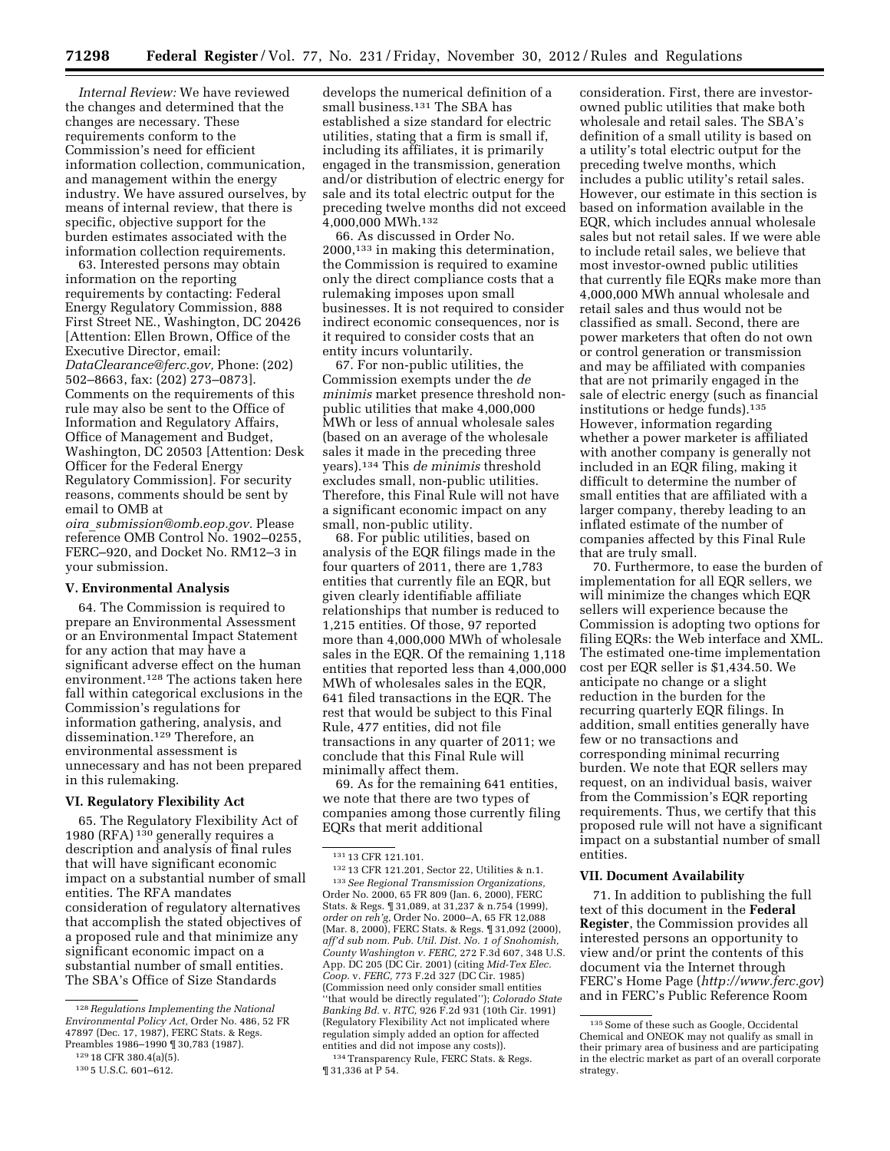*Internal Review:* We have reviewed the changes and determined that the changes are necessary. These requirements conform to the Commission's need for efficient information collection, communication, and management within the energy industry. We have assured ourselves, by means of internal review, that there is specific, objective support for the burden estimates associated with the information collection requirements.

63. Interested persons may obtain information on the reporting requirements by contacting: Federal Energy Regulatory Commission, 888 First Street NE., Washington, DC 20426 [Attention: Ellen Brown, Office of the Executive Director, email: *[DataClearance@ferc.gov,](mailto:DataClearance@ferc.gov)* Phone: (202) 502–8663, fax: (202) 273–0873]. Comments on the requirements of this rule may also be sent to the Office of Information and Regulatory Affairs, Office of Management and Budget, Washington, DC 20503 [Attention: Desk Officer for the Federal Energy Regulatory Commission]. For security reasons, comments should be sent by email to OMB at *oira*\_*[submission@omb.eop.gov.](mailto:oira_submission@omb.eop.gov)* Please reference OMB Control No. 1902–0255,

FERC–920, and Docket No. RM12–3 in your submission.

## **V. Environmental Analysis**

64. The Commission is required to prepare an Environmental Assessment or an Environmental Impact Statement for any action that may have a significant adverse effect on the human environment.128 The actions taken here fall within categorical exclusions in the Commission's regulations for information gathering, analysis, and dissemination.129 Therefore, an environmental assessment is unnecessary and has not been prepared in this rulemaking.

#### **VI. Regulatory Flexibility Act**

65. The Regulatory Flexibility Act of 1980 (RFA) 130 generally requires a description and analysis of final rules that will have significant economic impact on a substantial number of small entities. The RFA mandates consideration of regulatory alternatives that accomplish the stated objectives of a proposed rule and that minimize any significant economic impact on a substantial number of small entities. The SBA's Office of Size Standards

develops the numerical definition of a small business.131 The SBA has established a size standard for electric utilities, stating that a firm is small if, including its affiliates, it is primarily engaged in the transmission, generation and/or distribution of electric energy for sale and its total electric output for the preceding twelve months did not exceed 4,000,000 MWh.132

66. As discussed in Order No. 2000,133 in making this determination, the Commission is required to examine only the direct compliance costs that a rulemaking imposes upon small businesses. It is not required to consider indirect economic consequences, nor is it required to consider costs that an entity incurs voluntarily.

67. For non-public utilities, the Commission exempts under the *de minimis* market presence threshold nonpublic utilities that make 4,000,000 MWh or less of annual wholesale sales (based on an average of the wholesale sales it made in the preceding three years).134 This *de minimis* threshold excludes small, non-public utilities. Therefore, this Final Rule will not have a significant economic impact on any small, non-public utility.

68. For public utilities, based on analysis of the EQR filings made in the four quarters of 2011, there are 1,783 entities that currently file an EQR, but given clearly identifiable affiliate relationships that number is reduced to 1,215 entities. Of those, 97 reported more than 4,000,000 MWh of wholesale sales in the EQR. Of the remaining 1,118 entities that reported less than 4,000,000 MWh of wholesales sales in the EQR, 641 filed transactions in the EQR. The rest that would be subject to this Final Rule, 477 entities, did not file transactions in any quarter of 2011; we conclude that this Final Rule will minimally affect them.

69. As for the remaining 641 entities, we note that there are two types of companies among those currently filing EQRs that merit additional

132 13 CFR 121.201, Sector 22, Utilities & n.1. 133*See Regional Transmission Organizations,*  Order No. 2000, 65 FR 809 (Jan. 6, 2000), FERC Stats. & Regs. ¶ 31,089, at 31,237 & n.754 (1999), *order on reh'g,* Order No. 2000–A, 65 FR 12,088 (Mar. 8, 2000), FERC Stats. & Regs. ¶ 31,092 (2000), *aff'd sub nom. Pub. Util. Dist. No. 1 of Snohomish, County Washington v. FERC,* 272 F.3d 607, 348 U.S. App. DC 205 (DC Cir. 2001) (citing *Mid-Tex Elec. Coop.* v. *FERC,* 773 F.2d 327 (DC Cir. 1985) (Commission need only consider small entities ''that would be directly regulated''); *Colorado State Banking Bd.* v. *RTC,* 926 F.2d 931 (10th Cir. 1991) (Regulatory Flexibility Act not implicated where regulation simply added an option for affected entities and did not impose any costs)).

134Transparency Rule, FERC Stats. & Regs.  $\P$  31,336 at P 54.

consideration. First, there are investorowned public utilities that make both wholesale and retail sales. The SBA's definition of a small utility is based on a utility's total electric output for the preceding twelve months, which includes a public utility's retail sales. However, our estimate in this section is based on information available in the EQR, which includes annual wholesale sales but not retail sales. If we were able to include retail sales, we believe that most investor-owned public utilities that currently file EQRs make more than 4,000,000 MWh annual wholesale and retail sales and thus would not be classified as small. Second, there are power marketers that often do not own or control generation or transmission and may be affiliated with companies that are not primarily engaged in the sale of electric energy (such as financial institutions or hedge funds).135 However, information regarding whether a power marketer is affiliated with another company is generally not included in an EQR filing, making it difficult to determine the number of small entities that are affiliated with a larger company, thereby leading to an inflated estimate of the number of companies affected by this Final Rule that are truly small.

70. Furthermore, to ease the burden of implementation for all EQR sellers, we will minimize the changes which EQR sellers will experience because the Commission is adopting two options for filing EQRs: the Web interface and XML. The estimated one-time implementation cost per EQR seller is \$1,434.50. We anticipate no change or a slight reduction in the burden for the recurring quarterly EQR filings. In addition, small entities generally have few or no transactions and corresponding minimal recurring burden. We note that EQR sellers may request, on an individual basis, waiver from the Commission's EQR reporting requirements. Thus, we certify that this proposed rule will not have a significant impact on a substantial number of small entities.

# **VII. Document Availability**

71. In addition to publishing the full text of this document in the **Federal Register**, the Commission provides all interested persons an opportunity to view and/or print the contents of this document via the Internet through FERC's Home Page (*<http://www.ferc.gov>*) and in FERC's Public Reference Room

<sup>128</sup>*Regulations Implementing the National Environmental Policy Act,* Order No. 486, 52 FR 47897 (Dec. 17, 1987), FERC Stats. & Regs. Preambles 1986–1990 ¶ 30,783 (1987).

<sup>129</sup> 18 CFR 380.4(a)(5).

<sup>130</sup> 5 U.S.C. 601–612.

<sup>131</sup> 13 CFR 121.101.

<sup>135</sup>Some of these such as Google, Occidental Chemical and ONEOK may not qualify as small in their primary area of business and are participating in the electric market as part of an overall corporate strategy.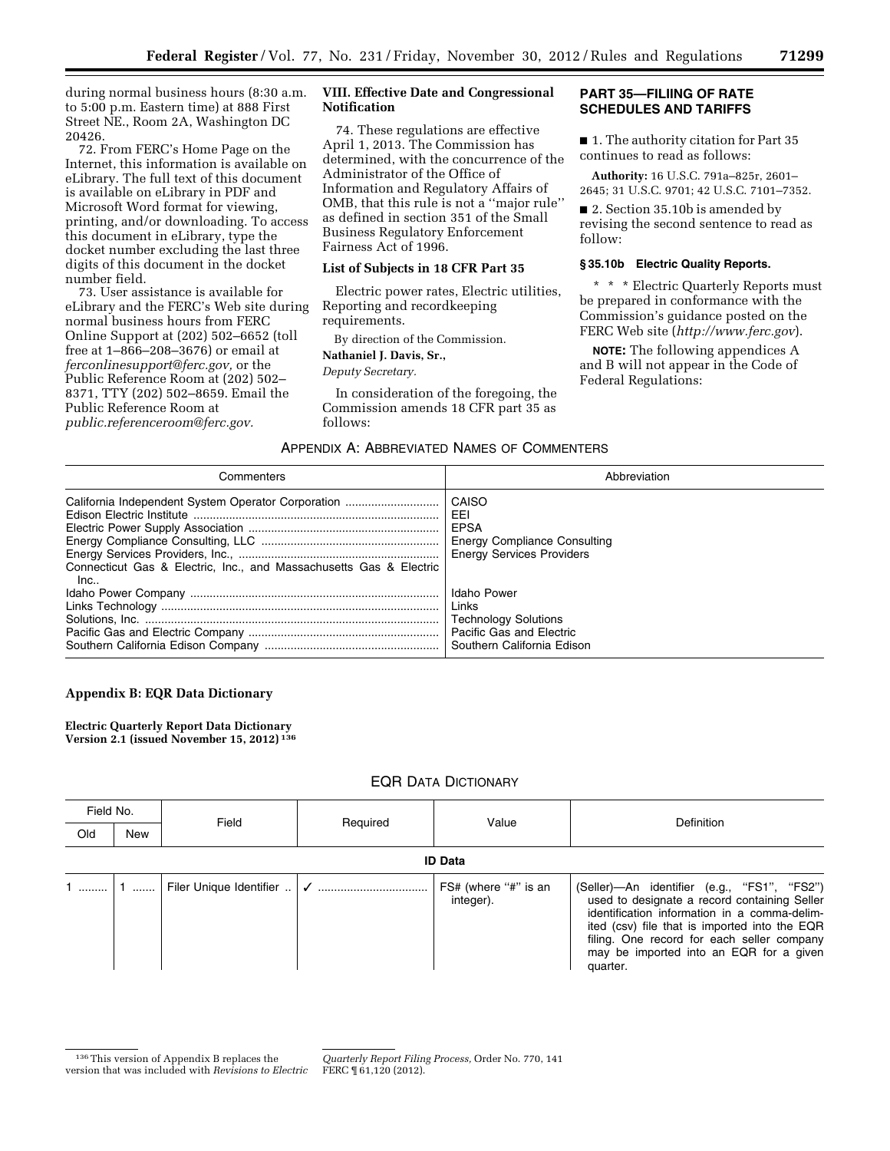during normal business hours (8:30 a.m. to 5:00 p.m. Eastern time) at 888 First Street NE., Room 2A, Washington DC 20426.

72. From FERC's Home Page on the Internet, this information is available on eLibrary. The full text of this document is available on eLibrary in PDF and Microsoft Word format for viewing, printing, and/or downloading. To access this document in eLibrary, type the docket number excluding the last three digits of this document in the docket number field.

73. User assistance is available for eLibrary and the FERC's Web site during normal business hours from FERC Online Support at (202) 502–6652 (toll free at 1–866–208–3676) or email at *[ferconlinesupport@ferc.gov,](mailto:ferconlinesupport@ferc.gov)* or the Public Reference Room at (202) 502– 8371, TTY (202) 502–8659. Email the Public Reference Room at *[public.referenceroom@ferc.gov.](mailto:public.referenceroom@ferc.gov)* 

# **VIII. Effective Date and Congressional Notification**

74. These regulations are effective April 1, 2013. The Commission has determined, with the concurrence of the Administrator of the Office of Information and Regulatory Affairs of OMB, that this rule is not a ''major rule'' as defined in section 351 of the Small Business Regulatory Enforcement Fairness Act of 1996.

## **List of Subjects in 18 CFR Part 35**

Electric power rates, Electric utilities, Reporting and recordkeeping requirements.

By direction of the Commission.

# **Nathaniel J. Davis, Sr.,**

*Deputy Secretary.* 

In consideration of the foregoing, the Commission amends 18 CFR part 35 as follows:

# **PART 35—FILIING OF RATE SCHEDULES AND TARIFFS**

■ 1. The authority citation for Part 35 continues to read as follows:

**Authority:** 16 U.S.C. 791a–825r, 2601– 2645; 31 U.S.C. 9701; 42 U.S.C. 7101–7352.

■ 2. Section 35.10b is amended by revising the second sentence to read as follow:

## **§ 35.10b Electric Quality Reports.**

\* \* \* Electric Quarterly Reports must be prepared in conformance with the Commission's guidance posted on the FERC Web site (*<http://www.ferc.gov>*).

**NOTE:** The following appendices A and B will not appear in the Code of Federal Regulations:

## APPENDIX A: ABBREVIATED NAMES OF COMMENTERS

| Commenters                                                                                                               | Abbreviation                                                                                                  |
|--------------------------------------------------------------------------------------------------------------------------|---------------------------------------------------------------------------------------------------------------|
| California Independent System Operator Corporation<br>Connecticut Gas & Electric, Inc., and Massachusetts Gas & Electric | CAISO<br>EEI<br>EPSA<br>Energy Compliance Consulting<br><b>Energy Services Providers</b>                      |
| Inc                                                                                                                      | Idaho Power<br>Links<br><b>Technology Solutions</b><br>Pacific Gas and Electric<br>Southern California Edison |

# **Appendix B: EQR Data Dictionary**

**Electric Quarterly Report Data Dictionary Version 2.1 (issued November 15, 2012) 136**

# EQR DATA DICTIONARY

| Field No. |                | Field |          | Value                             | <b>Definition</b>                                                                                                                                                                                                                                                                                 |  |  |
|-----------|----------------|-------|----------|-----------------------------------|---------------------------------------------------------------------------------------------------------------------------------------------------------------------------------------------------------------------------------------------------------------------------------------------------|--|--|
| Old       | New            |       | Required |                                   |                                                                                                                                                                                                                                                                                                   |  |  |
|           | <b>ID Data</b> |       |          |                                   |                                                                                                                                                                                                                                                                                                   |  |  |
|           |                |       |          | FS# (where "#" is an<br>integer). | (Seller)-An identifier (e.g., "FS1", "FS2")<br>used to designate a record containing Seller<br>identification information in a comma-delim-<br>ited (csv) file that is imported into the EQR<br>filing. One record for each seller company<br>may be imported into an EQR for a given<br>quarter. |  |  |

<sup>136</sup>This version of Appendix B replaces the version that was included with *Revisions to Electric* 

*Quarterly Report Filing Process,* Order No. 770, 141 FERC ¶ 61,120 (2012).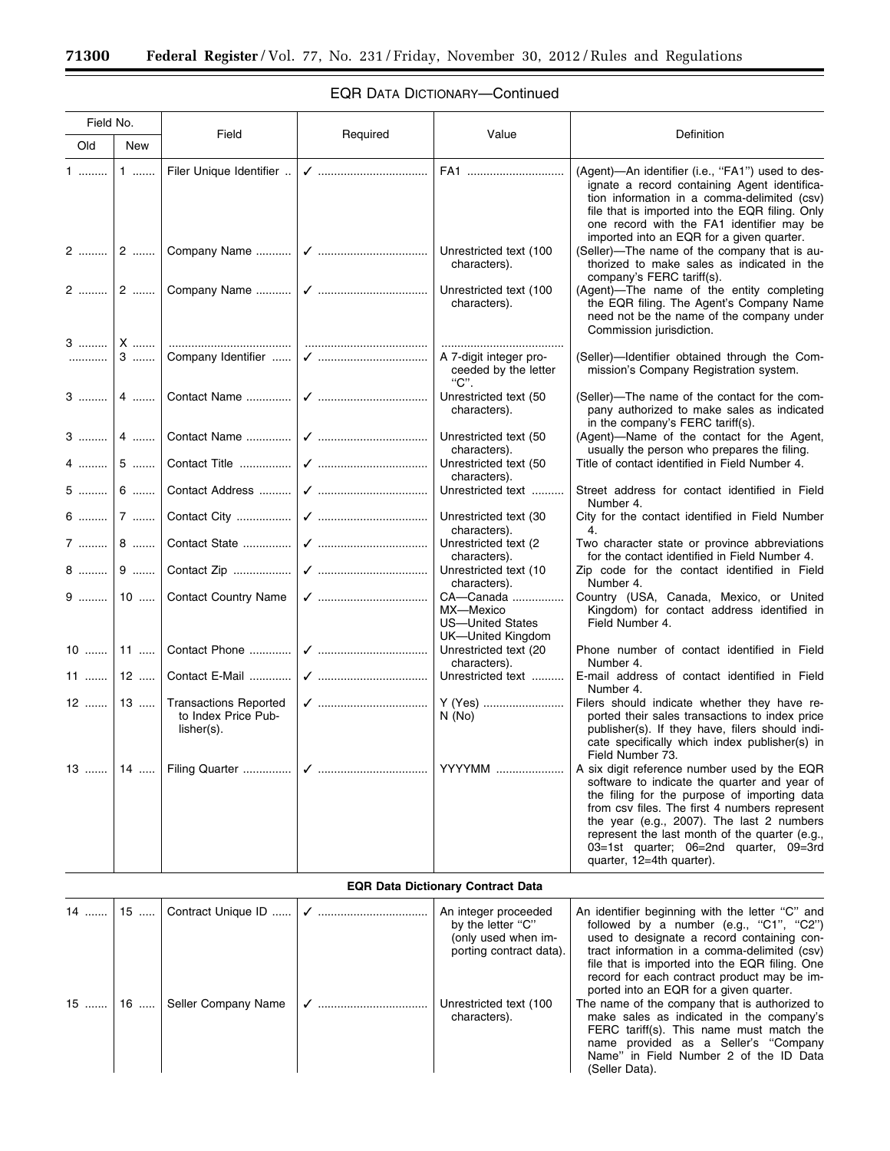$\equiv$ 

| Field No. |                                          |                                                                                                                                                                                                                                                                                                                                                                                                                                                                                                                                                                             |          |                                                                               |                                                                                                                                                                                                                                                                                                                                                                     |  |  |
|-----------|------------------------------------------|-----------------------------------------------------------------------------------------------------------------------------------------------------------------------------------------------------------------------------------------------------------------------------------------------------------------------------------------------------------------------------------------------------------------------------------------------------------------------------------------------------------------------------------------------------------------------------|----------|-------------------------------------------------------------------------------|---------------------------------------------------------------------------------------------------------------------------------------------------------------------------------------------------------------------------------------------------------------------------------------------------------------------------------------------------------------------|--|--|
| Old       | New                                      | Field                                                                                                                                                                                                                                                                                                                                                                                                                                                                                                                                                                       | Required | Value                                                                         | Definition                                                                                                                                                                                                                                                                                                                                                          |  |  |
| 1         | $1$                                      | Filer Unique Identifier                                                                                                                                                                                                                                                                                                                                                                                                                                                                                                                                                     |          |                                                                               | (Agent)—An identifier (i.e., "FA1") used to des-<br>ignate a record containing Agent identifica-<br>tion information in a comma-delimited (csv)<br>file that is imported into the EQR filing. Only<br>one record with the FA1 identifier may be<br>imported into an EQR for a given quarter.                                                                        |  |  |
|           |                                          |                                                                                                                                                                                                                                                                                                                                                                                                                                                                                                                                                                             |          | Unrestricted text (100<br>characters).                                        | (Seller)—The name of the company that is au-<br>thorized to make sales as indicated in the<br>company's FERC tariff(s).                                                                                                                                                                                                                                             |  |  |
|           |                                          |                                                                                                                                                                                                                                                                                                                                                                                                                                                                                                                                                                             |          | Unrestricted text (100<br>characters).                                        | (Agent)-The name of the entity completing<br>the EQR filing. The Agent's Company Name<br>need not be the name of the company under<br>Commission jurisdiction.                                                                                                                                                                                                      |  |  |
| . 1       | $3$                                      |                                                                                                                                                                                                                                                                                                                                                                                                                                                                                                                                                                             |          | A 7-digit integer pro-<br>ceeded by the letter<br>"C".                        | (Seller)-Identifier obtained through the Com-<br>mission's Company Registration system.                                                                                                                                                                                                                                                                             |  |  |
|           |                                          |                                                                                                                                                                                                                                                                                                                                                                                                                                                                                                                                                                             |          | Unrestricted text (50<br>characters).                                         | (Seller)—The name of the contact for the com-<br>pany authorized to make sales as indicated<br>in the company's FERC tariff(s).                                                                                                                                                                                                                                     |  |  |
| $3$   4   |                                          |                                                                                                                                                                                                                                                                                                                                                                                                                                                                                                                                                                             |          | Unrestricted text (50<br>characters).                                         | (Agent)-Name of the contact for the Agent,<br>usually the person who prepares the filing.                                                                                                                                                                                                                                                                           |  |  |
| $4$       | $5$                                      | $\begin{tabular}{ll} \multicolumn{2}{c}{{\small\textbf{Context}}{\small\textbf{Title}}}\end{tabular} \begin{tabular}{ll} \textbf{Context Title} & \textbf{if } {\small\textbf{if } {\small\textbf{if } {\small\textbf{if } {\small\textbf{if } {\small\textbf{if } {\small\textbf{if } {\small\textbf{if } {\small\textbf{if } {\small\textbf{if } {\small\textbf{if } {\small\textbf{if } {\small\textbf{if } {\small\textbf{if } {\small\textbf{if } {\small\textbf{if } {\small\textbf{if } {\small\textbf{if } {\small\textbf{if } {\small\textbf{if } {\small\textbf{$ |          | Unrestricted text (50<br>characters).                                         | Title of contact identified in Field Number 4.                                                                                                                                                                                                                                                                                                                      |  |  |
| $5$ 6     |                                          |                                                                                                                                                                                                                                                                                                                                                                                                                                                                                                                                                                             |          | Unrestricted text                                                             | Street address for contact identified in Field<br>Number 4.                                                                                                                                                                                                                                                                                                         |  |  |
|           |                                          |                                                                                                                                                                                                                                                                                                                                                                                                                                                                                                                                                                             |          | Unrestricted text (30<br>characters).                                         | City for the contact identified in Field Number<br>4.                                                                                                                                                                                                                                                                                                               |  |  |
| 7  8      |                                          |                                                                                                                                                                                                                                                                                                                                                                                                                                                                                                                                                                             |          | Unrestricted text (2)<br>characters).                                         | Two character state or province abbreviations<br>for the contact identified in Field Number 4.                                                                                                                                                                                                                                                                      |  |  |
|           |                                          |                                                                                                                                                                                                                                                                                                                                                                                                                                                                                                                                                                             |          | Unrestricted text (10<br>characters).                                         | Zip code for the contact identified in Field<br>Number 4.                                                                                                                                                                                                                                                                                                           |  |  |
|           |                                          | 9    10    Contact Country Name                                                                                                                                                                                                                                                                                                                                                                                                                                                                                                                                             |          | CA-Canada<br>MX-Mexico<br><b>US-United States</b><br><b>UK-United Kingdom</b> | Country (USA, Canada, Mexico, or United<br>Kingdom) for contact address identified in<br>Field Number 4.                                                                                                                                                                                                                                                            |  |  |
| $10$   11 |                                          |                                                                                                                                                                                                                                                                                                                                                                                                                                                                                                                                                                             |          | Unrestricted text (20<br>characters).                                         | Phone number of contact identified in Field<br>Number 4.                                                                                                                                                                                                                                                                                                            |  |  |
| $11$   12 |                                          | Contact E-Mail                                                                                                                                                                                                                                                                                                                                                                                                                                                                                                                                                              |          | Unrestricted text                                                             | E-mail address of contact identified in Field<br>Number 4.                                                                                                                                                                                                                                                                                                          |  |  |
| $12$   13 |                                          | <b>Transactions Reported</b><br>to Index Price Pub-<br>$lisher(s)$ .                                                                                                                                                                                                                                                                                                                                                                                                                                                                                                        |          | Y (Yes)<br>N(No)                                                              | Filers should indicate whether they have re-<br>ported their sales transactions to index price<br>publisher(s). If they have, filers should indi-<br>cate specifically which index publisher(s) in<br>Field Number 73.                                                                                                                                              |  |  |
|           |                                          | 13    14    Filing Quarter                                                                                                                                                                                                                                                                                                                                                                                                                                                                                                                                                  |          | YYYYMM                                                                        | A six digit reference number used by the EQR<br>software to indicate the quarter and year of<br>the filing for the purpose of importing data<br>from csv files. The first 4 numbers represent<br>the year (e.g., 2007). The last 2 numbers<br>represent the last month of the quarter (e.g.,<br>03=1st quarter; 06=2nd quarter, 09=3rd<br>quarter, 12=4th quarter). |  |  |
|           | <b>EQR Data Dictionary Contract Data</b> |                                                                                                                                                                                                                                                                                                                                                                                                                                                                                                                                                                             |          |                                                                               |                                                                                                                                                                                                                                                                                                                                                                     |  |  |

# EQR DATA DICTIONARY—Continued

|           |  | An integer proceeded<br>by the letter "C"<br>(only used when im-<br>porting contract data). | An identifier beginning with the letter "C" and<br>followed by a number (e.g., "C1", "C2")<br>used to designate a record containing con-<br>tract information in a comma-delimited (csv)<br>file that is imported into the EQR filing. One<br>record for each contract product may be im-<br>ported into an EQR for a given quarter. |
|-----------|--|---------------------------------------------------------------------------------------------|--------------------------------------------------------------------------------------------------------------------------------------------------------------------------------------------------------------------------------------------------------------------------------------------------------------------------------------|
| $15$   16 |  | Unrestricted text (100<br>characters).                                                      | The name of the company that is authorized to<br>make sales as indicated in the company's<br>FERC tariff(s). This name must match the<br>name provided as a Seller's "Company<br>Name" in Field Number 2 of the ID Data<br>(Seller Data).                                                                                            |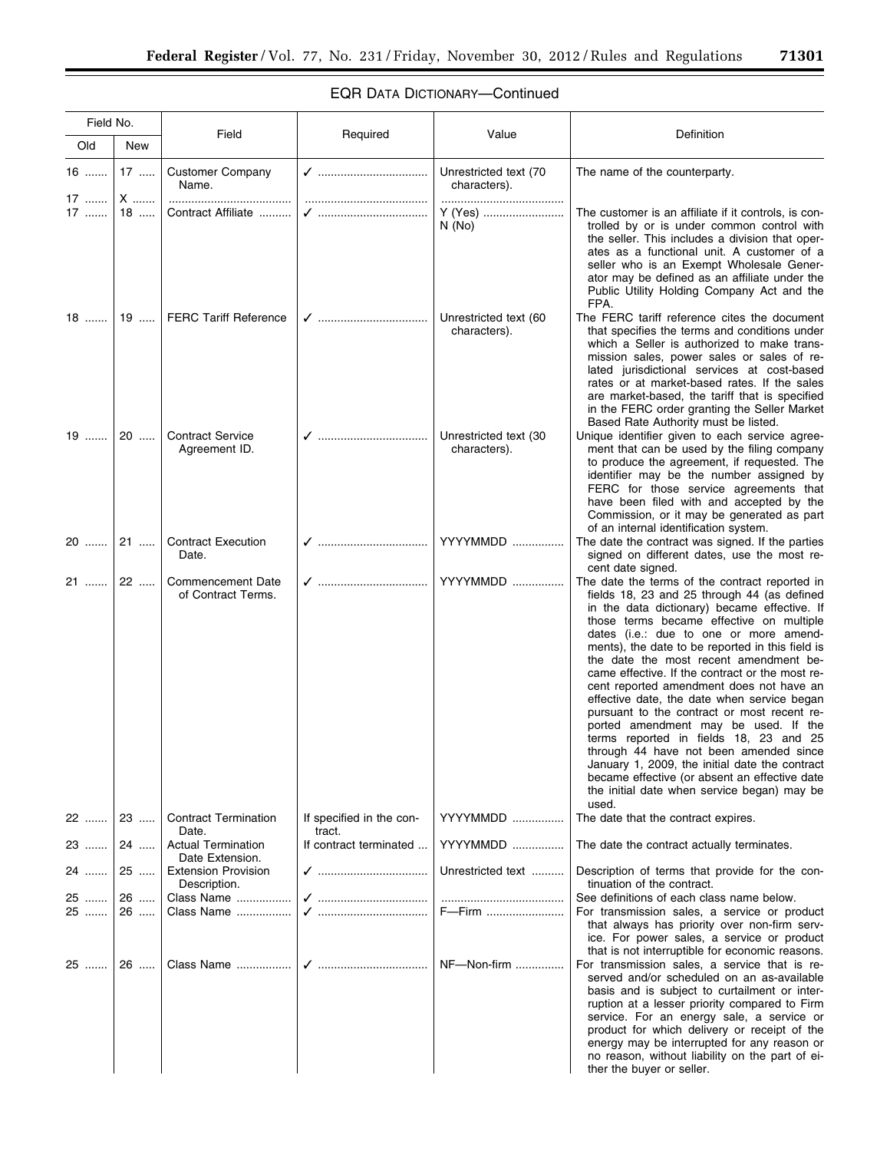| Field No.        |           | Field                                          | Required                           | Value                                 | Definition                                                                                                                                                                                                                                                                                                                                                                                                                                                                                                                                                                                                                                                                                                                                                                                                            |
|------------------|-----------|------------------------------------------------|------------------------------------|---------------------------------------|-----------------------------------------------------------------------------------------------------------------------------------------------------------------------------------------------------------------------------------------------------------------------------------------------------------------------------------------------------------------------------------------------------------------------------------------------------------------------------------------------------------------------------------------------------------------------------------------------------------------------------------------------------------------------------------------------------------------------------------------------------------------------------------------------------------------------|
| Old              | New       |                                                |                                    |                                       |                                                                                                                                                                                                                                                                                                                                                                                                                                                                                                                                                                                                                                                                                                                                                                                                                       |
| 16<br>17         | $17$<br>X | <b>Customer Company</b><br>Name.<br>           |                                    | Unrestricted text (70<br>characters). | The name of the counterparty.                                                                                                                                                                                                                                                                                                                                                                                                                                                                                                                                                                                                                                                                                                                                                                                         |
| 17               | 18        | Contract Affiliate                             |                                    | Y (Yes)<br>N(No)                      | The customer is an affiliate if it controls, is con-<br>trolled by or is under common control with<br>the seller. This includes a division that oper-<br>ates as a functional unit. A customer of a<br>seller who is an Exempt Wholesale Gener-<br>ator may be defined as an affiliate under the<br>Public Utility Holding Company Act and the<br>FPA.                                                                                                                                                                                                                                                                                                                                                                                                                                                                |
| $18$             | 19 …      | <b>FERC Tariff Reference</b>                   |                                    | Unrestricted text (60<br>characters). | The FERC tariff reference cites the document<br>that specifies the terms and conditions under<br>which a Seller is authorized to make trans-<br>mission sales, power sales or sales of re-<br>lated jurisdictional services at cost-based<br>rates or at market-based rates. If the sales<br>are market-based, the tariff that is specified<br>in the FERC order granting the Seller Market<br>Based Rate Authority must be listed.                                                                                                                                                                                                                                                                                                                                                                                   |
| 19               | 20        | <b>Contract Service</b><br>Agreement ID.       |                                    | Unrestricted text (30<br>characters). | Unique identifier given to each service agree-<br>ment that can be used by the filing company<br>to produce the agreement, if requested. The<br>identifier may be the number assigned by<br>FERC for those service agreements that<br>have been filed with and accepted by the<br>Commission, or it may be generated as part<br>of an internal identification system.                                                                                                                                                                                                                                                                                                                                                                                                                                                 |
| 20               | $21$      | <b>Contract Execution</b><br>Date.             |                                    | YYYYMMDD                              | The date the contract was signed. If the parties<br>signed on different dates, use the most re-<br>cent date signed.                                                                                                                                                                                                                                                                                                                                                                                                                                                                                                                                                                                                                                                                                                  |
| 21               | 22        | <b>Commencement Date</b><br>of Contract Terms. |                                    | YYYYMMDD                              | The date the terms of the contract reported in<br>fields 18, 23 and 25 through 44 (as defined<br>in the data dictionary) became effective. If<br>those terms became effective on multiple<br>dates (i.e.: due to one or more amend-<br>ments), the date to be reported in this field is<br>the date the most recent amendment be-<br>came effective. If the contract or the most re-<br>cent reported amendment does not have an<br>effective date, the date when service began<br>pursuant to the contract or most recent re-<br>ported amendment may be used. If the<br>terms reported in fields 18, 23 and 25<br>through 44 have not been amended since<br>January 1, 2009, the initial date the contract<br>became effective (or absent an effective date<br>the initial date when service began) may be<br>used. |
| 22    23         |           | <b>Contract Termination</b><br>Date.           | If specified in the con-<br>tract. | YYYYMMDD<br>YYYYMMDD                  | The date that the contract expires.                                                                                                                                                                                                                                                                                                                                                                                                                                                                                                                                                                                                                                                                                                                                                                                   |
| 23 …….           | 24        | <b>Actual Termination</b><br>Date Extension.   | If contract terminated             |                                       | The date the contract actually terminates.                                                                                                                                                                                                                                                                                                                                                                                                                                                                                                                                                                                                                                                                                                                                                                            |
| 24               | 25        | <b>Extension Provision</b><br>Description.     | ✓ ………………………………                     | Unrestricted text                     | Description of terms that provide for the con-<br>tinuation of the contract.                                                                                                                                                                                                                                                                                                                                                                                                                                                                                                                                                                                                                                                                                                                                          |
| 25  26<br>25 ……. | 26        | Class Name<br>Class Name                       |                                    | F—Firm                                | See definitions of each class name below.<br>For transmission sales, a service or product<br>that always has priority over non-firm serv-<br>ice. For power sales, a service or product<br>that is not interruptible for economic reasons.                                                                                                                                                                                                                                                                                                                                                                                                                                                                                                                                                                            |
| 25               | 26        |                                                |                                    | NF-Non-firm                           | For transmission sales, a service that is re-<br>served and/or scheduled on an as-available<br>basis and is subject to curtailment or inter-<br>ruption at a lesser priority compared to Firm<br>service. For an energy sale, a service or<br>product for which delivery or receipt of the<br>energy may be interrupted for any reason or<br>no reason, without liability on the part of ei-<br>ther the buyer or seller.                                                                                                                                                                                                                                                                                                                                                                                             |

# EQR DATA DICTIONARY—Continued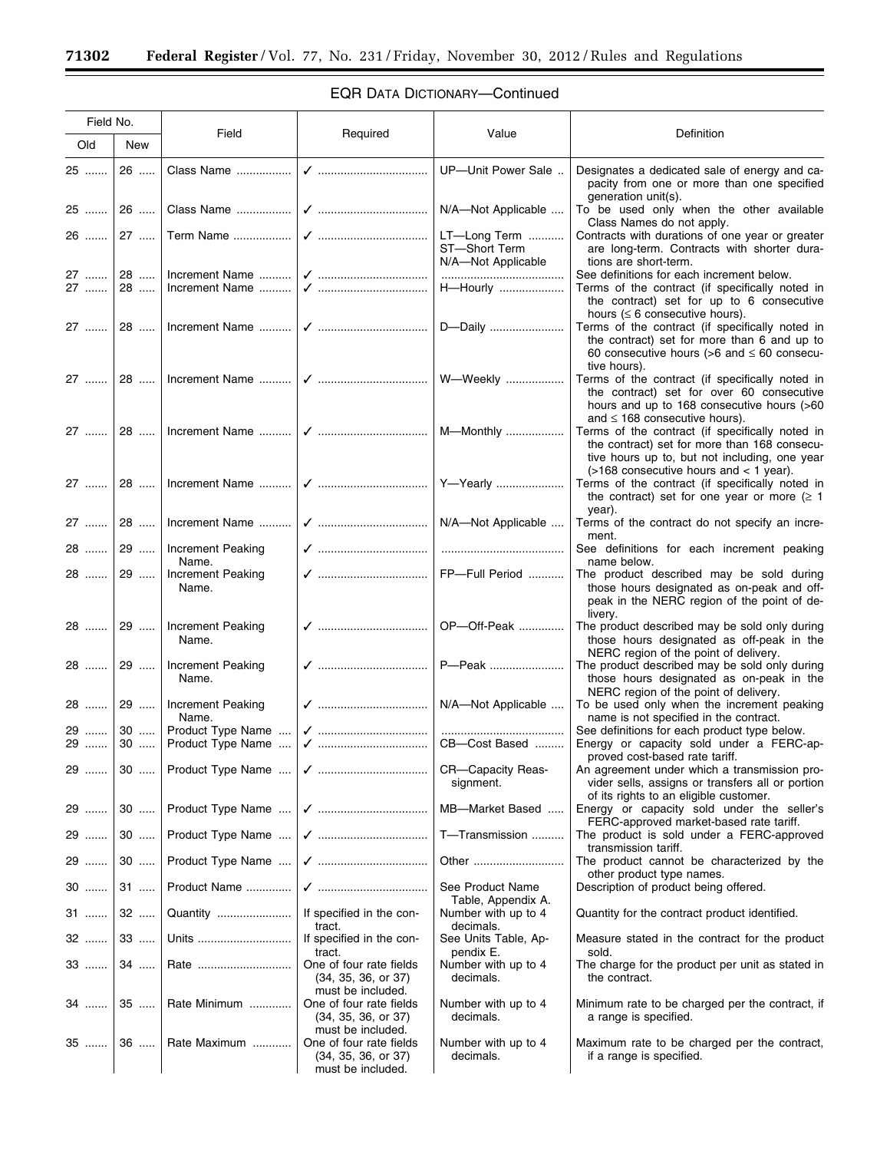$\equiv$ 

٠

| Field No.      |          |                                                    |                                                                                          |                                        |                                                                                                                                                                                           |
|----------------|----------|----------------------------------------------------|------------------------------------------------------------------------------------------|----------------------------------------|-------------------------------------------------------------------------------------------------------------------------------------------------------------------------------------------|
| Old            | New      | Field                                              | Required                                                                                 | Value                                  | Definition                                                                                                                                                                                |
| 25             | 26       |                                                    |                                                                                          | UP-Unit Power Sale                     | Designates a dedicated sale of energy and ca-<br>pacity from one or more than one specified                                                                                               |
| 25             | 26       |                                                    |                                                                                          | N/A-Not Applicable                     | generation unit(s).<br>To be used only when the other available<br>Class Names do not apply.                                                                                              |
|                |          |                                                    |                                                                                          | LT-Long Term<br>ST-Short Term          | Contracts with durations of one year or greater<br>are long-term. Contracts with shorter dura-                                                                                            |
|                |          |                                                    |                                                                                          | N/A-Not Applicable<br>                 | tions are short-term.<br>See definitions for each increment below.                                                                                                                        |
|                |          | 27    28    Increment Name                         |                                                                                          | H-Hourly                               | Terms of the contract (if specifically noted in<br>the contract) set for up to 6 consecutive                                                                                              |
|                |          |                                                    |                                                                                          |                                        | hours ( $\leq 6$ consecutive hours).<br>Terms of the contract (if specifically noted in<br>the contract) set for more than 6 and up to<br>60 consecutive hours (>6 and $\leq$ 60 consecu- |
| 27             |          |                                                    |                                                                                          |                                        | tive hours).<br>Terms of the contract (if specifically noted in<br>the contract) set for over 60 consecutive<br>hours and up to 168 consecutive hours (>60                                |
|                |          |                                                    |                                                                                          |                                        | and $\leq$ 168 consecutive hours).<br>Terms of the contract (if specifically noted in<br>the contract) set for more than 168 consecu-<br>tive hours up to, but not including, one year    |
| 27             |          |                                                    |                                                                                          |                                        | $($ >168 consecutive hours and < 1 year).<br>Terms of the contract (if specifically noted in<br>the contract) set for one year or more $( \ge 1$<br>year).                                |
|                |          | 27    28    Increment Name                         | √    N/A-Not Applicable                                                                  |                                        | Terms of the contract do not specify an incre-<br>ment.                                                                                                                                   |
|                |          | 28    29    Increment Peaking<br>Name.             |                                                                                          |                                        | See definitions for each increment peaking<br>name below.                                                                                                                                 |
| 28  29         |          | Increment Peaking<br>Name.                         | √  FP-Full Period                                                                        |                                        | The product described may be sold during<br>those hours designated as on-peak and off-<br>peak in the NERC region of the point of de-<br>livery.                                          |
|                |          | 28    29    Increment Peaking<br>Name.             |                                                                                          |                                        | The product described may be sold only during<br>those hours designated as off-peak in the                                                                                                |
|                |          | 28    29    Increment Peaking<br>Name.             | ✓    P—Peak                                                                              |                                        | NERC region of the point of delivery.<br>The product described may be sold only during<br>those hours designated as on-peak in the                                                        |
| 28             |          | 29    Increment Peaking<br>Name.                   | √    N/A—Not Applicable                                                                  |                                        | NERC region of the point of delivery.<br>To be used only when the increment peaking<br>name is not specified in the contract.                                                             |
| 29 ……. ا<br>29 |          | 30    Product Type Name<br>30    Product Type Name | √    CB-Cost Based                                                                       |                                        | See definitions for each product type below.<br>Energy or capacity sold under a FERC-ap-                                                                                                  |
| 29 ……          |          |                                                    |                                                                                          | CR-Capacity Reas-<br>signment.         | proved cost-based rate tariff.<br>An agreement under which a transmission pro-<br>vider sells, assigns or transfers all or portion<br>of its rights to an eligible customer.              |
| 29             |          |                                                    |                                                                                          | MB-Market Based                        | Energy or capacity sold under the seller's<br>FERC-approved market-based rate tariff.                                                                                                     |
| 29             | $30$     |                                                    |                                                                                          | T-Transmission                         | The product is sold under a FERC-approved<br>transmission tariff.                                                                                                                         |
| 29             | $30$     |                                                    |                                                                                          | Other                                  | The product cannot be characterized by the<br>other product type names.                                                                                                                   |
| $30$           | $31$     | Product Name                                       |                                                                                          | See Product Name<br>Table, Appendix A. | Description of product being offered.                                                                                                                                                     |
| 31 …….         | 32<br>33 | Quantity<br>Units                                  | If specified in the con-<br>tract.                                                       | Number with up to 4<br>decimals.       | Quantity for the contract product identified.                                                                                                                                             |
| $32$           |          |                                                    | If specified in the con-<br>tract.                                                       | See Units Table, Ap-<br>pendix E.      | Measure stated in the contract for the product<br>sold.                                                                                                                                   |
| 33             | 34       | Rate                                               | One of four rate fields<br>(34, 35, 36, or 37)<br>must be included.                      | Number with up to 4<br>decimals.       | The charge for the product per unit as stated in<br>the contract.                                                                                                                         |
| 34             | $35$     | Rate Minimum                                       | One of four rate fields<br>(34, 35, 36, or 37)                                           | Number with up to 4<br>decimals.       | Minimum rate to be charged per the contract, if<br>a range is specified.                                                                                                                  |
| $35$           | 36       | Rate Maximum                                       | must be included.<br>One of four rate fields<br>(34, 35, 36, or 37)<br>must be included. | Number with up to 4<br>decimals.       | Maximum rate to be charged per the contract,<br>if a range is specified.                                                                                                                  |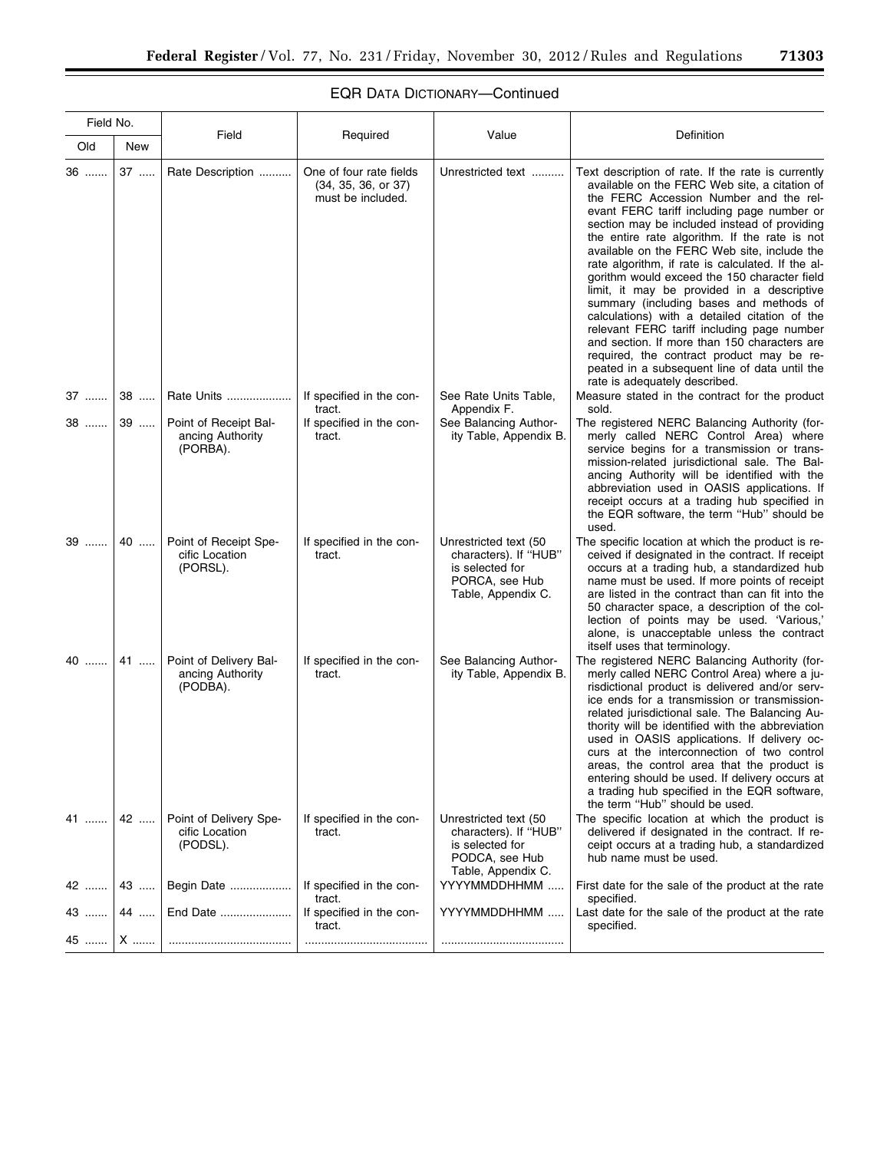| Field No. |      |                                                        |                                                                     |                                                                                                           |                                                                                                                                                                                                                                                                                                                                                                                                                                                                                                                                                                                                                                                                                                                                                                                                                         |
|-----------|------|--------------------------------------------------------|---------------------------------------------------------------------|-----------------------------------------------------------------------------------------------------------|-------------------------------------------------------------------------------------------------------------------------------------------------------------------------------------------------------------------------------------------------------------------------------------------------------------------------------------------------------------------------------------------------------------------------------------------------------------------------------------------------------------------------------------------------------------------------------------------------------------------------------------------------------------------------------------------------------------------------------------------------------------------------------------------------------------------------|
| Old       | New  | Field                                                  | Required                                                            | Value                                                                                                     | Definition                                                                                                                                                                                                                                                                                                                                                                                                                                                                                                                                                                                                                                                                                                                                                                                                              |
| 36        | 37   | Rate Description                                       | One of four rate fields<br>(34, 35, 36, or 37)<br>must be included. | Unrestricted text                                                                                         | Text description of rate. If the rate is currently<br>available on the FERC Web site, a citation of<br>the FERC Accession Number and the rel-<br>evant FERC tariff including page number or<br>section may be included instead of providing<br>the entire rate algorithm. If the rate is not<br>available on the FERC Web site, include the<br>rate algorithm, if rate is calculated. If the al-<br>gorithm would exceed the 150 character field<br>limit, it may be provided in a descriptive<br>summary (including bases and methods of<br>calculations) with a detailed citation of the<br>relevant FERC tariff including page number<br>and section. If more than 150 characters are<br>required, the contract product may be re-<br>peated in a subsequent line of data until the<br>rate is adequately described. |
| 37        | $38$ | Rate Units                                             | If specified in the con-<br>tract.                                  | See Rate Units Table,<br>Appendix F.                                                                      | Measure stated in the contract for the product<br>sold.                                                                                                                                                                                                                                                                                                                                                                                                                                                                                                                                                                                                                                                                                                                                                                 |
| 38        | $39$ | Point of Receipt Bal-<br>ancing Authority<br>(PORBA).  | If specified in the con-<br>tract.                                  | See Balancing Author-<br>ity Table, Appendix B.                                                           | The registered NERC Balancing Authority (for-<br>merly called NERC Control Area) where<br>service begins for a transmission or trans-<br>mission-related jurisdictional sale. The Bal-<br>ancing Authority will be identified with the<br>abbreviation used in OASIS applications. If<br>receipt occurs at a trading hub specified in<br>the EQR software, the term "Hub" should be<br>used.                                                                                                                                                                                                                                                                                                                                                                                                                            |
| 39        | 40   | Point of Receipt Spe-<br>cific Location<br>(PORSL).    | If specified in the con-<br>tract.                                  | Unrestricted text (50<br>characters). If "HUB"<br>is selected for<br>PORCA, see Hub<br>Table, Appendix C. | The specific location at which the product is re-<br>ceived if designated in the contract. If receipt<br>occurs at a trading hub, a standardized hub<br>name must be used. If more points of receipt<br>are listed in the contract than can fit into the<br>50 character space, a description of the col-<br>lection of points may be used. 'Various,'<br>alone, is unacceptable unless the contract<br>itself uses that terminology.                                                                                                                                                                                                                                                                                                                                                                                   |
| 40        | 41   | Point of Delivery Bal-<br>ancing Authority<br>(PODBA). | If specified in the con-<br>tract.                                  | See Balancing Author-<br>ity Table, Appendix B.                                                           | The registered NERC Balancing Authority (for-<br>merly called NERC Control Area) where a ju-<br>risdictional product is delivered and/or serv-<br>ice ends for a transmission or transmission-<br>related jurisdictional sale. The Balancing Au-<br>thority will be identified with the abbreviation<br>used in OASIS applications. If delivery oc-<br>curs at the interconnection of two control<br>areas, the control area that the product is<br>entering should be used. If delivery occurs at<br>a trading hub specified in the EQR software,<br>the term "Hub" should be used.                                                                                                                                                                                                                                    |
| 41        | 42   | Point of Delivery Spe-<br>cific Location<br>(PODSL).   | If specified in the con-<br>tract.                                  | Unrestricted text (50<br>characters). If "HUB"<br>is selected for<br>PODCA, see Hub<br>Table, Appendix C. | The specific location at which the product is<br>delivered if designated in the contract. If re-<br>ceipt occurs at a trading hub, a standardized<br>hub name must be used.                                                                                                                                                                                                                                                                                                                                                                                                                                                                                                                                                                                                                                             |
| 42        | 43   | Begin Date                                             | If specified in the con-<br>tract.                                  | YYYYMMDDHHMM                                                                                              | First date for the sale of the product at the rate<br>specified.                                                                                                                                                                                                                                                                                                                                                                                                                                                                                                                                                                                                                                                                                                                                                        |
| 43        | 44   | End Date                                               | If specified in the con-<br>tract.                                  | YYYYMMDDHHMM                                                                                              | Last date for the sale of the product at the rate<br>specified.                                                                                                                                                                                                                                                                                                                                                                                                                                                                                                                                                                                                                                                                                                                                                         |
| 45        | X    |                                                        |                                                                     |                                                                                                           |                                                                                                                                                                                                                                                                                                                                                                                                                                                                                                                                                                                                                                                                                                                                                                                                                         |

# EQR DATA DICTIONARY—Continued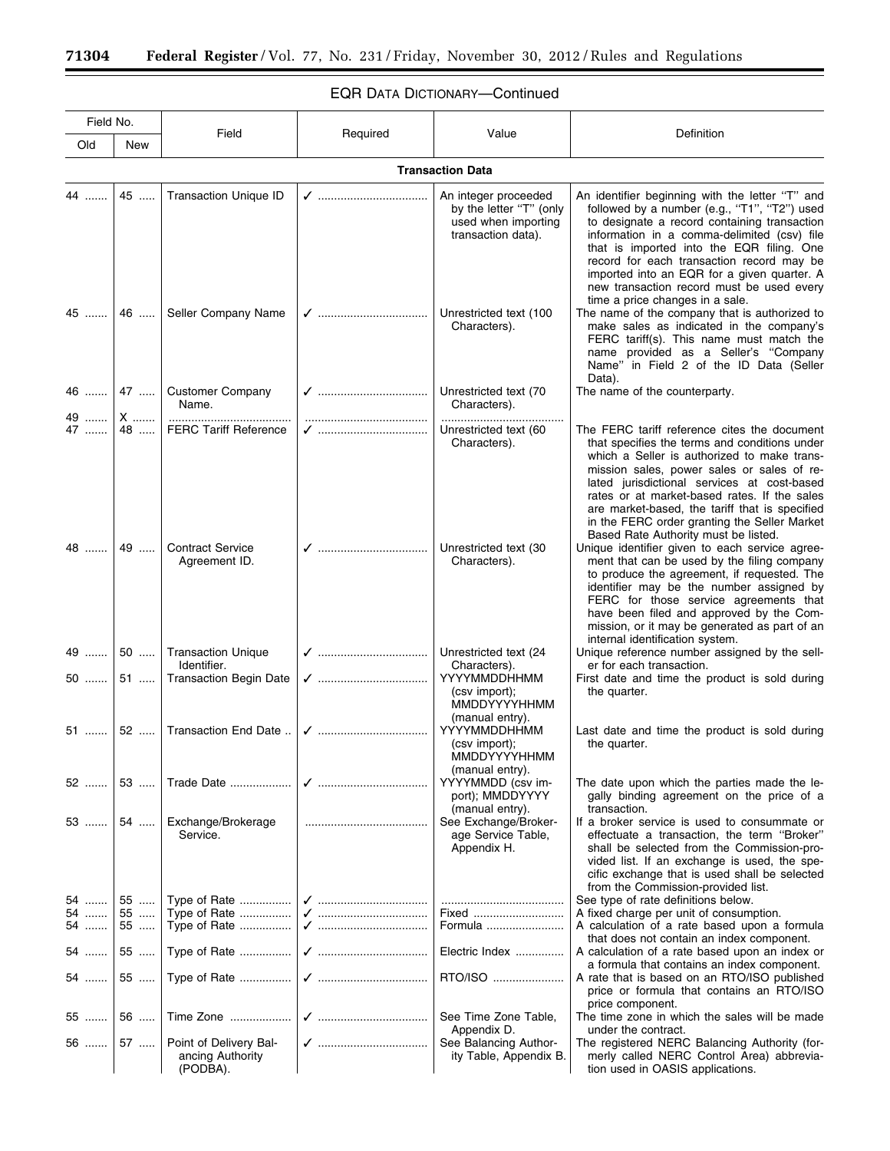$\equiv$ 

# EQR DATA DICTIONARY—Continued

۲

| Field No.               |          | Field                                                  | Required | Value                                                                                        | Definition                                                                                                                                                                                                                                                                                                                                                                                                 |  |  |  |
|-------------------------|----------|--------------------------------------------------------|----------|----------------------------------------------------------------------------------------------|------------------------------------------------------------------------------------------------------------------------------------------------------------------------------------------------------------------------------------------------------------------------------------------------------------------------------------------------------------------------------------------------------------|--|--|--|
| Old                     | New      |                                                        |          |                                                                                              |                                                                                                                                                                                                                                                                                                                                                                                                            |  |  |  |
| <b>Transaction Data</b> |          |                                                        |          |                                                                                              |                                                                                                                                                                                                                                                                                                                                                                                                            |  |  |  |
| 44                      | 45       | <b>Transaction Unique ID</b>                           |          | An integer proceeded<br>by the letter "T" (only<br>used when importing<br>transaction data). | An identifier beginning with the letter "T" and<br>followed by a number (e.g., "T1", "T2") used<br>to designate a record containing transaction<br>information in a comma-delimited (csv) file<br>that is imported into the EQR filing. One<br>record for each transaction record may be<br>imported into an EQR for a given quarter. A<br>new transaction record must be used every                       |  |  |  |
|                         |          | 45    46    Seller Company Name                        |          | Unrestricted text (100<br>Characters).                                                       | time a price changes in a sale.<br>The name of the company that is authorized to<br>make sales as indicated in the company's<br>FERC tariff(s). This name must match the<br>name provided as a Seller's "Company<br>Name" in Field 2 of the ID Data (Seller<br>Data).                                                                                                                                      |  |  |  |
| 49                      | X        | 46    47    Customer Company<br>Name.                  |          | Unrestricted text (70<br>Characters).                                                        | The name of the counterparty.                                                                                                                                                                                                                                                                                                                                                                              |  |  |  |
| 47                      | 48       | <b>FERC Tariff Reference</b>                           |          | Unrestricted text (60<br>Characters).                                                        | The FERC tariff reference cites the document<br>that specifies the terms and conditions under<br>which a Seller is authorized to make trans-<br>mission sales, power sales or sales of re-<br>lated jurisdictional services at cost-based<br>rates or at market-based rates. If the sales<br>are market-based, the tariff that is specified<br>in the FERC order granting the Seller Market                |  |  |  |
| 48                      |          | 49    Contract Service<br>Agreement ID.                |          | Unrestricted text (30<br>Characters).                                                        | Based Rate Authority must be listed.<br>Unique identifier given to each service agree-<br>ment that can be used by the filing company<br>to produce the agreement, if requested. The<br>identifier may be the number assigned by<br>FERC for those service agreements that<br>have been filed and approved by the Com-<br>mission, or it may be generated as part of an<br>internal identification system. |  |  |  |
| 49                      |          | 50    Transaction Unique<br>Identifier.                |          | Unrestricted text (24<br>Characters).                                                        | Unique reference number assigned by the sell-<br>er for each transaction.                                                                                                                                                                                                                                                                                                                                  |  |  |  |
| 50 …….                  | 51       | <b>Transaction Begin Date</b>                          |          | YYYYMMDDHHMM<br>(csv import);<br><b>MMDDYYYYHHMM</b><br>(manual entry).                      | First date and time the product is sold during<br>the quarter.                                                                                                                                                                                                                                                                                                                                             |  |  |  |
| 51                      | 52       | Transaction End Date                                   |          | YYYYMMDDHHMM<br>(csv import);<br>MMDDYYYYHHMM<br>(manual entry).                             | Last date and time the product is sold during<br>the quarter.                                                                                                                                                                                                                                                                                                                                              |  |  |  |
| 52                      | 53       | Trade Date                                             |          | YYYYMMDD (csv im-<br>port); MMDDYYYY<br>(manual entry).                                      | The date upon which the parties made the le-<br>gally binding agreement on the price of a<br>transaction.                                                                                                                                                                                                                                                                                                  |  |  |  |
| 53  54                  |          | Exchange/Brokerage<br>Service.                         |          | See Exchange/Broker-<br>age Service Table,<br>Appendix H.                                    | If a broker service is used to consummate or<br>effectuate a transaction, the term "Broker"<br>shall be selected from the Commission-pro-<br>vided list. If an exchange is used, the spe-<br>cific exchange that is used shall be selected<br>from the Commission-provided list.                                                                                                                           |  |  |  |
| 54                      | 55       | Type of Rate                                           |          |                                                                                              | See type of rate definitions below.                                                                                                                                                                                                                                                                                                                                                                        |  |  |  |
| 54<br>54                | 55<br>55 | Type of Rate<br>Type of Rate                           |          | Fixed<br>Formula                                                                             | A fixed charge per unit of consumption.<br>A calculation of a rate based upon a formula<br>that does not contain an index component.                                                                                                                                                                                                                                                                       |  |  |  |
| 54 ……                   | 55       |                                                        |          | Electric Index                                                                               | A calculation of a rate based upon an index or<br>a formula that contains an index component.                                                                                                                                                                                                                                                                                                              |  |  |  |
| 54 …….                  | 55       |                                                        |          | RTO/ISO                                                                                      | A rate that is based on an RTO/ISO published<br>price or formula that contains an RTO/ISO                                                                                                                                                                                                                                                                                                                  |  |  |  |
| 55                      | $56$     | Time Zone                                              |          | See Time Zone Table,<br>Appendix D.                                                          | price component.<br>The time zone in which the sales will be made<br>under the contract.                                                                                                                                                                                                                                                                                                                   |  |  |  |
| 56                      | 57       | Point of Delivery Bal-<br>ancing Authority<br>(PODBA). |          | See Balancing Author-<br>ity Table, Appendix B.                                              | The registered NERC Balancing Authority (for-<br>merly called NERC Control Area) abbrevia-<br>tion used in OASIS applications.                                                                                                                                                                                                                                                                             |  |  |  |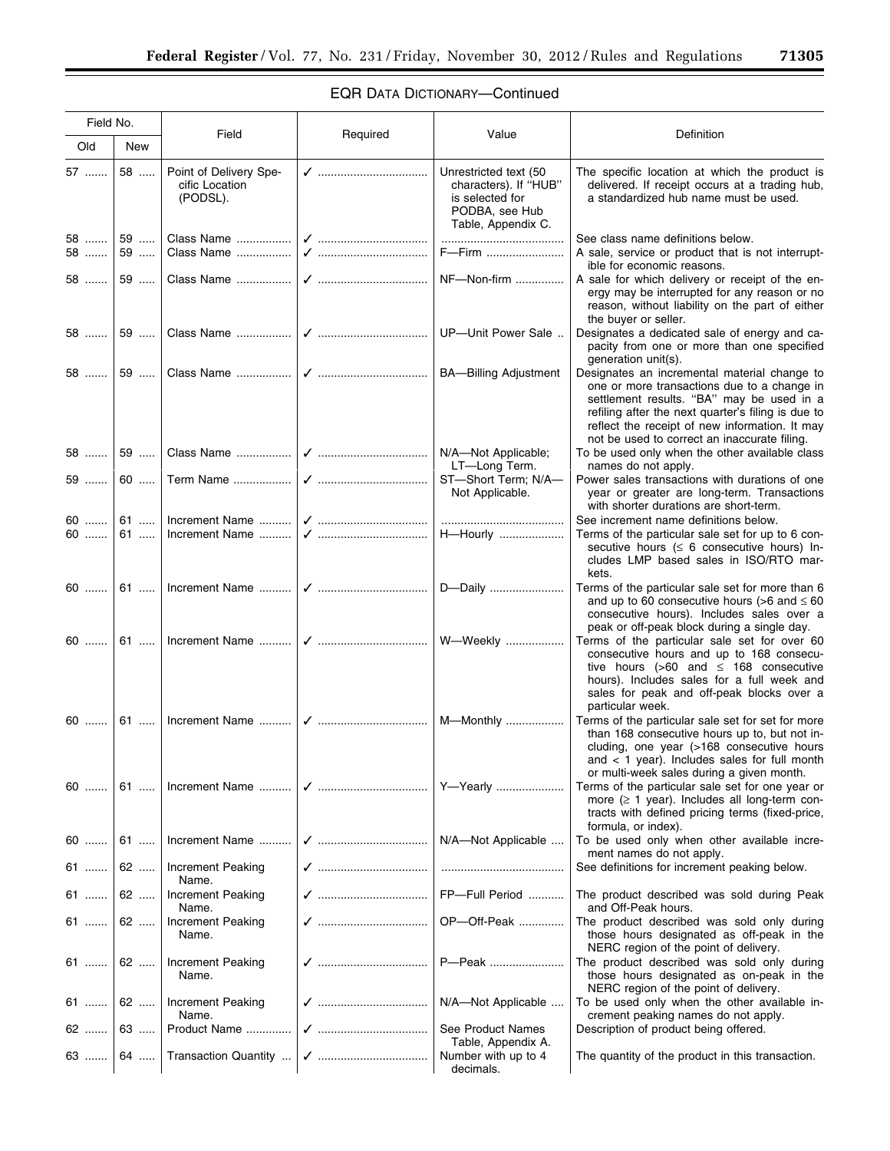# EQR DATA DICTIONARY—Continued

| Field No.   |             | Field                                                |                     | Value                                                                                                     | Definition                                                                                                                                                                                                                                                                                           |  |
|-------------|-------------|------------------------------------------------------|---------------------|-----------------------------------------------------------------------------------------------------------|------------------------------------------------------------------------------------------------------------------------------------------------------------------------------------------------------------------------------------------------------------------------------------------------------|--|
| Old         | New         |                                                      | Required            |                                                                                                           |                                                                                                                                                                                                                                                                                                      |  |
| 57          | 58          | Point of Delivery Spe-<br>cific Location<br>(PODSL). |                     | Unrestricted text (50<br>characters). If "HUB"<br>is selected for<br>PODBA, see Hub<br>Table, Appendix C. | The specific location at which the product is<br>delivered. If receipt occurs at a trading hub,<br>a standardized hub name must be used.                                                                                                                                                             |  |
| 58   <br>58 | 59   <br>59 | Class Name                                           |                     | <br>F-Firm                                                                                                | See class name definitions below.<br>A sale, service or product that is not interrupt-<br>ible for economic reasons.                                                                                                                                                                                 |  |
| 58          | 59          |                                                      |                     | NF-Non-firm                                                                                               | A sale for which delivery or receipt of the en-<br>ergy may be interrupted for any reason or no<br>reason, without liability on the part of either<br>the buyer or seller.                                                                                                                           |  |
| 58          | $59$        |                                                      |                     |                                                                                                           | Designates a dedicated sale of energy and ca-<br>pacity from one or more than one specified<br>generation unit(s).                                                                                                                                                                                   |  |
| 58          | 59          |                                                      |                     |                                                                                                           | Designates an incremental material change to<br>one or more transactions due to a change in<br>settlement results. "BA" may be used in a<br>refiling after the next quarter's filing is due to<br>reflect the receipt of new information. It may<br>not be used to correct an inaccurate filing.     |  |
| 58          | 59          |                                                      |                     | N/A-Not Applicable;<br>LT-Long Term.                                                                      | To be used only when the other available class<br>names do not apply.                                                                                                                                                                                                                                |  |
| 59          | 60          |                                                      |                     | ST-Short Term; N/A-<br>Not Applicable.                                                                    | Power sales transactions with durations of one<br>year or greater are long-term. Transactions<br>with shorter durations are short-term.                                                                                                                                                              |  |
| 60          |             |                                                      |                     |                                                                                                           | See increment name definitions below.                                                                                                                                                                                                                                                                |  |
| 60          | 61          | Increment Name                                       |                     |                                                                                                           | Terms of the particular sale set for up to 6 con-<br>secutive hours ( $\leq 6$ consecutive hours) In-<br>cludes LMP based sales in ISO/RTO mar-<br>kets.                                                                                                                                             |  |
| $60$        |             |                                                      |                     |                                                                                                           | Terms of the particular sale set for more than 6<br>and up to 60 consecutive hours ( $>6$ and $\leq 60$<br>consecutive hours). Includes sales over a                                                                                                                                                 |  |
| $60$        |             |                                                      |                     |                                                                                                           | peak or off-peak block during a single day.<br>Terms of the particular sale set for over 60<br>consecutive hours and up to 168 consecu-<br>tive hours (>60 and $\leq$ 168 consecutive<br>hours). Includes sales for a full week and<br>sales for peak and off-peak blocks over a<br>particular week. |  |
| 60          | 61          |                                                      |                     |                                                                                                           | Terms of the particular sale set for set for more<br>than 168 consecutive hours up to, but not in-<br>cluding, one year (>168 consecutive hours<br>and $<$ 1 year). Includes sales for full month                                                                                                    |  |
| 60          |             | 61    Increment Name                                 |                     |                                                                                                           | or multi-week sales during a given month.<br>Terms of the particular sale set for one year or<br>more $(\geq 1$ year). Includes all long-term con-<br>tracts with defined pricing terms (fixed-price,<br>formula, or index).                                                                         |  |
| 60          | $61$        | Increment Name                                       |                     | N/A-Not Applicable                                                                                        | To be used only when other available incre-<br>ment names do not apply.                                                                                                                                                                                                                              |  |
| 61          | 62          | <b>Increment Peaking</b><br>Name.                    |                     |                                                                                                           | See definitions for increment peaking below.                                                                                                                                                                                                                                                         |  |
| 61          | 62          | Increment Peaking<br>Name.                           | √    FP-Full Period |                                                                                                           | The product described was sold during Peak<br>and Off-Peak hours.                                                                                                                                                                                                                                    |  |
| 61          | 62          | <b>Increment Peaking</b><br>Name.                    |                     | OP-Off-Peak                                                                                               | The product described was sold only during<br>those hours designated as off-peak in the<br>NERC region of the point of delivery.                                                                                                                                                                     |  |
| 61          |             | 62    Increment Peaking<br>Name.                     |                     | P-Peak                                                                                                    | The product described was sold only during<br>those hours designated as on-peak in the<br>NERC region of the point of delivery.                                                                                                                                                                      |  |
| $61$   62   |             | <b>Increment Peaking</b><br>Name.                    |                     | N/A-Not Applicable                                                                                        | To be used only when the other available in-<br>crement peaking names do not apply.                                                                                                                                                                                                                  |  |
| 62          | 63          | Product Name                                         |                     | See Product Names<br>Table, Appendix A.                                                                   | Description of product being offered.                                                                                                                                                                                                                                                                |  |
| 63          |             | 64    Transaction Quantity                           |                     | Number with up to 4<br>decimals.                                                                          | The quantity of the product in this transaction.                                                                                                                                                                                                                                                     |  |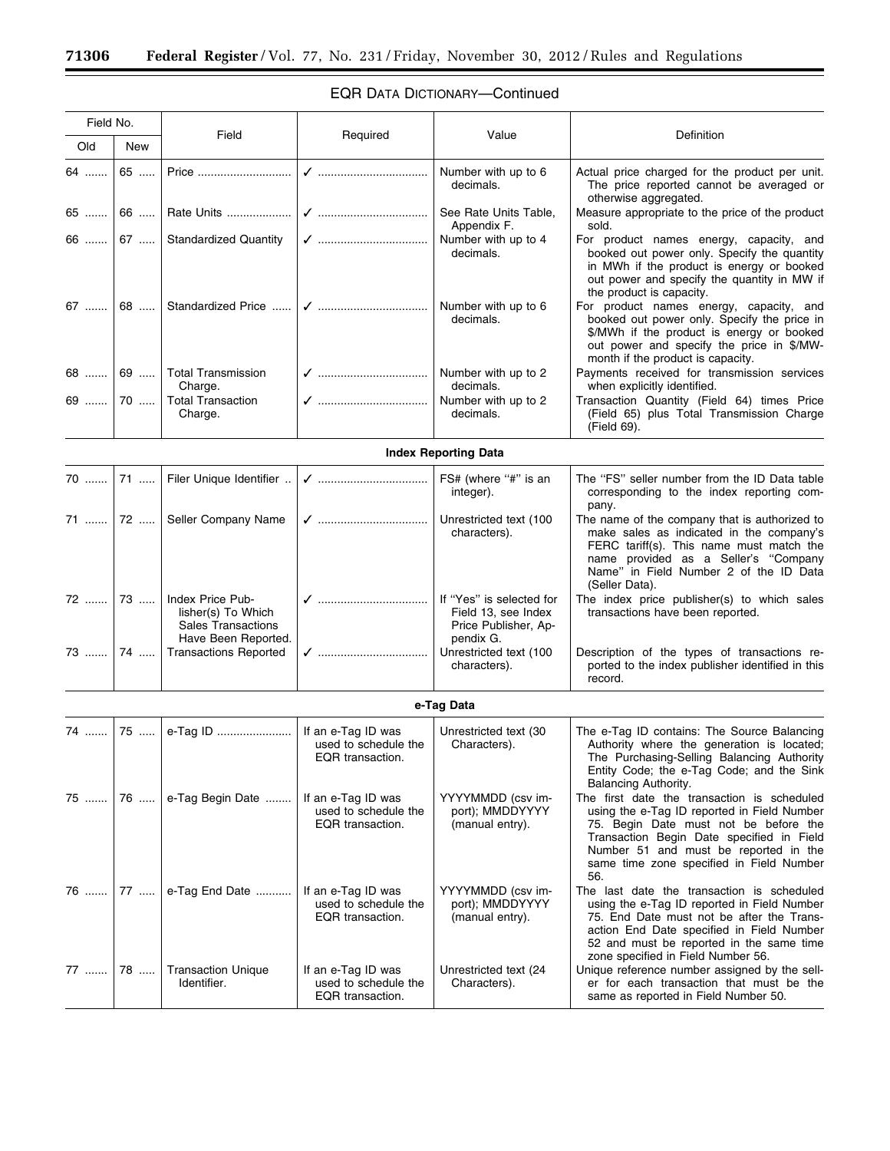|  | <b>EQR DATA DICTIONARY-Continued</b> |  |
|--|--------------------------------------|--|
|--|--------------------------------------|--|

Ξ

| Field No. |      |                                                                                                        |                                                                |                                                          |                                                                                                                                                                                                                                                                              |
|-----------|------|--------------------------------------------------------------------------------------------------------|----------------------------------------------------------------|----------------------------------------------------------|------------------------------------------------------------------------------------------------------------------------------------------------------------------------------------------------------------------------------------------------------------------------------|
| Old       | New  | Field                                                                                                  | Required                                                       | Value                                                    | <b>Definition</b>                                                                                                                                                                                                                                                            |
| 64        | 65   |                                                                                                        |                                                                | Number with up to 6<br>decimals.                         | Actual price charged for the product per unit.<br>The price reported cannot be averaged or<br>otherwise aggregated.                                                                                                                                                          |
| 65        | 66   | Rate Units                                                                                             |                                                                | See Rate Units Table,<br>Appendix F.                     | Measure appropriate to the price of the product<br>sold.                                                                                                                                                                                                                     |
| 66        | $67$ | <b>Standardized Quantity</b>                                                                           |                                                                | Number with up to 4<br>decimals.                         | For product names energy, capacity, and<br>booked out power only. Specify the quantity<br>in MWh if the product is energy or booked<br>out power and specify the quantity in MW if<br>the product is capacity.                                                               |
|           |      | 67  68  Standardized Price                                                                             |                                                                | Number with up to 6<br>decimals.                         | For product names energy, capacity, and<br>booked out power only. Specify the price in<br>\$/MWh if the product is energy or booked<br>out power and specify the price in \$/MW-<br>month if the product is capacity.                                                        |
|           |      | 68  69  Total Transmission<br>Charge.                                                                  |                                                                | decimals.                                                | Payments received for transmission services<br>when explicitly identified.                                                                                                                                                                                                   |
| 69        | 70   | <b>Total Transaction</b><br>Charge.                                                                    |                                                                | Number with up to 2<br>decimals.                         | Transaction Quantity (Field 64) times Price<br>(Field 65) plus Total Transmission Charge<br>(Field 69).                                                                                                                                                                      |
|           |      |                                                                                                        |                                                                | <b>Index Reporting Data</b>                              |                                                                                                                                                                                                                                                                              |
| $70$ 71   |      | Filer Unique Identifier                                                                                |                                                                | FS# (where "#" is an<br>integer).                        | The "FS" seller number from the ID Data table<br>corresponding to the index reporting com-<br>pany.                                                                                                                                                                          |
|           |      | 71  72    Seller Company Name                                                                          |                                                                | Unrestricted text (100<br>characters).                   | The name of the company that is authorized to<br>make sales as indicated in the company's<br>FERC tariff(s). This name must match the<br>name provided as a Seller's "Company<br>Name" in Field Number 2 of the ID Data<br>(Seller Data).                                    |
|           |      | 72    73    Index Price Pub-<br>lisher(s) To Which<br><b>Sales Transactions</b><br>Have Been Reported. | √    If "Yes" is selected for                                  | Field 13, see Index<br>Price Publisher, Ap-<br>pendix G. | The index price publisher(s) to which sales<br>transactions have been reported.                                                                                                                                                                                              |
|           |      | 73    74    Transactions Reported                                                                      | ✔ ………………………………                                                 | Unrestricted text (100<br>characters).                   | Description of the types of transactions re-<br>ported to the index publisher identified in this<br>record.                                                                                                                                                                  |
|           |      |                                                                                                        |                                                                | e-Tag Data                                               |                                                                                                                                                                                                                                                                              |
| 74 ……     | 75   |                                                                                                        | If an e-Tag ID was<br>used to schedule the<br>EQR transaction. | Unrestricted text (30<br>Characters).                    | The e-Tag ID contains: The Source Balancing<br>Authority where the generation is located;<br>The Purchasing-Selling Balancing Authority<br>Entity Code; the e-Tag Code; and the Sink<br>Balancing Authority.                                                                 |
| 75        | 76   | e-Tag Begin Date                                                                                       | If an e-Tag ID was<br>used to schedule the<br>EQR transaction. | YYYYMMDD (csv im-<br>port); MMDDYYYY<br>(manual entry).  | The first date the transaction is scheduled<br>using the e-Tag ID reported in Field Number<br>75. Begin Date must not be before the<br>Transaction Begin Date specified in Field<br>Number 51 and must be reported in the<br>same time zone specified in Field Number<br>56. |
| 76        | 77   | e-Tag End Date                                                                                         | If an e-Tag ID was<br>used to schedule the<br>EQR transaction. | YYYYMMDD (csv im-<br>port); MMDDYYYY<br>(manual entry).  | The last date the transaction is scheduled<br>using the e-Tag ID reported in Field Number<br>75. End Date must not be after the Trans-<br>action End Date specified in Field Number<br>52 and must be reported in the same time<br>zone specified in Field Number 56.        |
| 77        | 78   | <b>Transaction Unique</b><br>Identifier.                                                               | If an e-Tag ID was<br>used to schedule the<br>EQR transaction. | Unrestricted text (24<br>Characters).                    | Unique reference number assigned by the sell-<br>er for each transaction that must be the<br>same as reported in Field Number 50.                                                                                                                                            |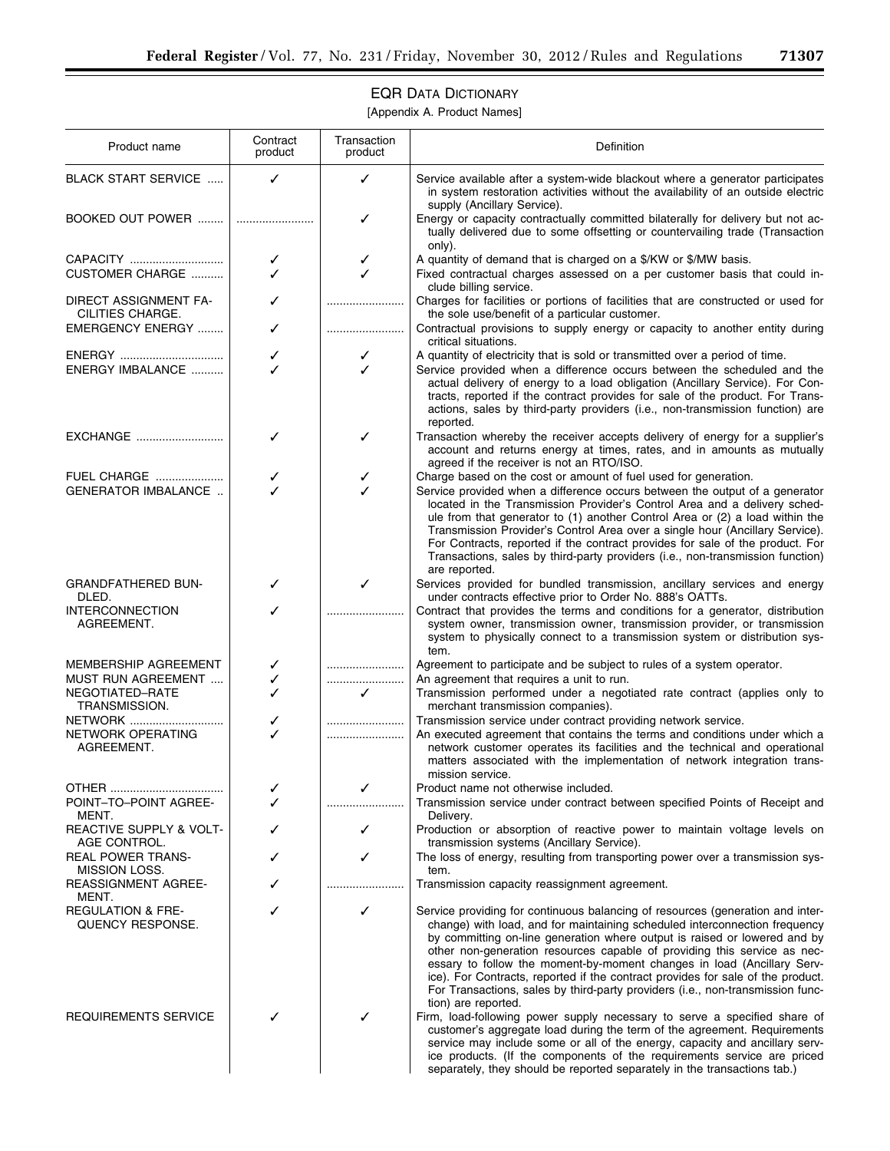# EQR DATA DICTIONARY

[Appendix A. Product Names]

| Product name                                     | Contract<br>product | Transaction<br>product | Definition                                                                                                                                                                                                                                                                                                                                                                                                                                                                                                   |
|--------------------------------------------------|---------------------|------------------------|--------------------------------------------------------------------------------------------------------------------------------------------------------------------------------------------------------------------------------------------------------------------------------------------------------------------------------------------------------------------------------------------------------------------------------------------------------------------------------------------------------------|
| BLACK START SERVICE                              | ✓                   | ✓                      | Service available after a system-wide blackout where a generator participates<br>in system restoration activities without the availability of an outside electric<br>supply (Ancillary Service).                                                                                                                                                                                                                                                                                                             |
| BOOKED OUT POWER                                 |                     | ✓                      | Energy or capacity contractually committed bilaterally for delivery but not ac-<br>tually delivered due to some offsetting or countervailing trade (Transaction<br>only).                                                                                                                                                                                                                                                                                                                                    |
| <b>CUSTOMER CHARGE </b>                          | ✓                   | ✓<br>✓                 | A quantity of demand that is charged on a \$/KW or \$/MW basis.<br>Fixed contractual charges assessed on a per customer basis that could in-<br>clude billing service.                                                                                                                                                                                                                                                                                                                                       |
| DIRECT ASSIGNMENT FA-<br>CILITIES CHARGE.        |                     |                        | Charges for facilities or portions of facilities that are constructed or used for<br>the sole use/benefit of a particular customer.                                                                                                                                                                                                                                                                                                                                                                          |
| EMERGENCY ENERGY                                 | ✓                   |                        | Contractual provisions to supply energy or capacity to another entity during<br>critical situations.                                                                                                                                                                                                                                                                                                                                                                                                         |
|                                                  | ✓                   | ✓                      | A quantity of electricity that is sold or transmitted over a period of time.                                                                                                                                                                                                                                                                                                                                                                                                                                 |
| ENERGY IMBALANCE                                 |                     | ✓                      | Service provided when a difference occurs between the scheduled and the<br>actual delivery of energy to a load obligation (Ancillary Service). For Con-<br>tracts, reported if the contract provides for sale of the product. For Trans-<br>actions, sales by third-party providers (i.e., non-transmission function) are<br>reported.                                                                                                                                                                       |
| EXCHANGE                                         | ✓                   | ✓                      | Transaction whereby the receiver accepts delivery of energy for a supplier's<br>account and returns energy at times, rates, and in amounts as mutually<br>agreed if the receiver is not an RTO/ISO.                                                                                                                                                                                                                                                                                                          |
| <b>FUEL CHARGE</b>                               |                     | ✓                      | Charge based on the cost or amount of fuel used for generation.                                                                                                                                                                                                                                                                                                                                                                                                                                              |
| <b>GENERATOR IMBALANCE </b>                      |                     | ℐ                      | Service provided when a difference occurs between the output of a generator<br>located in the Transmission Provider's Control Area and a delivery sched-<br>ule from that generator to (1) another Control Area or (2) a load within the<br>Transmission Provider's Control Area over a single hour (Ancillary Service).<br>For Contracts, reported if the contract provides for sale of the product. For<br>Transactions, sales by third-party providers (i.e., non-transmission function)<br>are reported. |
| <b>GRANDFATHERED BUN-</b><br>DLED.               | ✓                   | ✓                      | Services provided for bundled transmission, ancillary services and energy<br>under contracts effective prior to Order No. 888's OATTs.                                                                                                                                                                                                                                                                                                                                                                       |
| <b>INTERCONNECTION</b><br>AGREEMENT.             |                     |                        | Contract that provides the terms and conditions for a generator, distribution<br>system owner, transmission owner, transmission provider, or transmission<br>system to physically connect to a transmission system or distribution sys-<br>tem.                                                                                                                                                                                                                                                              |
| MEMBERSHIP AGREEMENT                             | ✓                   |                        | Agreement to participate and be subject to rules of a system operator.                                                                                                                                                                                                                                                                                                                                                                                                                                       |
| MUST RUN AGREEMENT                               | ✓                   |                        | An agreement that requires a unit to run.                                                                                                                                                                                                                                                                                                                                                                                                                                                                    |
| NEGOTIATED-RATE<br>TRANSMISSION.                 | ✓                   | $\checkmark$           | Transmission performed under a negotiated rate contract (applies only to<br>merchant transmission companies).                                                                                                                                                                                                                                                                                                                                                                                                |
| <b>NETWORK</b>                                   | ✓                   |                        | Transmission service under contract providing network service.                                                                                                                                                                                                                                                                                                                                                                                                                                               |
| NETWORK OPERATING<br>AGREEMENT.                  |                     |                        | An executed agreement that contains the terms and conditions under which a<br>network customer operates its facilities and the technical and operational<br>matters associated with the implementation of network integration trans-<br>mission service.                                                                                                                                                                                                                                                     |
|                                                  |                     |                        | Product name not otherwise included.                                                                                                                                                                                                                                                                                                                                                                                                                                                                         |
| POINT-TO-POINT AGREE-<br>MENT.                   |                     |                        | Transmission service under contract between specified Points of Receipt and<br>Delivery.                                                                                                                                                                                                                                                                                                                                                                                                                     |
| REACTIVE SUPPLY & VOLT-<br>AGE CONTROL.          | ✓                   | ✓                      | Production or absorption of reactive power to maintain voltage levels on<br>transmission systems (Ancillary Service).                                                                                                                                                                                                                                                                                                                                                                                        |
| <b>REAL POWER TRANS-</b><br><b>MISSION LOSS.</b> |                     | ✓                      | The loss of energy, resulting from transporting power over a transmission sys-<br>tem.                                                                                                                                                                                                                                                                                                                                                                                                                       |
| <b>REASSIGNMENT AGREE-</b><br>MENT.              | ✓                   |                        | Transmission capacity reassignment agreement.                                                                                                                                                                                                                                                                                                                                                                                                                                                                |
| <b>REGULATION &amp; FRE-</b><br>QUENCY RESPONSE. |                     | ✓                      | Service providing for continuous balancing of resources (generation and inter-<br>change) with load, and for maintaining scheduled interconnection frequency<br>by committing on-line generation where output is raised or lowered and by                                                                                                                                                                                                                                                                    |
| REQUIREMENTS SERVICE                             |                     | ✓                      | other non-generation resources capable of providing this service as nec-<br>essary to follow the moment-by-moment changes in load (Ancillary Serv-<br>ice). For Contracts, reported if the contract provides for sale of the product.<br>For Transactions, sales by third-party providers (i.e., non-transmission func-<br>tion) are reported.<br>Firm, load-following power supply necessary to serve a specified share of<br>customer's aggregate load during the term of the agreement. Requirements      |
|                                                  |                     |                        | service may include some or all of the energy, capacity and ancillary serv-<br>ice products. (If the components of the requirements service are priced<br>separately, they should be reported separately in the transactions tab.)                                                                                                                                                                                                                                                                           |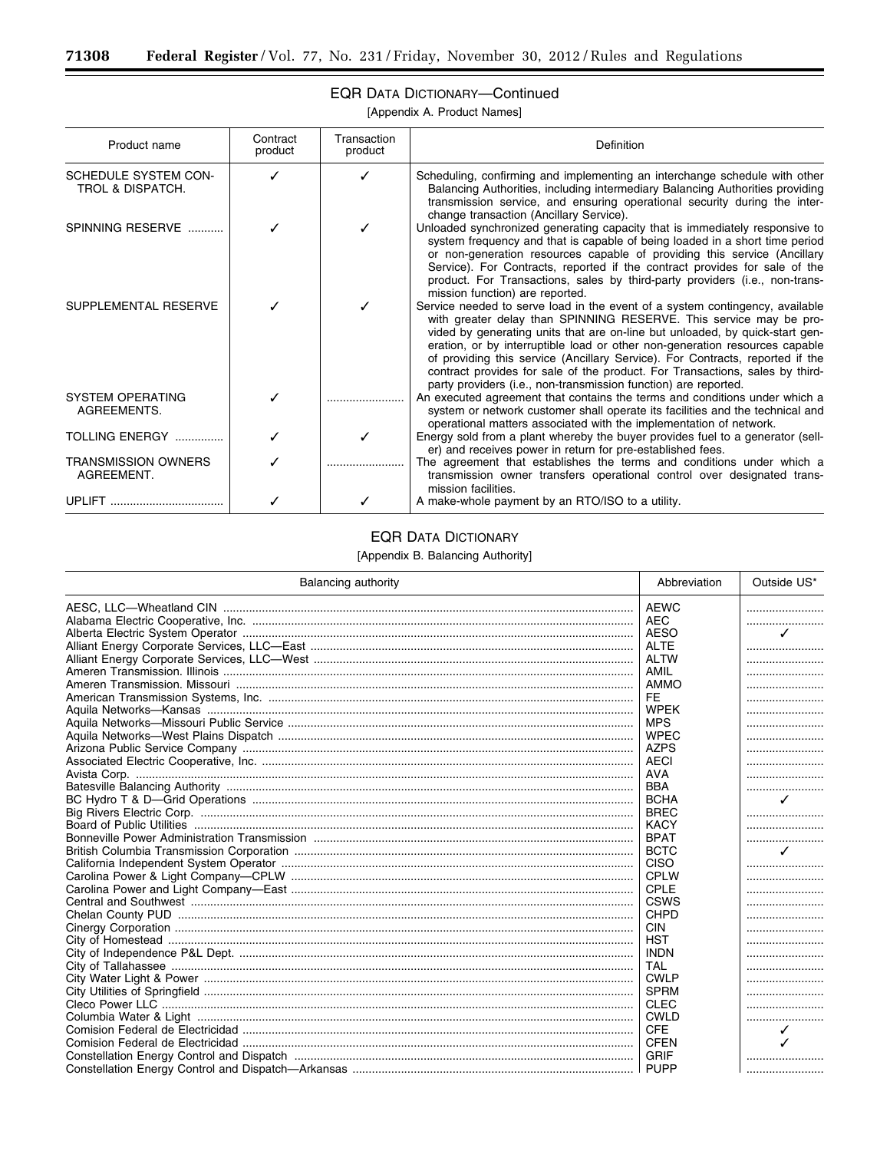Ξ

# EQR DATA DICTIONARY—Continued

[Appendix A. Product Names]

| Product name                             | Contract<br>product | Transaction<br>product | Definition                                                                                                                                                                                                                                                                                                                                                                                                                                                                                                                                            |
|------------------------------------------|---------------------|------------------------|-------------------------------------------------------------------------------------------------------------------------------------------------------------------------------------------------------------------------------------------------------------------------------------------------------------------------------------------------------------------------------------------------------------------------------------------------------------------------------------------------------------------------------------------------------|
| SCHEDULE SYSTEM CON-<br>TROL & DISPATCH. |                     |                        | Scheduling, confirming and implementing an interchange schedule with other<br>Balancing Authorities, including intermediary Balancing Authorities providing<br>transmission service, and ensuring operational security during the inter-<br>change transaction (Ancillary Service).                                                                                                                                                                                                                                                                   |
| SPINNING RESERVE                         |                     |                        | Unloaded synchronized generating capacity that is immediately responsive to<br>system frequency and that is capable of being loaded in a short time period<br>or non-generation resources capable of providing this service (Ancillary<br>Service). For Contracts, reported if the contract provides for sale of the<br>product. For Transactions, sales by third-party providers (i.e., non-trans-<br>mission function) are reported.                                                                                                                |
| SUPPLEMENTAL RESERVE                     |                     |                        | Service needed to serve load in the event of a system contingency, available<br>with greater delay than SPINNING RESERVE. This service may be pro-<br>vided by generating units that are on-line but unloaded, by quick-start gen-<br>eration, or by interruptible load or other non-generation resources capable<br>of providing this service (Ancillary Service). For Contracts, reported if the<br>contract provides for sale of the product. For Transactions, sales by third-<br>party providers (i.e., non-transmission function) are reported. |
| <b>SYSTEM OPERATING</b><br>AGREEMENTS.   |                     |                        | An executed agreement that contains the terms and conditions under which a<br>system or network customer shall operate its facilities and the technical and<br>operational matters associated with the implementation of network.                                                                                                                                                                                                                                                                                                                     |
| TOLLING ENERGY                           |                     |                        | Energy sold from a plant whereby the buyer provides fuel to a generator (sell-<br>er) and receives power in return for pre-established fees.                                                                                                                                                                                                                                                                                                                                                                                                          |
| <b>TRANSMISSION OWNERS</b><br>AGREEMENT. |                     |                        | The agreement that establishes the terms and conditions under which a<br>transmission owner transfers operational control over designated trans-<br>mission facilities.                                                                                                                                                                                                                                                                                                                                                                               |
|                                          |                     |                        | A make-whole payment by an RTO/ISO to a utility.                                                                                                                                                                                                                                                                                                                                                                                                                                                                                                      |

# EQR DATA DICTIONARY

[Appendix B. Balancing Authority]

| Balancing authority | Abbreviation | Outside US*              |
|---------------------|--------------|--------------------------|
|                     | AEWC         |                          |
|                     | AEC          |                          |
|                     | AESO         | $\overline{\mathcal{L}}$ |
|                     | <b>ALTE</b>  |                          |
|                     | ALTW         |                          |
|                     | AMIL         |                          |
|                     | AMMO         |                          |
|                     | <b>FE</b>    |                          |
|                     | <b>WPEK</b>  |                          |
|                     | <b>MPS</b>   |                          |
|                     | <b>WPEC</b>  |                          |
|                     | <b>AZPS</b>  |                          |
|                     | AECI         |                          |
|                     | <b>AVA</b>   |                          |
|                     | <b>BBA</b>   |                          |
|                     | <b>BCHA</b>  | ✓                        |
|                     | <b>BREC</b>  |                          |
|                     | <b>KACY</b>  |                          |
|                     | <b>BPAT</b>  |                          |
|                     | <b>BCTC</b>  | ✓                        |
|                     | <b>CISO</b>  |                          |
|                     | CPLW         |                          |
|                     | CPLE         |                          |
|                     | <b>CSWS</b>  |                          |
|                     | CHPD         |                          |
|                     | <b>CIN</b>   |                          |
|                     | <b>HST</b>   |                          |
|                     | <b>INDN</b>  |                          |
|                     | <b>TAL</b>   |                          |
|                     | <b>CWLP</b>  |                          |
|                     | <b>SPRM</b>  |                          |
|                     | CLEC         |                          |
|                     | <b>CWLD</b>  |                          |
|                     | <b>CFE</b>   | ✓                        |
|                     | <b>CFEN</b>  |                          |
|                     | <b>GRIF</b>  |                          |
|                     |              |                          |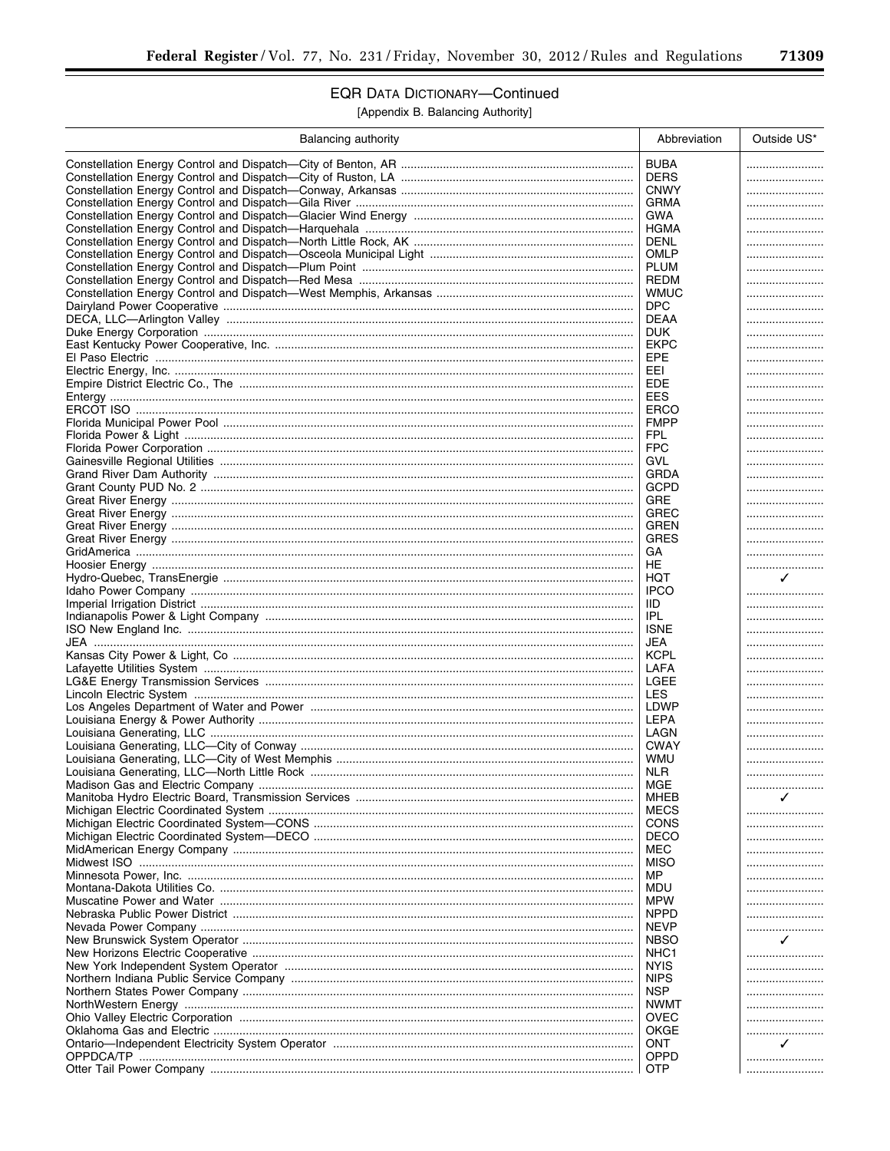$\overline{\phantom{a}}$ 

# **EQR DATA DICTIONARY-Continued**

[Appendix B. Balancing Authority]

| Balancing authority | Abbreviation              | Outside US* |
|---------------------|---------------------------|-------------|
|                     | <b>BUBA</b>               |             |
|                     | <b>DERS</b>               |             |
|                     | <b>CNWY</b>               |             |
|                     | <b>GRMA</b>               |             |
|                     | GWA                       |             |
|                     | HGMA                      |             |
|                     | <b>DENL</b>               |             |
|                     | OMLP                      |             |
|                     | <b>PLUM</b>               |             |
|                     | REDM                      |             |
|                     | <b>WMUC</b>               |             |
|                     | <b>DPC</b>                |             |
|                     | DEAA                      |             |
|                     | <b>DUK</b>                |             |
|                     | <b>EKPC</b>               |             |
|                     | EPE                       |             |
|                     | EEL                       |             |
|                     | <b>EDE</b>                |             |
|                     | EES                       |             |
|                     | <b>ERCO</b>               |             |
|                     | <b>FMPP</b>               |             |
|                     | FPL                       |             |
|                     | <b>FPC</b>                |             |
|                     | GVL                       |             |
|                     | GRDA                      |             |
|                     | GCPD                      |             |
|                     | GRE                       |             |
|                     | GREC                      |             |
|                     | GREN                      |             |
|                     | <b>GRES</b>               |             |
|                     | GА                        |             |
|                     | HE                        |             |
|                     | HQT                       | ✓           |
|                     | <b>IPCO</b>               |             |
|                     | IID.                      |             |
|                     | IPL                       |             |
|                     | <b>ISNE</b>               |             |
|                     | JEA                       |             |
|                     | LAFA                      |             |
|                     | LGEE                      |             |
|                     | <b>LES</b>                |             |
|                     |                           |             |
|                     | <b>LEPA</b>               |             |
|                     | LAGN                      |             |
|                     | <b>CWAY</b>               |             |
|                     | WMU                       |             |
|                     | NLR                       |             |
|                     | MGE                       |             |
|                     | MHEB                      | ✓           |
|                     | <b>MECS</b>               |             |
|                     | <b>CONS</b>               |             |
|                     | <b>DECO</b>               |             |
|                     | MEC                       |             |
|                     | <b>MISO</b>               |             |
|                     | МP                        |             |
|                     | MDU                       |             |
|                     | <b>MPW</b>                |             |
|                     | <b>NPPD</b>               |             |
|                     | <b>NEVP</b>               |             |
|                     | <b>NBSO</b>               | ✓           |
|                     | NHC1                      |             |
|                     | NYIS                      |             |
|                     | <b>NIPS</b><br><b>NSP</b> |             |
|                     | <b>NWMT</b>               |             |
|                     | <b>OVEC</b>               | .           |
|                     | OKGE                      | .           |
|                     | ONT                       | ✓           |
|                     | OPPD                      |             |
|                     | <b>OTP</b>                |             |
|                     |                           |             |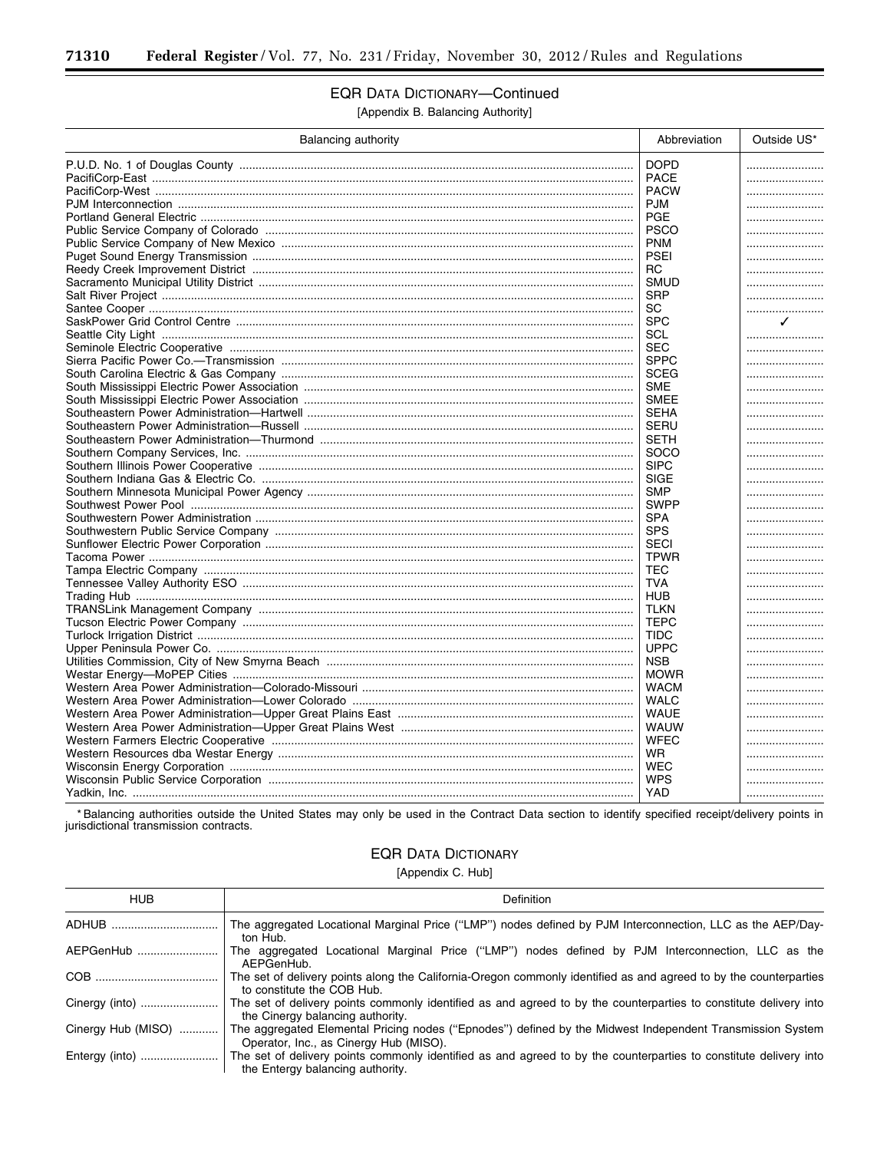# **EQR DATA DICTIONARY-Continued**

[Appendix B. Balancing Authority]

| Balancing authority | Abbreviation | Outside US* |
|---------------------|--------------|-------------|
|                     | <b>DOPD</b>  |             |
|                     | <b>PACE</b>  |             |
|                     | <b>PACW</b>  |             |
|                     | <b>PJM</b>   |             |
|                     | <b>PGE</b>   |             |
|                     | <b>PSCO</b>  |             |
|                     | <b>PNM</b>   |             |
|                     | <b>PSEI</b>  |             |
|                     | <b>RC</b>    |             |
|                     | <b>SMUD</b>  |             |
|                     | <b>SRP</b>   |             |
|                     | SC           |             |
|                     | <b>SPC</b>   | ✓           |
|                     | SCL          |             |
|                     | <b>SEC</b>   |             |
|                     | <b>SPPC</b>  |             |
|                     | <b>SCEG</b>  |             |
|                     | <b>SME</b>   |             |
|                     | <b>SMEE</b>  |             |
|                     | <b>SEHA</b>  |             |
|                     | SERU         |             |
|                     | <b>SETH</b>  |             |
|                     | <b>SOCO</b>  |             |
|                     | <b>SIPC</b>  |             |
|                     | <b>SIGE</b>  |             |
|                     | <b>SMP</b>   |             |
|                     | <b>SWPP</b>  |             |
|                     | <b>SPA</b>   |             |
|                     | <b>SPS</b>   |             |
|                     | <b>SECI</b>  |             |
|                     | <b>TPWR</b>  |             |
|                     | <b>TEC</b>   |             |
|                     | <b>TVA</b>   |             |
|                     | <b>HUB</b>   |             |
|                     | <b>TLKN</b>  |             |
|                     | <b>TEPC</b>  |             |
|                     | <b>TIDC</b>  |             |
|                     | <b>UPPC</b>  |             |
|                     | <b>NSB</b>   |             |
|                     | <b>MOWR</b>  |             |
|                     | <b>WACM</b>  |             |
|                     | <b>WALC</b>  |             |
|                     | <b>WAUE</b>  |             |
|                     | <b>WAUW</b>  |             |
|                     | <b>WFEC</b>  |             |
|                     | <b>WR</b>    |             |
|                     | <b>WEC</b>   |             |
|                     | <b>WPS</b>   |             |
|                     | <b>YAD</b>   |             |

\* Balancing authorities outside the United States may only be used in the Contract Data section to identify specified receipt/delivery points in jurisdictional transmission contracts.

# **EQR DATA DICTIONARY**

[Appendix C. Hub]

| <b>HUB</b>         | Definition                                                                                                                                            |
|--------------------|-------------------------------------------------------------------------------------------------------------------------------------------------------|
| ADHUB              | The aggregated Locational Marginal Price ("LMP") nodes defined by PJM Interconnection, LLC as the AEP/Day-<br>ton Hub.                                |
| AEPGenHub          | The aggregated Locational Marginal Price ("LMP") nodes defined by PJM Interconnection, LLC as the<br>AEPGenHub.                                       |
|                    | The set of delivery points along the California-Oregon commonly identified as and agreed to by the counterparties<br>to constitute the COB Hub.       |
| Cinergy (into)     | The set of delivery points commonly identified as and agreed to by the counterparties to constitute delivery into<br>the Cinergy balancing authority. |
| Cinergy Hub (MISO) | The aggregated Elemental Pricing nodes ("Epnodes") defined by the Midwest Independent Transmission System<br>Operator, Inc., as Cinergy Hub (MISO).   |
| Entergy (into)     | The set of delivery points commonly identified as and agreed to by the counterparties to constitute delivery into<br>the Entergy balancing authority. |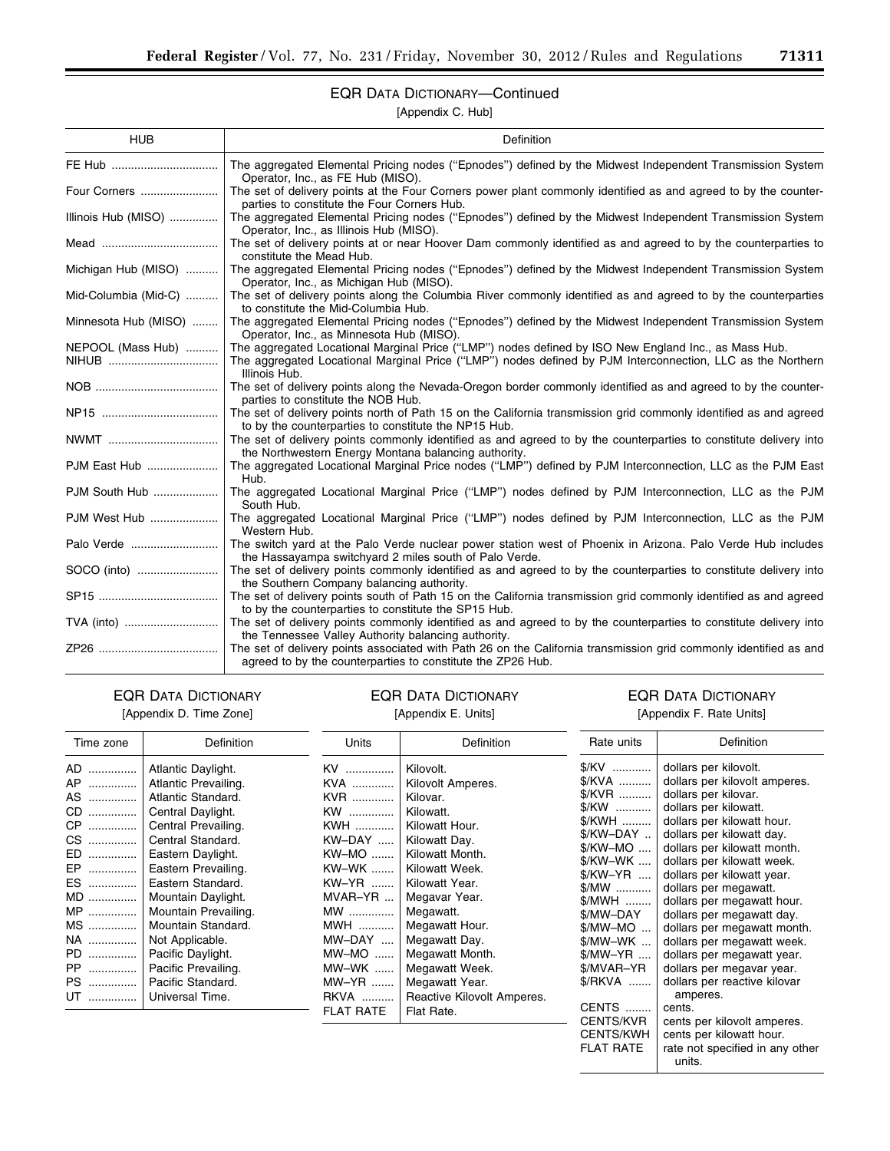# EQR DATA DICTIONARY—Continued

[Appendix C. Hub]

| <b>HUB</b>           | Definition                                                                                                                                                                       |
|----------------------|----------------------------------------------------------------------------------------------------------------------------------------------------------------------------------|
|                      | The aggregated Elemental Pricing nodes ("Epnodes") defined by the Midwest Independent Transmission System<br>Operator, Inc., as FE Hub (MISO).                                   |
| Four Corners         | The set of delivery points at the Four Corners power plant commonly identified as and agreed to by the counter-<br>parties to constitute the Four Corners Hub.                   |
| Illinois Hub (MISO)  | The aggregated Elemental Pricing nodes ("Epnodes") defined by the Midwest Independent Transmission System<br>Operator, Inc., as Illinois Hub (MISO).                             |
|                      | The set of delivery points at or near Hoover Dam commonly identified as and agreed to by the counterparties to<br>constitute the Mead Hub.                                       |
| Michigan Hub (MISO)  | The aggregated Elemental Pricing nodes ("Epnodes") defined by the Midwest Independent Transmission System<br>Operator, Inc., as Michigan Hub (MISO).                             |
| Mid-Columbia (Mid-C) | The set of delivery points along the Columbia River commonly identified as and agreed to by the counterparties<br>to constitute the Mid-Columbia Hub.                            |
| Minnesota Hub (MISO) | The aggregated Elemental Pricing nodes ("Epnodes") defined by the Midwest Independent Transmission System<br>Operator, Inc., as Minnesota Hub (MISO).                            |
| NEPOOL (Mass Hub)    | The aggregated Locational Marginal Price ("LMP") nodes defined by ISO New England Inc., as Mass Hub.                                                                             |
|                      | The aggregated Locational Marginal Price ("LMP") nodes defined by PJM Interconnection, LLC as the Northern<br>Illinois Hub.                                                      |
|                      | The set of delivery points along the Nevada-Oregon border commonly identified as and agreed to by the counter-<br>parties to constitute the NOB Hub.                             |
|                      | The set of delivery points north of Path 15 on the California transmission grid commonly identified as and agreed<br>to by the counterparties to constitute the NP15 Hub.        |
| NWMT                 | The set of delivery points commonly identified as and agreed to by the counterparties to constitute delivery into<br>the Northwestern Energy Montana balancing authority.        |
| PJM East Hub         | The aggregated Locational Marginal Price nodes ("LMP") defined by PJM Interconnection, LLC as the PJM East<br>Hub.                                                               |
| PJM South Hub        | The aggregated Locational Marginal Price ("LMP") nodes defined by PJM Interconnection, LLC as the PJM<br>South Hub.                                                              |
| PJM West Hub         | The aggregated Locational Marginal Price ("LMP") nodes defined by PJM Interconnection, LLC as the PJM<br>Western Hub.                                                            |
| Palo Verde           | The switch yard at the Palo Verde nuclear power station west of Phoenix in Arizona. Palo Verde Hub includes<br>the Hassayampa switchyard 2 miles south of Palo Verde.            |
| SOCO (into)          | The set of delivery points commonly identified as and agreed to by the counterparties to constitute delivery into<br>the Southern Company balancing authority.                   |
|                      | The set of delivery points south of Path 15 on the California transmission grid commonly identified as and agreed<br>to by the counterparties to constitute the SP15 Hub.        |
| TVA (into)           | The set of delivery points commonly identified as and agreed to by the counterparties to constitute delivery into<br>the Tennessee Valley Authority balancing authority.         |
|                      | The set of delivery points associated with Path 26 on the California transmission grid commonly identified as and<br>agreed to by the counterparties to constitute the ZP26 Hub. |

# EQR DATA DICTIONARY [Appendix D. Time Zone]

# EQR DATA DICTIONARY [Appendix E. Units]

# EQR DATA DICTIONARY [Appendix F. Rate Units]

▀

| Time zone                                                                                          | Definition                                                                                                                                                                                                                                                                                                                                                                    | Units                                                                                                                                                                | Definition                                                                                                                                                                                                                                                                                                            | Rate units                                                                                                                                                                                                                                                                            | <b>Definition</b>                                                                                                                                                                                                                                                                                                                                                                                                                                                                                                                                                                                                             |
|----------------------------------------------------------------------------------------------------|-------------------------------------------------------------------------------------------------------------------------------------------------------------------------------------------------------------------------------------------------------------------------------------------------------------------------------------------------------------------------------|----------------------------------------------------------------------------------------------------------------------------------------------------------------------|-----------------------------------------------------------------------------------------------------------------------------------------------------------------------------------------------------------------------------------------------------------------------------------------------------------------------|---------------------------------------------------------------------------------------------------------------------------------------------------------------------------------------------------------------------------------------------------------------------------------------|-------------------------------------------------------------------------------------------------------------------------------------------------------------------------------------------------------------------------------------------------------------------------------------------------------------------------------------------------------------------------------------------------------------------------------------------------------------------------------------------------------------------------------------------------------------------------------------------------------------------------------|
| AD<br>AP<br>AS<br>CD<br>CP<br>CS<br>ED<br>EP<br>ES<br>MD<br>MP<br>MS<br>NA<br>PD<br>PP<br>PS<br>UT | Atlantic Daylight.<br>Atlantic Prevailing.<br>Atlantic Standard.<br>Central Daylight.<br>Central Prevailing.<br>Central Standard.<br>Eastern Daylight.<br>Eastern Prevailing.<br>Eastern Standard.<br>Mountain Daylight.<br>Mountain Prevailing.<br>Mountain Standard.<br>Not Applicable.<br>Pacific Daylight.<br>Pacific Prevailing.<br>Pacific Standard.<br>Universal Time. | KV<br>KVA<br>KVR<br>KW<br>KWH<br>KW-DAY<br>KW-MO<br>KW-WK<br>KW-YR<br>MVAR-YR<br>MW<br>MWH<br>MW-DAY<br>$MW-MO$<br>MW-WK<br>MW-YR<br><b>RKVA</b><br><b>FLAT RATE</b> | Kilovolt.<br>Kilovolt Amperes.<br>Kilovar.<br>Kilowatt.<br>Kilowatt Hour.<br>Kilowatt Day.<br>Kilowatt Month.<br>Kilowatt Week.<br>Kilowatt Year.<br>Megavar Year.<br>Megawatt.<br>Megawatt Hour.<br>Megawatt Day.<br>Megawatt Month.<br>Megawatt Week.<br>Megawatt Year.<br>Reactive Kilovolt Amperes.<br>Flat Rate. | \$/KV<br>\$/KVA<br>\$/KVR<br>\$/KW<br>\$/KWH<br>$\frac{C}{2}$ KW-DAY<br>\$/KW-MO<br>\$/KW-WK<br>\$/KW-YR<br>\$/MW<br>\$/MWH<br>\$/MW-DAY<br>$$/MW-MO$<br>$$/MW-WK$<br>$$/MW-YR$<br>\$/MVAR-YR<br>\$/RKVA<br><b>CENTS </b><br><b>CENTS/KVR</b><br><b>CENTS/KWH</b><br><b>FLAT RATE</b> | dollars per kilovolt.<br>dollars per kilovolt amperes.<br>dollars per kilovar.<br>dollars per kilowatt.<br>dollars per kilowatt hour.<br>dollars per kilowatt day.<br>dollars per kilowatt month.<br>dollars per kilowatt week.<br>dollars per kilowatt year.<br>dollars per megawatt.<br>dollars per megawatt hour.<br>dollars per megawatt day.<br>dollars per megawatt month.<br>dollars per megawatt week.<br>dollars per megawatt year.<br>dollars per megavar year.<br>dollars per reactive kilovar<br>amperes.<br>cents.<br>cents per kilovolt amperes.<br>cents per kilowatt hour.<br>rate not specified in any other |
|                                                                                                    |                                                                                                                                                                                                                                                                                                                                                                               |                                                                                                                                                                      |                                                                                                                                                                                                                                                                                                                       |                                                                                                                                                                                                                                                                                       | units.                                                                                                                                                                                                                                                                                                                                                                                                                                                                                                                                                                                                                        |